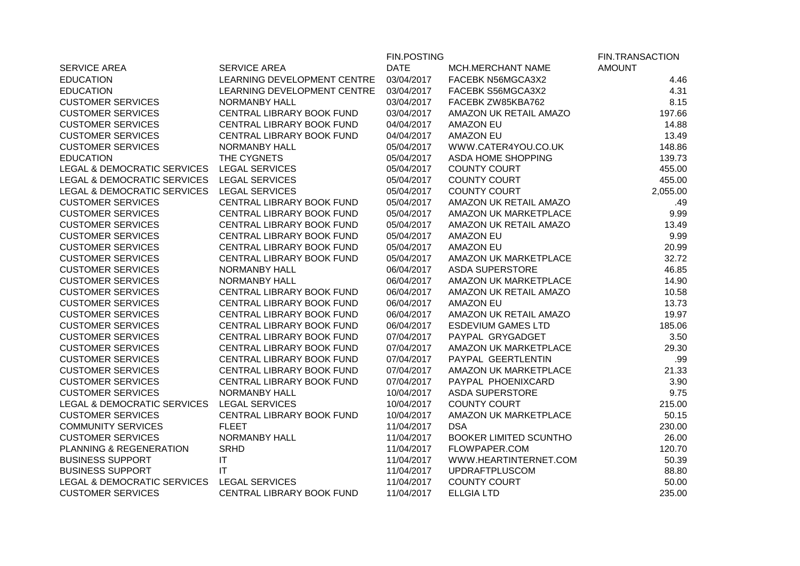|                                        |                             | <b>FIN.POSTING</b> |                               | <b>FIN.TRANSACTION</b> |
|----------------------------------------|-----------------------------|--------------------|-------------------------------|------------------------|
| SERVICE AREA                           | <b>SERVICE AREA</b>         | <b>DATE</b>        | MCH.MERCHANT NAME             | <b>AMOUNT</b>          |
| <b>EDUCATION</b>                       | LEARNING DEVELOPMENT CENTRE | 03/04/2017         | FACEBK N56MGCA3X2             | 4.46                   |
| <b>EDUCATION</b>                       | LEARNING DEVELOPMENT CENTRE | 03/04/2017         | FACEBK S56MGCA3X2             | 4.31                   |
| <b>CUSTOMER SERVICES</b>               | <b>NORMANBY HALL</b>        | 03/04/2017         | FACEBK ZW85KBA762             | 8.15                   |
| <b>CUSTOMER SERVICES</b>               | CENTRAL LIBRARY BOOK FUND   | 03/04/2017         | AMAZON UK RETAIL AMAZO        | 197.66                 |
| <b>CUSTOMER SERVICES</b>               | CENTRAL LIBRARY BOOK FUND   | 04/04/2017         | <b>AMAZON EU</b>              | 14.88                  |
| <b>CUSTOMER SERVICES</b>               | CENTRAL LIBRARY BOOK FUND   | 04/04/2017         | <b>AMAZON EU</b>              | 13.49                  |
| <b>CUSTOMER SERVICES</b>               | <b>NORMANBY HALL</b>        | 05/04/2017         | WWW.CATER4YOU.CO.UK           | 148.86                 |
| <b>EDUCATION</b>                       | THE CYGNETS                 | 05/04/2017         | ASDA HOME SHOPPING            | 139.73                 |
| <b>LEGAL &amp; DEMOCRATIC SERVICES</b> | <b>LEGAL SERVICES</b>       | 05/04/2017         | <b>COUNTY COURT</b>           | 455.00                 |
| LEGAL & DEMOCRATIC SERVICES            | <b>LEGAL SERVICES</b>       | 05/04/2017         | <b>COUNTY COURT</b>           | 455.00                 |
| LEGAL & DEMOCRATIC SERVICES            | <b>LEGAL SERVICES</b>       | 05/04/2017         | <b>COUNTY COURT</b>           | 2,055.00               |
| <b>CUSTOMER SERVICES</b>               | CENTRAL LIBRARY BOOK FUND   | 05/04/2017         | AMAZON UK RETAIL AMAZO        | .49                    |
| <b>CUSTOMER SERVICES</b>               | CENTRAL LIBRARY BOOK FUND   | 05/04/2017         | AMAZON UK MARKETPLACE         | 9.99                   |
| <b>CUSTOMER SERVICES</b>               | CENTRAL LIBRARY BOOK FUND   | 05/04/2017         | AMAZON UK RETAIL AMAZO        | 13.49                  |
| <b>CUSTOMER SERVICES</b>               | CENTRAL LIBRARY BOOK FUND   | 05/04/2017         | <b>AMAZON EU</b>              | 9.99                   |
| <b>CUSTOMER SERVICES</b>               | CENTRAL LIBRARY BOOK FUND   | 05/04/2017         | <b>AMAZON EU</b>              | 20.99                  |
| <b>CUSTOMER SERVICES</b>               | CENTRAL LIBRARY BOOK FUND   | 05/04/2017         | AMAZON UK MARKETPLACE         | 32.72                  |
| <b>CUSTOMER SERVICES</b>               | <b>NORMANBY HALL</b>        | 06/04/2017         | <b>ASDA SUPERSTORE</b>        | 46.85                  |
| <b>CUSTOMER SERVICES</b>               | <b>NORMANBY HALL</b>        | 06/04/2017         | AMAZON UK MARKETPLACE         | 14.90                  |
| <b>CUSTOMER SERVICES</b>               | CENTRAL LIBRARY BOOK FUND   | 06/04/2017         | AMAZON UK RETAIL AMAZO        | 10.58                  |
| <b>CUSTOMER SERVICES</b>               | CENTRAL LIBRARY BOOK FUND   | 06/04/2017         | <b>AMAZON EU</b>              | 13.73                  |
| <b>CUSTOMER SERVICES</b>               | CENTRAL LIBRARY BOOK FUND   | 06/04/2017         | AMAZON UK RETAIL AMAZO        | 19.97                  |
| <b>CUSTOMER SERVICES</b>               | CENTRAL LIBRARY BOOK FUND   | 06/04/2017         | <b>ESDEVIUM GAMES LTD</b>     | 185.06                 |
| <b>CUSTOMER SERVICES</b>               | CENTRAL LIBRARY BOOK FUND   | 07/04/2017         | PAYPAL GRYGADGET              | 3.50                   |
| <b>CUSTOMER SERVICES</b>               | CENTRAL LIBRARY BOOK FUND   | 07/04/2017         | AMAZON UK MARKETPLACE         | 29.30                  |
| <b>CUSTOMER SERVICES</b>               | CENTRAL LIBRARY BOOK FUND   | 07/04/2017         | PAYPAL GEERTLENTIN            | .99                    |
| <b>CUSTOMER SERVICES</b>               | CENTRAL LIBRARY BOOK FUND   | 07/04/2017         | AMAZON UK MARKETPLACE         | 21.33                  |
| <b>CUSTOMER SERVICES</b>               | CENTRAL LIBRARY BOOK FUND   | 07/04/2017         | PAYPAL PHOENIXCARD            | 3.90                   |
| <b>CUSTOMER SERVICES</b>               | NORMANBY HALL               | 10/04/2017         | <b>ASDA SUPERSTORE</b>        | 9.75                   |
| LEGAL & DEMOCRATIC SERVICES            | <b>LEGAL SERVICES</b>       | 10/04/2017         | <b>COUNTY COURT</b>           | 215.00                 |
| <b>CUSTOMER SERVICES</b>               | CENTRAL LIBRARY BOOK FUND   | 10/04/2017         | AMAZON UK MARKETPLACE         | 50.15                  |
| <b>COMMUNITY SERVICES</b>              | <b>FLEET</b>                | 11/04/2017         | <b>DSA</b>                    | 230.00                 |
| <b>CUSTOMER SERVICES</b>               | <b>NORMANBY HALL</b>        | 11/04/2017         | <b>BOOKER LIMITED SCUNTHO</b> | 26.00                  |
| PLANNING & REGENERATION                | <b>SRHD</b>                 | 11/04/2017         | FLOWPAPER.COM                 | 120.70                 |
| <b>BUSINESS SUPPORT</b>                | IT                          | 11/04/2017         | WWW.HEARTINTERNET.COM         | 50.39                  |
| <b>BUSINESS SUPPORT</b>                | $\mathsf{I}\mathsf{T}$      | 11/04/2017         | <b>UPDRAFTPLUSCOM</b>         | 88.80                  |
| LEGAL & DEMOCRATIC SERVICES            | <b>LEGAL SERVICES</b>       | 11/04/2017         | <b>COUNTY COURT</b>           | 50.00                  |
| <b>CUSTOMER SERVICES</b>               | CENTRAL LIBRARY BOOK FUND   | 11/04/2017         | <b>ELLGIA LTD</b>             | 235.00                 |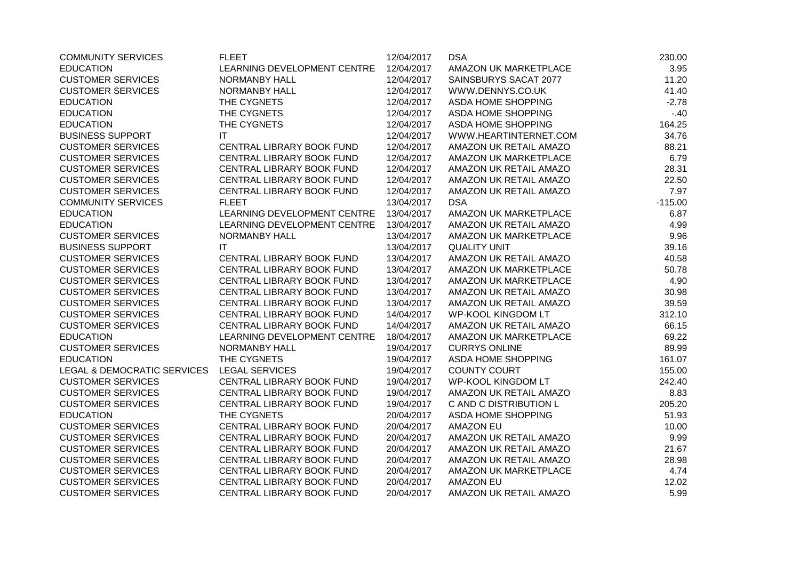| <b>COMMUNITY SERVICES</b>   | <b>FLEET</b>                | 12/04/2017 | <b>DSA</b>                | 230.00    |
|-----------------------------|-----------------------------|------------|---------------------------|-----------|
| <b>EDUCATION</b>            | LEARNING DEVELOPMENT CENTRE | 12/04/2017 | AMAZON UK MARKETPLACE     | 3.95      |
| <b>CUSTOMER SERVICES</b>    | <b>NORMANBY HALL</b>        | 12/04/2017 | SAINSBURYS SACAT 2077     | 11.20     |
| <b>CUSTOMER SERVICES</b>    | <b>NORMANBY HALL</b>        | 12/04/2017 | WWW.DENNYS.CO.UK          | 41.40     |
| <b>EDUCATION</b>            | THE CYGNETS                 | 12/04/2017 | ASDA HOME SHOPPING        | $-2.78$   |
| <b>EDUCATION</b>            | THE CYGNETS                 | 12/04/2017 | ASDA HOME SHOPPING        | $-40$     |
| <b>EDUCATION</b>            | THE CYGNETS                 | 12/04/2017 | ASDA HOME SHOPPING        | 164.25    |
| <b>BUSINESS SUPPORT</b>     | $\mathsf{I}\mathsf{T}$      | 12/04/2017 | WWW.HEARTINTERNET.COM     | 34.76     |
| <b>CUSTOMER SERVICES</b>    | CENTRAL LIBRARY BOOK FUND   | 12/04/2017 | AMAZON UK RETAIL AMAZO    | 88.21     |
| <b>CUSTOMER SERVICES</b>    | CENTRAL LIBRARY BOOK FUND   | 12/04/2017 | AMAZON UK MARKETPLACE     | 6.79      |
| <b>CUSTOMER SERVICES</b>    | CENTRAL LIBRARY BOOK FUND   | 12/04/2017 | AMAZON UK RETAIL AMAZO    | 28.31     |
| <b>CUSTOMER SERVICES</b>    | CENTRAL LIBRARY BOOK FUND   | 12/04/2017 | AMAZON UK RETAIL AMAZO    | 22.50     |
| <b>CUSTOMER SERVICES</b>    | CENTRAL LIBRARY BOOK FUND   | 12/04/2017 | AMAZON UK RETAIL AMAZO    | 7.97      |
| <b>COMMUNITY SERVICES</b>   | <b>FLEET</b>                | 13/04/2017 | <b>DSA</b>                | $-115.00$ |
| <b>EDUCATION</b>            | LEARNING DEVELOPMENT CENTRE | 13/04/2017 | AMAZON UK MARKETPLACE     | 6.87      |
| <b>EDUCATION</b>            | LEARNING DEVELOPMENT CENTRE | 13/04/2017 | AMAZON UK RETAIL AMAZO    | 4.99      |
| <b>CUSTOMER SERVICES</b>    | <b>NORMANBY HALL</b>        | 13/04/2017 | AMAZON UK MARKETPLACE     | 9.96      |
| <b>BUSINESS SUPPORT</b>     | IT                          | 13/04/2017 | <b>QUALITY UNIT</b>       | 39.16     |
| <b>CUSTOMER SERVICES</b>    | CENTRAL LIBRARY BOOK FUND   | 13/04/2017 | AMAZON UK RETAIL AMAZO    | 40.58     |
| <b>CUSTOMER SERVICES</b>    | CENTRAL LIBRARY BOOK FUND   | 13/04/2017 | AMAZON UK MARKETPLACE     | 50.78     |
| <b>CUSTOMER SERVICES</b>    | CENTRAL LIBRARY BOOK FUND   | 13/04/2017 | AMAZON UK MARKETPLACE     | 4.90      |
| <b>CUSTOMER SERVICES</b>    | CENTRAL LIBRARY BOOK FUND   | 13/04/2017 | AMAZON UK RETAIL AMAZO    | 30.98     |
| <b>CUSTOMER SERVICES</b>    | CENTRAL LIBRARY BOOK FUND   | 13/04/2017 | AMAZON UK RETAIL AMAZO    | 39.59     |
| <b>CUSTOMER SERVICES</b>    | CENTRAL LIBRARY BOOK FUND   | 14/04/2017 | <b>WP-KOOL KINGDOM LT</b> | 312.10    |
| <b>CUSTOMER SERVICES</b>    | CENTRAL LIBRARY BOOK FUND   | 14/04/2017 | AMAZON UK RETAIL AMAZO    | 66.15     |
| <b>EDUCATION</b>            | LEARNING DEVELOPMENT CENTRE | 18/04/2017 | AMAZON UK MARKETPLACE     | 69.22     |
| <b>CUSTOMER SERVICES</b>    | <b>NORMANBY HALL</b>        | 19/04/2017 | <b>CURRYS ONLINE</b>      | 89.99     |
| <b>EDUCATION</b>            | THE CYGNETS                 | 19/04/2017 | ASDA HOME SHOPPING        | 161.07    |
| LEGAL & DEMOCRATIC SERVICES | <b>LEGAL SERVICES</b>       | 19/04/2017 | <b>COUNTY COURT</b>       | 155.00    |
| <b>CUSTOMER SERVICES</b>    | CENTRAL LIBRARY BOOK FUND   | 19/04/2017 | <b>WP-KOOL KINGDOM LT</b> | 242.40    |
| <b>CUSTOMER SERVICES</b>    | CENTRAL LIBRARY BOOK FUND   | 19/04/2017 | AMAZON UK RETAIL AMAZO    | 8.83      |
| <b>CUSTOMER SERVICES</b>    | CENTRAL LIBRARY BOOK FUND   | 19/04/2017 | C AND C DISTRIBUTION L    | 205.20    |
| <b>EDUCATION</b>            | THE CYGNETS                 | 20/04/2017 | ASDA HOME SHOPPING        | 51.93     |
| <b>CUSTOMER SERVICES</b>    | CENTRAL LIBRARY BOOK FUND   | 20/04/2017 | <b>AMAZON EU</b>          | 10.00     |
| <b>CUSTOMER SERVICES</b>    | CENTRAL LIBRARY BOOK FUND   | 20/04/2017 | AMAZON UK RETAIL AMAZO    | 9.99      |
| <b>CUSTOMER SERVICES</b>    | CENTRAL LIBRARY BOOK FUND   | 20/04/2017 | AMAZON UK RETAIL AMAZO    | 21.67     |
| <b>CUSTOMER SERVICES</b>    | CENTRAL LIBRARY BOOK FUND   | 20/04/2017 | AMAZON UK RETAIL AMAZO    | 28.98     |
| <b>CUSTOMER SERVICES</b>    | CENTRAL LIBRARY BOOK FUND   | 20/04/2017 | AMAZON UK MARKETPLACE     | 4.74      |
| <b>CUSTOMER SERVICES</b>    | CENTRAL LIBRARY BOOK FUND   | 20/04/2017 | <b>AMAZON EU</b>          | 12.02     |
| <b>CUSTOMER SERVICES</b>    | CENTRAL LIBRARY BOOK FUND   | 20/04/2017 | AMAZON UK RETAIL AMAZO    | 5.99      |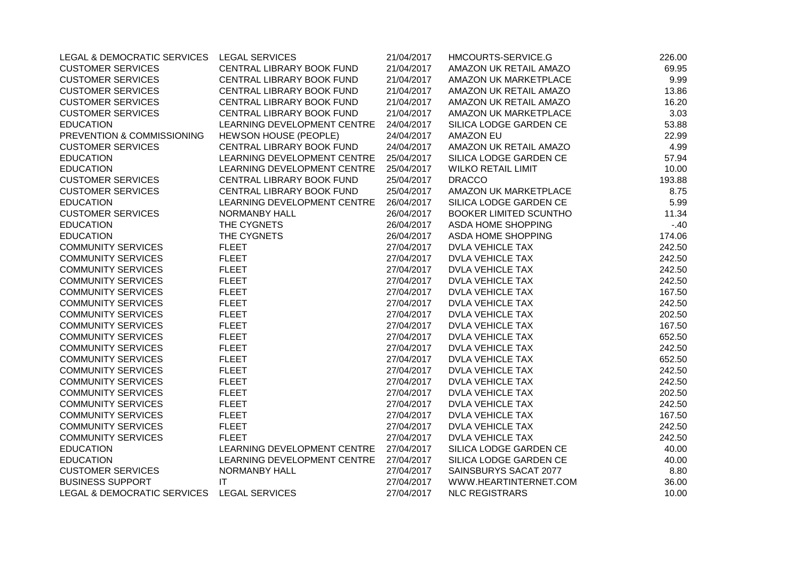| LEGAL & DEMOCRATIC SERVICES LEGAL SERVICES |                              | 21/04/2017 | HMCOURTS-SERVICE.G            | 226.00 |
|--------------------------------------------|------------------------------|------------|-------------------------------|--------|
| <b>CUSTOMER SERVICES</b>                   | CENTRAL LIBRARY BOOK FUND    | 21/04/2017 | AMAZON UK RETAIL AMAZO        | 69.95  |
| <b>CUSTOMER SERVICES</b>                   | CENTRAL LIBRARY BOOK FUND    | 21/04/2017 | AMAZON UK MARKETPLACE         | 9.99   |
| <b>CUSTOMER SERVICES</b>                   | CENTRAL LIBRARY BOOK FUND    | 21/04/2017 | AMAZON UK RETAIL AMAZO        | 13.86  |
| <b>CUSTOMER SERVICES</b>                   | CENTRAL LIBRARY BOOK FUND    | 21/04/2017 | AMAZON UK RETAIL AMAZO        | 16.20  |
| <b>CUSTOMER SERVICES</b>                   | CENTRAL LIBRARY BOOK FUND    | 21/04/2017 | AMAZON UK MARKETPLACE         | 3.03   |
| <b>EDUCATION</b>                           | LEARNING DEVELOPMENT CENTRE  | 24/04/2017 | SILICA LODGE GARDEN CE        | 53.88  |
| PREVENTION & COMMISSIONING                 | <b>HEWSON HOUSE (PEOPLE)</b> | 24/04/2017 | <b>AMAZON EU</b>              | 22.99  |
| <b>CUSTOMER SERVICES</b>                   | CENTRAL LIBRARY BOOK FUND    | 24/04/2017 | AMAZON UK RETAIL AMAZO        | 4.99   |
| <b>EDUCATION</b>                           | LEARNING DEVELOPMENT CENTRE  | 25/04/2017 | SILICA LODGE GARDEN CE        | 57.94  |
| <b>EDUCATION</b>                           | LEARNING DEVELOPMENT CENTRE  | 25/04/2017 | <b>WILKO RETAIL LIMIT</b>     | 10.00  |
| <b>CUSTOMER SERVICES</b>                   | CENTRAL LIBRARY BOOK FUND    | 25/04/2017 | <b>DRACCO</b>                 | 193.88 |
| <b>CUSTOMER SERVICES</b>                   | CENTRAL LIBRARY BOOK FUND    | 25/04/2017 | AMAZON UK MARKETPLACE         | 8.75   |
| <b>EDUCATION</b>                           | LEARNING DEVELOPMENT CENTRE  | 26/04/2017 | SILICA LODGE GARDEN CE        | 5.99   |
| <b>CUSTOMER SERVICES</b>                   | <b>NORMANBY HALL</b>         | 26/04/2017 | <b>BOOKER LIMITED SCUNTHO</b> | 11.34  |
| <b>EDUCATION</b>                           | THE CYGNETS                  | 26/04/2017 | ASDA HOME SHOPPING            | $-.40$ |
| <b>EDUCATION</b>                           | THE CYGNETS                  | 26/04/2017 | ASDA HOME SHOPPING            | 174.06 |
| <b>COMMUNITY SERVICES</b>                  | <b>FLEET</b>                 | 27/04/2017 | <b>DVLA VEHICLE TAX</b>       | 242.50 |
| <b>COMMUNITY SERVICES</b>                  | <b>FLEET</b>                 | 27/04/2017 | <b>DVLA VEHICLE TAX</b>       | 242.50 |
| <b>COMMUNITY SERVICES</b>                  | <b>FLEET</b>                 | 27/04/2017 | <b>DVLA VEHICLE TAX</b>       | 242.50 |
| <b>COMMUNITY SERVICES</b>                  | <b>FLEET</b>                 | 27/04/2017 | <b>DVLA VEHICLE TAX</b>       | 242.50 |
| <b>COMMUNITY SERVICES</b>                  | <b>FLEET</b>                 | 27/04/2017 | <b>DVLA VEHICLE TAX</b>       | 167.50 |
| <b>COMMUNITY SERVICES</b>                  | <b>FLEET</b>                 | 27/04/2017 | DVLA VEHICLE TAX              | 242.50 |
| <b>COMMUNITY SERVICES</b>                  | <b>FLEET</b>                 | 27/04/2017 | <b>DVLA VEHICLE TAX</b>       | 202.50 |
| <b>COMMUNITY SERVICES</b>                  | <b>FLEET</b>                 | 27/04/2017 | <b>DVLA VEHICLE TAX</b>       | 167.50 |
| <b>COMMUNITY SERVICES</b>                  | <b>FLEET</b>                 | 27/04/2017 | <b>DVLA VEHICLE TAX</b>       | 652.50 |
| <b>COMMUNITY SERVICES</b>                  | <b>FLEET</b>                 | 27/04/2017 | <b>DVLA VEHICLE TAX</b>       | 242.50 |
| <b>COMMUNITY SERVICES</b>                  | <b>FLEET</b>                 | 27/04/2017 | <b>DVLA VEHICLE TAX</b>       | 652.50 |
| <b>COMMUNITY SERVICES</b>                  | <b>FLEET</b>                 | 27/04/2017 | <b>DVLA VEHICLE TAX</b>       | 242.50 |
| <b>COMMUNITY SERVICES</b>                  | <b>FLEET</b>                 | 27/04/2017 | <b>DVLA VEHICLE TAX</b>       | 242.50 |
| <b>COMMUNITY SERVICES</b>                  | <b>FLEET</b>                 | 27/04/2017 | <b>DVLA VEHICLE TAX</b>       | 202.50 |
| <b>COMMUNITY SERVICES</b>                  | <b>FLEET</b>                 | 27/04/2017 | <b>DVLA VEHICLE TAX</b>       | 242.50 |
| <b>COMMUNITY SERVICES</b>                  | <b>FLEET</b>                 | 27/04/2017 | <b>DVLA VEHICLE TAX</b>       | 167.50 |
| <b>COMMUNITY SERVICES</b>                  | <b>FLEET</b>                 | 27/04/2017 | <b>DVLA VEHICLE TAX</b>       | 242.50 |
| <b>COMMUNITY SERVICES</b>                  | <b>FLEET</b>                 | 27/04/2017 | <b>DVLA VEHICLE TAX</b>       | 242.50 |
| <b>EDUCATION</b>                           | LEARNING DEVELOPMENT CENTRE  | 27/04/2017 | SILICA LODGE GARDEN CE        | 40.00  |
| <b>EDUCATION</b>                           | LEARNING DEVELOPMENT CENTRE  | 27/04/2017 | SILICA LODGE GARDEN CE        | 40.00  |
| <b>CUSTOMER SERVICES</b>                   | <b>NORMANBY HALL</b>         | 27/04/2017 | SAINSBURYS SACAT 2077         | 8.80   |
| <b>BUSINESS SUPPORT</b>                    | ΙT                           | 27/04/2017 | WWW.HEARTINTERNET.COM         | 36.00  |
| LEGAL & DEMOCRATIC SERVICES                | <b>LEGAL SERVICES</b>        | 27/04/2017 | <b>NLC REGISTRARS</b>         | 10.00  |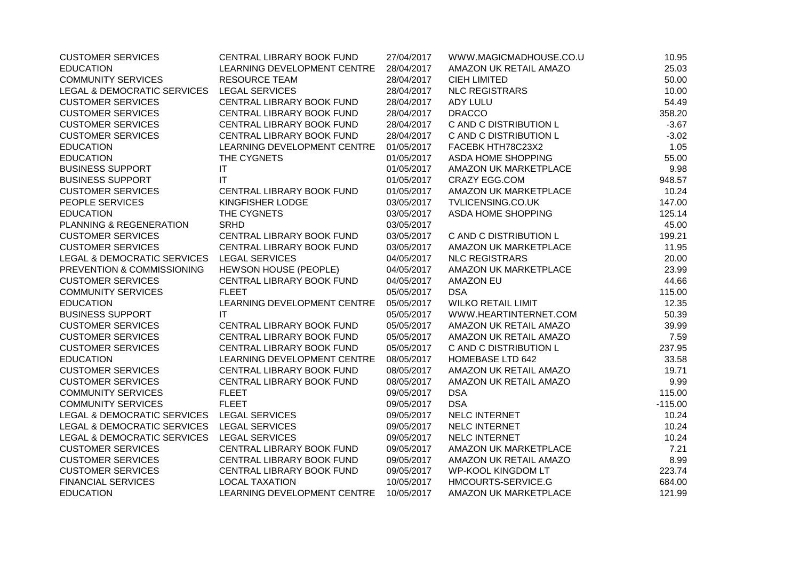| <b>CUSTOMER SERVICES</b>                   | CENTRAL LIBRARY BOOK FUND   | 27/04/2017 | WWW.MAGICMADHOUSE.CO.U    | 10.95     |
|--------------------------------------------|-----------------------------|------------|---------------------------|-----------|
| <b>EDUCATION</b>                           | LEARNING DEVELOPMENT CENTRE | 28/04/2017 | AMAZON UK RETAIL AMAZO    | 25.03     |
| <b>COMMUNITY SERVICES</b>                  | <b>RESOURCE TEAM</b>        | 28/04/2017 | <b>CIEH LIMITED</b>       | 50.00     |
| LEGAL & DEMOCRATIC SERVICES                | <b>LEGAL SERVICES</b>       | 28/04/2017 | <b>NLC REGISTRARS</b>     | 10.00     |
| <b>CUSTOMER SERVICES</b>                   | CENTRAL LIBRARY BOOK FUND   | 28/04/2017 | ADY LULU                  | 54.49     |
| <b>CUSTOMER SERVICES</b>                   | CENTRAL LIBRARY BOOK FUND   | 28/04/2017 | <b>DRACCO</b>             | 358.20    |
| <b>CUSTOMER SERVICES</b>                   | CENTRAL LIBRARY BOOK FUND   | 28/04/2017 | C AND C DISTRIBUTION L    | $-3.67$   |
| <b>CUSTOMER SERVICES</b>                   | CENTRAL LIBRARY BOOK FUND   | 28/04/2017 | C AND C DISTRIBUTION L    | $-3.02$   |
| <b>EDUCATION</b>                           | LEARNING DEVELOPMENT CENTRE | 01/05/2017 | FACEBK HTH78C23X2         | 1.05      |
| <b>EDUCATION</b>                           | THE CYGNETS                 | 01/05/2017 | ASDA HOME SHOPPING        | 55.00     |
| <b>BUSINESS SUPPORT</b>                    | IT                          | 01/05/2017 | AMAZON UK MARKETPLACE     | 9.98      |
| <b>BUSINESS SUPPORT</b>                    | $\mathsf{I}\mathsf{T}$      | 01/05/2017 | <b>CRAZY EGG.COM</b>      | 948.57    |
| <b>CUSTOMER SERVICES</b>                   | CENTRAL LIBRARY BOOK FUND   | 01/05/2017 | AMAZON UK MARKETPLACE     | 10.24     |
| PEOPLE SERVICES                            | KINGFISHER LODGE            | 03/05/2017 | TVLICENSING.CO.UK         | 147.00    |
| <b>EDUCATION</b>                           | THE CYGNETS                 | 03/05/2017 | ASDA HOME SHOPPING        | 125.14    |
| PLANNING & REGENERATION                    | <b>SRHD</b>                 | 03/05/2017 |                           | 45.00     |
| <b>CUSTOMER SERVICES</b>                   | CENTRAL LIBRARY BOOK FUND   | 03/05/2017 | C AND C DISTRIBUTION L    | 199.21    |
| <b>CUSTOMER SERVICES</b>                   | CENTRAL LIBRARY BOOK FUND   | 03/05/2017 | AMAZON UK MARKETPLACE     | 11.95     |
| <b>LEGAL &amp; DEMOCRATIC SERVICES</b>     | <b>LEGAL SERVICES</b>       | 04/05/2017 | <b>NLC REGISTRARS</b>     | 20.00     |
| PREVENTION & COMMISSIONING                 | HEWSON HOUSE (PEOPLE)       | 04/05/2017 | AMAZON UK MARKETPLACE     | 23.99     |
| <b>CUSTOMER SERVICES</b>                   | CENTRAL LIBRARY BOOK FUND   | 04/05/2017 | <b>AMAZON EU</b>          | 44.66     |
| <b>COMMUNITY SERVICES</b>                  | <b>FLEET</b>                | 05/05/2017 | <b>DSA</b>                | 115.00    |
| <b>EDUCATION</b>                           | LEARNING DEVELOPMENT CENTRE | 05/05/2017 | <b>WILKO RETAIL LIMIT</b> | 12.35     |
| <b>BUSINESS SUPPORT</b>                    | <b>IT</b>                   | 05/05/2017 | WWW.HEARTINTERNET.COM     | 50.39     |
| <b>CUSTOMER SERVICES</b>                   | CENTRAL LIBRARY BOOK FUND   | 05/05/2017 | AMAZON UK RETAIL AMAZO    | 39.99     |
| <b>CUSTOMER SERVICES</b>                   | CENTRAL LIBRARY BOOK FUND   | 05/05/2017 | AMAZON UK RETAIL AMAZO    | 7.59      |
| <b>CUSTOMER SERVICES</b>                   | CENTRAL LIBRARY BOOK FUND   | 05/05/2017 | C AND C DISTRIBUTION L    | 237.95    |
| <b>EDUCATION</b>                           | LEARNING DEVELOPMENT CENTRE | 08/05/2017 | <b>HOMEBASE LTD 642</b>   | 33.58     |
| <b>CUSTOMER SERVICES</b>                   | CENTRAL LIBRARY BOOK FUND   | 08/05/2017 | AMAZON UK RETAIL AMAZO    | 19.71     |
| <b>CUSTOMER SERVICES</b>                   | CENTRAL LIBRARY BOOK FUND   | 08/05/2017 | AMAZON UK RETAIL AMAZO    | 9.99      |
| <b>COMMUNITY SERVICES</b>                  | <b>FLEET</b>                | 09/05/2017 | <b>DSA</b>                | 115.00    |
| <b>COMMUNITY SERVICES</b>                  | <b>FLEET</b>                | 09/05/2017 | <b>DSA</b>                | $-115.00$ |
| LEGAL & DEMOCRATIC SERVICES LEGAL SERVICES |                             | 09/05/2017 | NELC INTERNET             | 10.24     |
| LEGAL & DEMOCRATIC SERVICES LEGAL SERVICES |                             | 09/05/2017 | NELC INTERNET             | 10.24     |
| LEGAL & DEMOCRATIC SERVICES                | <b>LEGAL SERVICES</b>       | 09/05/2017 | NELC INTERNET             | 10.24     |
| <b>CUSTOMER SERVICES</b>                   | CENTRAL LIBRARY BOOK FUND   | 09/05/2017 | AMAZON UK MARKETPLACE     | 7.21      |
| <b>CUSTOMER SERVICES</b>                   | CENTRAL LIBRARY BOOK FUND   | 09/05/2017 | AMAZON UK RETAIL AMAZO    | 8.99      |
| <b>CUSTOMER SERVICES</b>                   | CENTRAL LIBRARY BOOK FUND   | 09/05/2017 | <b>WP-KOOL KINGDOM LT</b> | 223.74    |
| <b>FINANCIAL SERVICES</b>                  | <b>LOCAL TAXATION</b>       | 10/05/2017 | HMCOURTS-SERVICE.G        | 684.00    |
| <b>EDUCATION</b>                           | LEARNING DEVELOPMENT CENTRE | 10/05/2017 | AMAZON UK MARKETPLACE     | 121.99    |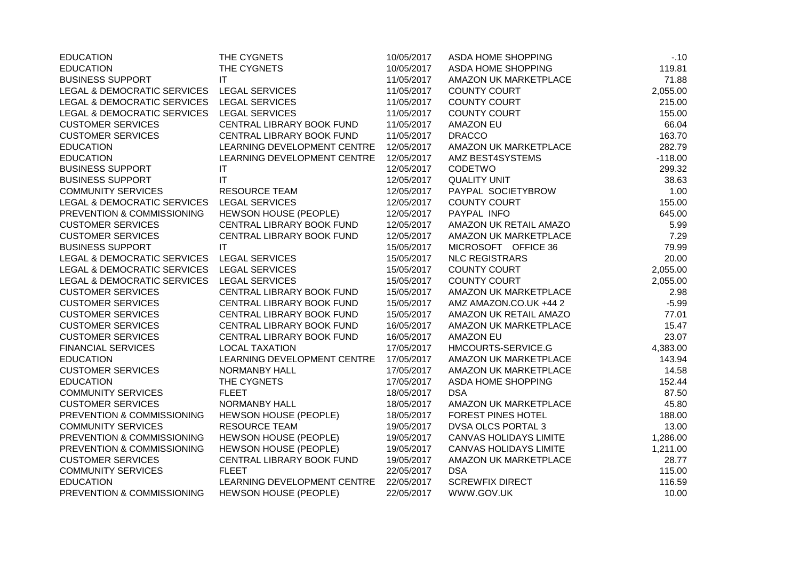| <b>EDUCATION</b>                           | THE CYGNETS                  | 10/05/2017 | ASDA HOME SHOPPING            | $-10$     |
|--------------------------------------------|------------------------------|------------|-------------------------------|-----------|
| <b>EDUCATION</b>                           | THE CYGNETS                  | 10/05/2017 | ASDA HOME SHOPPING            | 119.81    |
| <b>BUSINESS SUPPORT</b>                    | IT                           | 11/05/2017 | AMAZON UK MARKETPLACE         | 71.88     |
| LEGAL & DEMOCRATIC SERVICES LEGAL SERVICES |                              | 11/05/2017 | <b>COUNTY COURT</b>           | 2,055.00  |
| LEGAL & DEMOCRATIC SERVICES                | <b>LEGAL SERVICES</b>        | 11/05/2017 | <b>COUNTY COURT</b>           | 215.00    |
| LEGAL & DEMOCRATIC SERVICES                | <b>LEGAL SERVICES</b>        | 11/05/2017 | <b>COUNTY COURT</b>           | 155.00    |
| <b>CUSTOMER SERVICES</b>                   | CENTRAL LIBRARY BOOK FUND    | 11/05/2017 | <b>AMAZON EU</b>              | 66.04     |
| <b>CUSTOMER SERVICES</b>                   | CENTRAL LIBRARY BOOK FUND    | 11/05/2017 | <b>DRACCO</b>                 | 163.70    |
| <b>EDUCATION</b>                           | LEARNING DEVELOPMENT CENTRE  | 12/05/2017 | AMAZON UK MARKETPLACE         | 282.79    |
| <b>EDUCATION</b>                           | LEARNING DEVELOPMENT CENTRE  | 12/05/2017 | AMZ BEST4SYSTEMS              | $-118.00$ |
| <b>BUSINESS SUPPORT</b>                    | IT                           | 12/05/2017 | CODETWO                       | 299.32    |
| <b>BUSINESS SUPPORT</b>                    | IT                           | 12/05/2017 | <b>QUALITY UNIT</b>           | 38.63     |
| <b>COMMUNITY SERVICES</b>                  | <b>RESOURCE TEAM</b>         | 12/05/2017 | PAYPAL SOCIETYBROW            | 1.00      |
| LEGAL & DEMOCRATIC SERVICES                | <b>LEGAL SERVICES</b>        | 12/05/2017 | <b>COUNTY COURT</b>           | 155.00    |
| PREVENTION & COMMISSIONING                 | HEWSON HOUSE (PEOPLE)        | 12/05/2017 | PAYPAL INFO                   | 645.00    |
| <b>CUSTOMER SERVICES</b>                   | CENTRAL LIBRARY BOOK FUND    | 12/05/2017 | AMAZON UK RETAIL AMAZO        | 5.99      |
| <b>CUSTOMER SERVICES</b>                   | CENTRAL LIBRARY BOOK FUND    | 12/05/2017 | AMAZON UK MARKETPLACE         | 7.29      |
| <b>BUSINESS SUPPORT</b>                    | IT                           | 15/05/2017 | MICROSOFT OFFICE 36           | 79.99     |
| LEGAL & DEMOCRATIC SERVICES                | <b>LEGAL SERVICES</b>        | 15/05/2017 | <b>NLC REGISTRARS</b>         | 20.00     |
| <b>LEGAL &amp; DEMOCRATIC SERVICES</b>     | <b>LEGAL SERVICES</b>        | 15/05/2017 | <b>COUNTY COURT</b>           | 2,055.00  |
| LEGAL & DEMOCRATIC SERVICES                | <b>LEGAL SERVICES</b>        | 15/05/2017 | <b>COUNTY COURT</b>           | 2,055.00  |
| <b>CUSTOMER SERVICES</b>                   | CENTRAL LIBRARY BOOK FUND    | 15/05/2017 | AMAZON UK MARKETPLACE         | 2.98      |
| <b>CUSTOMER SERVICES</b>                   | CENTRAL LIBRARY BOOK FUND    | 15/05/2017 | AMZ AMAZON.CO.UK +44 2        | $-5.99$   |
| <b>CUSTOMER SERVICES</b>                   | CENTRAL LIBRARY BOOK FUND    | 15/05/2017 | AMAZON UK RETAIL AMAZO        | 77.01     |
| <b>CUSTOMER SERVICES</b>                   | CENTRAL LIBRARY BOOK FUND    | 16/05/2017 | AMAZON UK MARKETPLACE         | 15.47     |
| <b>CUSTOMER SERVICES</b>                   | CENTRAL LIBRARY BOOK FUND    | 16/05/2017 | <b>AMAZON EU</b>              | 23.07     |
| <b>FINANCIAL SERVICES</b>                  | <b>LOCAL TAXATION</b>        | 17/05/2017 | HMCOURTS-SERVICE.G            | 4,383.00  |
| <b>EDUCATION</b>                           | LEARNING DEVELOPMENT CENTRE  | 17/05/2017 | AMAZON UK MARKETPLACE         | 143.94    |
| <b>CUSTOMER SERVICES</b>                   | <b>NORMANBY HALL</b>         | 17/05/2017 | AMAZON UK MARKETPLACE         | 14.58     |
| <b>EDUCATION</b>                           | THE CYGNETS                  | 17/05/2017 | ASDA HOME SHOPPING            | 152.44    |
| <b>COMMUNITY SERVICES</b>                  | <b>FLEET</b>                 | 18/05/2017 | <b>DSA</b>                    | 87.50     |
| <b>CUSTOMER SERVICES</b>                   | NORMANBY HALL                | 18/05/2017 | AMAZON UK MARKETPLACE         | 45.80     |
| PREVENTION & COMMISSIONING                 | HEWSON HOUSE (PEOPLE)        | 18/05/2017 | <b>FOREST PINES HOTEL</b>     | 188.00    |
| <b>COMMUNITY SERVICES</b>                  | <b>RESOURCE TEAM</b>         | 19/05/2017 | <b>DVSA OLCS PORTAL 3</b>     | 13.00     |
| PREVENTION & COMMISSIONING                 | HEWSON HOUSE (PEOPLE)        | 19/05/2017 | <b>CANVAS HOLIDAYS LIMITE</b> | 1,286.00  |
| PREVENTION & COMMISSIONING                 | HEWSON HOUSE (PEOPLE)        | 19/05/2017 | <b>CANVAS HOLIDAYS LIMITE</b> | 1,211.00  |
| <b>CUSTOMER SERVICES</b>                   | CENTRAL LIBRARY BOOK FUND    | 19/05/2017 | AMAZON UK MARKETPLACE         | 28.77     |
| <b>COMMUNITY SERVICES</b>                  | <b>FLEET</b>                 | 22/05/2017 | <b>DSA</b>                    | 115.00    |
| <b>EDUCATION</b>                           | LEARNING DEVELOPMENT CENTRE  | 22/05/2017 | <b>SCREWFIX DIRECT</b>        | 116.59    |
| PREVENTION & COMMISSIONING                 | <b>HEWSON HOUSE (PEOPLE)</b> | 22/05/2017 | WWW.GOV.UK                    | 10.00     |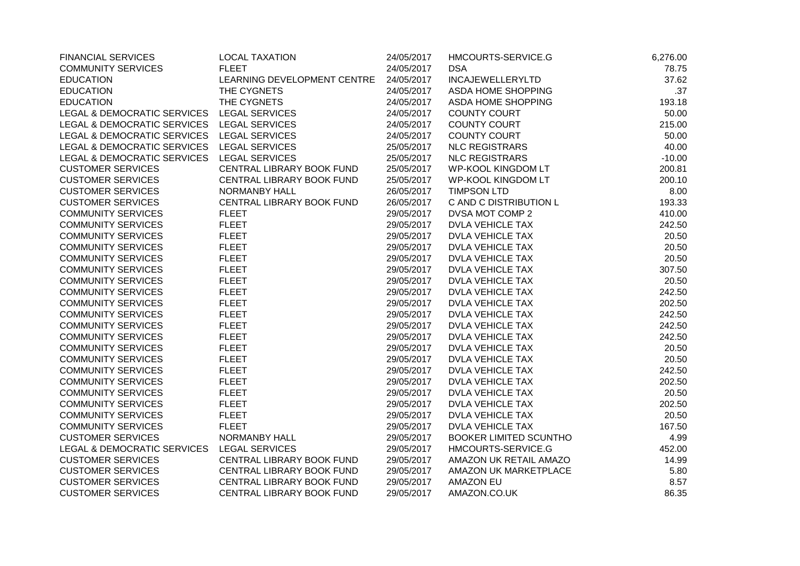| <b>FINANCIAL SERVICES</b>                  | <b>LOCAL TAXATION</b>       | 24/05/2017 | HMCOURTS-SERVICE.G            | 6,276.00 |
|--------------------------------------------|-----------------------------|------------|-------------------------------|----------|
| <b>COMMUNITY SERVICES</b>                  | <b>FLEET</b>                | 24/05/2017 | <b>DSA</b>                    | 78.75    |
| <b>EDUCATION</b>                           | LEARNING DEVELOPMENT CENTRE | 24/05/2017 | <b>INCAJEWELLERYLTD</b>       | 37.62    |
| <b>EDUCATION</b>                           | THE CYGNETS                 | 24/05/2017 | ASDA HOME SHOPPING            | .37      |
| <b>EDUCATION</b>                           | THE CYGNETS                 | 24/05/2017 | ASDA HOME SHOPPING            | 193.18   |
| LEGAL & DEMOCRATIC SERVICES                | <b>LEGAL SERVICES</b>       | 24/05/2017 | <b>COUNTY COURT</b>           | 50.00    |
| LEGAL & DEMOCRATIC SERVICES LEGAL SERVICES |                             | 24/05/2017 | <b>COUNTY COURT</b>           | 215.00   |
| LEGAL & DEMOCRATIC SERVICES LEGAL SERVICES |                             | 24/05/2017 | <b>COUNTY COURT</b>           | 50.00    |
| <b>LEGAL &amp; DEMOCRATIC SERVICES</b>     | <b>LEGAL SERVICES</b>       | 25/05/2017 | <b>NLC REGISTRARS</b>         | 40.00    |
| LEGAL & DEMOCRATIC SERVICES                | LEGAL SERVICES              | 25/05/2017 | <b>NLC REGISTRARS</b>         | $-10.00$ |
| <b>CUSTOMER SERVICES</b>                   | CENTRAL LIBRARY BOOK FUND   | 25/05/2017 | <b>WP-KOOL KINGDOM LT</b>     | 200.81   |
| <b>CUSTOMER SERVICES</b>                   | CENTRAL LIBRARY BOOK FUND   | 25/05/2017 | <b>WP-KOOL KINGDOM LT</b>     | 200.10   |
| <b>CUSTOMER SERVICES</b>                   | <b>NORMANBY HALL</b>        | 26/05/2017 | <b>TIMPSON LTD</b>            | 8.00     |
| <b>CUSTOMER SERVICES</b>                   | CENTRAL LIBRARY BOOK FUND   | 26/05/2017 | C AND C DISTRIBUTION L        | 193.33   |
| <b>COMMUNITY SERVICES</b>                  | <b>FLEET</b>                | 29/05/2017 | DVSA MOT COMP 2               | 410.00   |
| <b>COMMUNITY SERVICES</b>                  | <b>FLEET</b>                | 29/05/2017 | <b>DVLA VEHICLE TAX</b>       | 242.50   |
| <b>COMMUNITY SERVICES</b>                  | <b>FLEET</b>                | 29/05/2017 | <b>DVLA VEHICLE TAX</b>       | 20.50    |
| <b>COMMUNITY SERVICES</b>                  | <b>FLEET</b>                | 29/05/2017 | <b>DVLA VEHICLE TAX</b>       | 20.50    |
| <b>COMMUNITY SERVICES</b>                  | <b>FLEET</b>                | 29/05/2017 | <b>DVLA VEHICLE TAX</b>       | 20.50    |
| <b>COMMUNITY SERVICES</b>                  | <b>FLEET</b>                | 29/05/2017 | <b>DVLA VEHICLE TAX</b>       | 307.50   |
| <b>COMMUNITY SERVICES</b>                  | <b>FLEET</b>                | 29/05/2017 | <b>DVLA VEHICLE TAX</b>       | 20.50    |
| <b>COMMUNITY SERVICES</b>                  | <b>FLEET</b>                | 29/05/2017 | <b>DVLA VEHICLE TAX</b>       | 242.50   |
| <b>COMMUNITY SERVICES</b>                  | <b>FLEET</b>                | 29/05/2017 | <b>DVLA VEHICLE TAX</b>       | 202.50   |
| <b>COMMUNITY SERVICES</b>                  | <b>FLEET</b>                | 29/05/2017 | <b>DVLA VEHICLE TAX</b>       | 242.50   |
| <b>COMMUNITY SERVICES</b>                  | <b>FLEET</b>                | 29/05/2017 | <b>DVLA VEHICLE TAX</b>       | 242.50   |
| <b>COMMUNITY SERVICES</b>                  | <b>FLEET</b>                | 29/05/2017 | <b>DVLA VEHICLE TAX</b>       | 242.50   |
| <b>COMMUNITY SERVICES</b>                  | <b>FLEET</b>                | 29/05/2017 | <b>DVLA VEHICLE TAX</b>       | 20.50    |
| <b>COMMUNITY SERVICES</b>                  | <b>FLEET</b>                | 29/05/2017 | <b>DVLA VEHICLE TAX</b>       | 20.50    |
| <b>COMMUNITY SERVICES</b>                  | <b>FLEET</b>                | 29/05/2017 | <b>DVLA VEHICLE TAX</b>       | 242.50   |
| <b>COMMUNITY SERVICES</b>                  | <b>FLEET</b>                | 29/05/2017 | <b>DVLA VEHICLE TAX</b>       | 202.50   |
| <b>COMMUNITY SERVICES</b>                  | <b>FLEET</b>                | 29/05/2017 | <b>DVLA VEHICLE TAX</b>       | 20.50    |
| <b>COMMUNITY SERVICES</b>                  | <b>FLEET</b>                | 29/05/2017 | <b>DVLA VEHICLE TAX</b>       | 202.50   |
| <b>COMMUNITY SERVICES</b>                  | <b>FLEET</b>                | 29/05/2017 | <b>DVLA VEHICLE TAX</b>       | 20.50    |
| <b>COMMUNITY SERVICES</b>                  | <b>FLEET</b>                | 29/05/2017 | <b>DVLA VEHICLE TAX</b>       | 167.50   |
| <b>CUSTOMER SERVICES</b>                   | NORMANBY HALL               | 29/05/2017 | <b>BOOKER LIMITED SCUNTHO</b> | 4.99     |
| LEGAL & DEMOCRATIC SERVICES                | <b>LEGAL SERVICES</b>       | 29/05/2017 | HMCOURTS-SERVICE.G            | 452.00   |
| <b>CUSTOMER SERVICES</b>                   | CENTRAL LIBRARY BOOK FUND   | 29/05/2017 | AMAZON UK RETAIL AMAZO        | 14.99    |
| <b>CUSTOMER SERVICES</b>                   | CENTRAL LIBRARY BOOK FUND   | 29/05/2017 | AMAZON UK MARKETPLACE         | 5.80     |
| <b>CUSTOMER SERVICES</b>                   | CENTRAL LIBRARY BOOK FUND   | 29/05/2017 | <b>AMAZON EU</b>              | 8.57     |
| <b>CUSTOMER SERVICES</b>                   | CENTRAL LIBRARY BOOK FUND   | 29/05/2017 | AMAZON.CO.UK                  | 86.35    |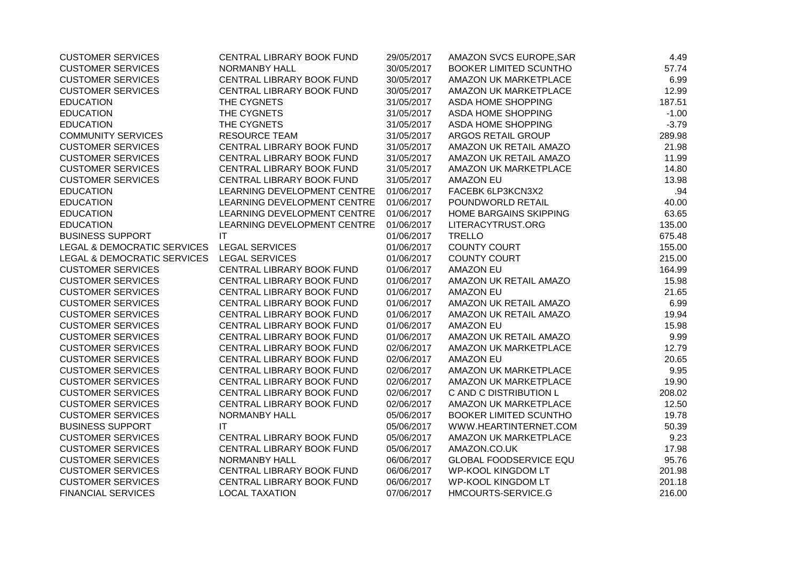| <b>CUSTOMER SERVICES</b>               | CENTRAL LIBRARY BOOK FUND   | 29/05/2017 | AMAZON SVCS EUROPE, SAR       | 4.49    |
|----------------------------------------|-----------------------------|------------|-------------------------------|---------|
| <b>CUSTOMER SERVICES</b>               | <b>NORMANBY HALL</b>        | 30/05/2017 | <b>BOOKER LIMITED SCUNTHO</b> | 57.74   |
| <b>CUSTOMER SERVICES</b>               | CENTRAL LIBRARY BOOK FUND   | 30/05/2017 | AMAZON UK MARKETPLACE         | 6.99    |
| <b>CUSTOMER SERVICES</b>               | CENTRAL LIBRARY BOOK FUND   | 30/05/2017 | AMAZON UK MARKETPLACE         | 12.99   |
| <b>EDUCATION</b>                       | THE CYGNETS                 | 31/05/2017 | ASDA HOME SHOPPING            | 187.51  |
| <b>EDUCATION</b>                       | THE CYGNETS                 | 31/05/2017 | ASDA HOME SHOPPING            | $-1.00$ |
| <b>EDUCATION</b>                       | THE CYGNETS                 | 31/05/2017 | ASDA HOME SHOPPING            | $-3.79$ |
| <b>COMMUNITY SERVICES</b>              | <b>RESOURCE TEAM</b>        | 31/05/2017 | ARGOS RETAIL GROUP            | 289.98  |
| <b>CUSTOMER SERVICES</b>               | CENTRAL LIBRARY BOOK FUND   | 31/05/2017 | AMAZON UK RETAIL AMAZO        | 21.98   |
| <b>CUSTOMER SERVICES</b>               | CENTRAL LIBRARY BOOK FUND   | 31/05/2017 | AMAZON UK RETAIL AMAZO        | 11.99   |
| <b>CUSTOMER SERVICES</b>               | CENTRAL LIBRARY BOOK FUND   | 31/05/2017 | AMAZON UK MARKETPLACE         | 14.80   |
| <b>CUSTOMER SERVICES</b>               | CENTRAL LIBRARY BOOK FUND   | 31/05/2017 | <b>AMAZON EU</b>              | 13.98   |
| <b>EDUCATION</b>                       | LEARNING DEVELOPMENT CENTRE | 01/06/2017 | FACEBK 6LP3KCN3X2             | .94     |
| <b>EDUCATION</b>                       | LEARNING DEVELOPMENT CENTRE | 01/06/2017 | POUNDWORLD RETAIL             | 40.00   |
| <b>EDUCATION</b>                       | LEARNING DEVELOPMENT CENTRE | 01/06/2017 | HOME BARGAINS SKIPPING        | 63.65   |
| <b>EDUCATION</b>                       | LEARNING DEVELOPMENT CENTRE | 01/06/2017 | LITERACYTRUST.ORG             | 135.00  |
| <b>BUSINESS SUPPORT</b>                | $\mathsf{I}\mathsf{T}$      | 01/06/2017 | <b>TRELLO</b>                 | 675.48  |
| <b>LEGAL &amp; DEMOCRATIC SERVICES</b> | <b>LEGAL SERVICES</b>       | 01/06/2017 | <b>COUNTY COURT</b>           | 155.00  |
| LEGAL & DEMOCRATIC SERVICES            | <b>LEGAL SERVICES</b>       | 01/06/2017 | <b>COUNTY COURT</b>           | 215.00  |
| <b>CUSTOMER SERVICES</b>               | CENTRAL LIBRARY BOOK FUND   | 01/06/2017 | <b>AMAZON EU</b>              | 164.99  |
| <b>CUSTOMER SERVICES</b>               | CENTRAL LIBRARY BOOK FUND   | 01/06/2017 | AMAZON UK RETAIL AMAZO        | 15.98   |
| <b>CUSTOMER SERVICES</b>               | CENTRAL LIBRARY BOOK FUND   | 01/06/2017 | <b>AMAZON EU</b>              | 21.65   |
| <b>CUSTOMER SERVICES</b>               | CENTRAL LIBRARY BOOK FUND   | 01/06/2017 | AMAZON UK RETAIL AMAZO        | 6.99    |
| <b>CUSTOMER SERVICES</b>               | CENTRAL LIBRARY BOOK FUND   | 01/06/2017 | AMAZON UK RETAIL AMAZO        | 19.94   |
| <b>CUSTOMER SERVICES</b>               | CENTRAL LIBRARY BOOK FUND   | 01/06/2017 | <b>AMAZON EU</b>              | 15.98   |
| <b>CUSTOMER SERVICES</b>               | CENTRAL LIBRARY BOOK FUND   | 01/06/2017 | AMAZON UK RETAIL AMAZO        | 9.99    |
| <b>CUSTOMER SERVICES</b>               | CENTRAL LIBRARY BOOK FUND   | 02/06/2017 | AMAZON UK MARKETPLACE         | 12.79   |
| <b>CUSTOMER SERVICES</b>               | CENTRAL LIBRARY BOOK FUND   | 02/06/2017 | <b>AMAZON EU</b>              | 20.65   |
| <b>CUSTOMER SERVICES</b>               | CENTRAL LIBRARY BOOK FUND   | 02/06/2017 | AMAZON UK MARKETPLACE         | 9.95    |
| <b>CUSTOMER SERVICES</b>               | CENTRAL LIBRARY BOOK FUND   | 02/06/2017 | AMAZON UK MARKETPLACE         | 19.90   |
| <b>CUSTOMER SERVICES</b>               | CENTRAL LIBRARY BOOK FUND   | 02/06/2017 | C AND C DISTRIBUTION L        | 208.02  |
| <b>CUSTOMER SERVICES</b>               | CENTRAL LIBRARY BOOK FUND   | 02/06/2017 | AMAZON UK MARKETPLACE         | 12.50   |
| <b>CUSTOMER SERVICES</b>               | <b>NORMANBY HALL</b>        | 05/06/2017 | BOOKER LIMITED SCUNTHO        | 19.78   |
| <b>BUSINESS SUPPORT</b>                | IT                          | 05/06/2017 | WWW.HEARTINTERNET.COM         | 50.39   |
| <b>CUSTOMER SERVICES</b>               | CENTRAL LIBRARY BOOK FUND   | 05/06/2017 | AMAZON UK MARKETPLACE         | 9.23    |
| <b>CUSTOMER SERVICES</b>               | CENTRAL LIBRARY BOOK FUND   | 05/06/2017 | AMAZON.CO.UK                  | 17.98   |
| <b>CUSTOMER SERVICES</b>               | <b>NORMANBY HALL</b>        | 06/06/2017 | <b>GLOBAL FOODSERVICE EQU</b> | 95.76   |
| <b>CUSTOMER SERVICES</b>               | CENTRAL LIBRARY BOOK FUND   | 06/06/2017 | <b>WP-KOOL KINGDOM LT</b>     | 201.98  |
| <b>CUSTOMER SERVICES</b>               | CENTRAL LIBRARY BOOK FUND   | 06/06/2017 | <b>WP-KOOL KINGDOM LT</b>     | 201.18  |
| <b>FINANCIAL SERVICES</b>              | <b>LOCAL TAXATION</b>       | 07/06/2017 | HMCOURTS-SERVICE.G            | 216.00  |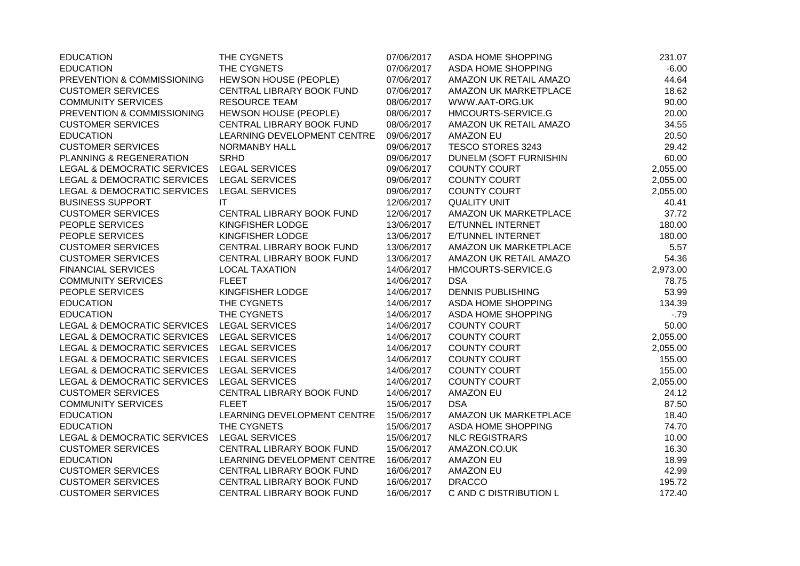| <b>EDUCATION</b>                           | THE CYGNETS                  | 07/06/2017 | ASDA HOME SHOPPING       | 231.07   |
|--------------------------------------------|------------------------------|------------|--------------------------|----------|
| <b>EDUCATION</b>                           | THE CYGNETS                  | 07/06/2017 | ASDA HOME SHOPPING       | $-6.00$  |
| PREVENTION & COMMISSIONING                 | HEWSON HOUSE (PEOPLE)        | 07/06/2017 | AMAZON UK RETAIL AMAZO   | 44.64    |
| <b>CUSTOMER SERVICES</b>                   | CENTRAL LIBRARY BOOK FUND    | 07/06/2017 | AMAZON UK MARKETPLACE    | 18.62    |
| <b>COMMUNITY SERVICES</b>                  | <b>RESOURCE TEAM</b>         | 08/06/2017 | WWW.AAT-ORG.UK           | 90.00    |
| PREVENTION & COMMISSIONING                 | <b>HEWSON HOUSE (PEOPLE)</b> | 08/06/2017 | HMCOURTS-SERVICE.G       | 20.00    |
| <b>CUSTOMER SERVICES</b>                   | CENTRAL LIBRARY BOOK FUND    | 08/06/2017 | AMAZON UK RETAIL AMAZO   | 34.55    |
| <b>EDUCATION</b>                           | LEARNING DEVELOPMENT CENTRE  | 09/06/2017 | <b>AMAZON EU</b>         | 20.50    |
| <b>CUSTOMER SERVICES</b>                   | <b>NORMANBY HALL</b>         | 09/06/2017 | TESCO STORES 3243        | 29.42    |
| PLANNING & REGENERATION                    | <b>SRHD</b>                  | 09/06/2017 | DUNELM (SOFT FURNISHIN   | 60.00    |
| LEGAL & DEMOCRATIC SERVICES                | <b>LEGAL SERVICES</b>        | 09/06/2017 | <b>COUNTY COURT</b>      | 2,055.00 |
| LEGAL & DEMOCRATIC SERVICES LEGAL SERVICES |                              | 09/06/2017 | <b>COUNTY COURT</b>      | 2,055.00 |
| LEGAL & DEMOCRATIC SERVICES                | <b>LEGAL SERVICES</b>        | 09/06/2017 | <b>COUNTY COURT</b>      | 2,055.00 |
| <b>BUSINESS SUPPORT</b>                    | IT                           | 12/06/2017 | <b>QUALITY UNIT</b>      | 40.41    |
| <b>CUSTOMER SERVICES</b>                   | CENTRAL LIBRARY BOOK FUND    | 12/06/2017 | AMAZON UK MARKETPLACE    | 37.72    |
| PEOPLE SERVICES                            | KINGFISHER LODGE             | 13/06/2017 | E/TUNNEL INTERNET        | 180.00   |
| PEOPLE SERVICES                            | KINGFISHER LODGE             | 13/06/2017 | E/TUNNEL INTERNET        | 180.00   |
| <b>CUSTOMER SERVICES</b>                   | CENTRAL LIBRARY BOOK FUND    | 13/06/2017 | AMAZON UK MARKETPLACE    | 5.57     |
| <b>CUSTOMER SERVICES</b>                   | CENTRAL LIBRARY BOOK FUND    | 13/06/2017 | AMAZON UK RETAIL AMAZO   | 54.36    |
| <b>FINANCIAL SERVICES</b>                  | <b>LOCAL TAXATION</b>        | 14/06/2017 | HMCOURTS-SERVICE.G       | 2,973.00 |
| <b>COMMUNITY SERVICES</b>                  | <b>FLEET</b>                 | 14/06/2017 | <b>DSA</b>               | 78.75    |
| PEOPLE SERVICES                            | KINGFISHER LODGE             | 14/06/2017 | <b>DENNIS PUBLISHING</b> | 53.99    |
| <b>EDUCATION</b>                           | THE CYGNETS                  | 14/06/2017 | ASDA HOME SHOPPING       | 134.39   |
| <b>EDUCATION</b>                           | THE CYGNETS                  | 14/06/2017 | ASDA HOME SHOPPING       | $-79$    |
| LEGAL & DEMOCRATIC SERVICES LEGAL SERVICES |                              | 14/06/2017 | <b>COUNTY COURT</b>      | 50.00    |
| LEGAL & DEMOCRATIC SERVICES LEGAL SERVICES |                              | 14/06/2017 | <b>COUNTY COURT</b>      | 2,055.00 |
| LEGAL & DEMOCRATIC SERVICES LEGAL SERVICES |                              | 14/06/2017 | <b>COUNTY COURT</b>      | 2,055.00 |
| LEGAL & DEMOCRATIC SERVICES LEGAL SERVICES |                              | 14/06/2017 | <b>COUNTY COURT</b>      | 155.00   |
| LEGAL & DEMOCRATIC SERVICES                | <b>LEGAL SERVICES</b>        | 14/06/2017 | <b>COUNTY COURT</b>      | 155.00   |
| LEGAL & DEMOCRATIC SERVICES                | <b>LEGAL SERVICES</b>        | 14/06/2017 | <b>COUNTY COURT</b>      | 2,055.00 |
| <b>CUSTOMER SERVICES</b>                   | CENTRAL LIBRARY BOOK FUND    | 14/06/2017 | <b>AMAZON EU</b>         | 24.12    |
| <b>COMMUNITY SERVICES</b>                  | <b>FLEET</b>                 | 15/06/2017 | <b>DSA</b>               | 87.50    |
| <b>EDUCATION</b>                           | LEARNING DEVELOPMENT CENTRE  | 15/06/2017 | AMAZON UK MARKETPLACE    | 18.40    |
| <b>EDUCATION</b>                           | THE CYGNETS                  | 15/06/2017 | ASDA HOME SHOPPING       | 74.70    |
| LEGAL & DEMOCRATIC SERVICES                | <b>LEGAL SERVICES</b>        | 15/06/2017 | <b>NLC REGISTRARS</b>    | 10.00    |
| <b>CUSTOMER SERVICES</b>                   | CENTRAL LIBRARY BOOK FUND    | 15/06/2017 | AMAZON.CO.UK             | 16.30    |
| <b>EDUCATION</b>                           | LEARNING DEVELOPMENT CENTRE  | 16/06/2017 | <b>AMAZON EU</b>         | 18.99    |
| <b>CUSTOMER SERVICES</b>                   | CENTRAL LIBRARY BOOK FUND    | 16/06/2017 | <b>AMAZON EU</b>         | 42.99    |
| <b>CUSTOMER SERVICES</b>                   | CENTRAL LIBRARY BOOK FUND    | 16/06/2017 | <b>DRACCO</b>            | 195.72   |
| <b>CUSTOMER SERVICES</b>                   | CENTRAL LIBRARY BOOK FUND    | 16/06/2017 | C AND C DISTRIBUTION L   | 172.40   |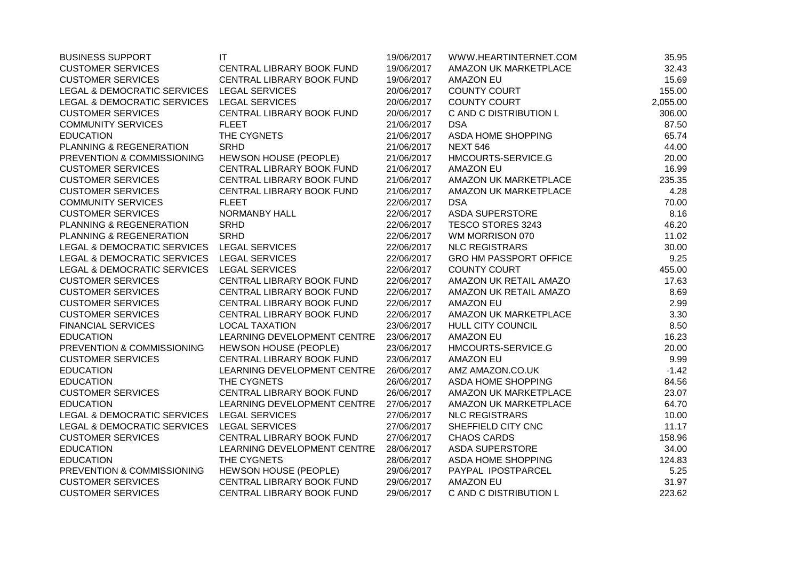| <b>BUSINESS SUPPORT</b>                    | IT                           | 19/06/2017 | WWW.HEARTINTERNET.COM         | 35.95    |
|--------------------------------------------|------------------------------|------------|-------------------------------|----------|
| <b>CUSTOMER SERVICES</b>                   | CENTRAL LIBRARY BOOK FUND    | 19/06/2017 | AMAZON UK MARKETPLACE         | 32.43    |
| <b>CUSTOMER SERVICES</b>                   | CENTRAL LIBRARY BOOK FUND    | 19/06/2017 | <b>AMAZON EU</b>              | 15.69    |
| LEGAL & DEMOCRATIC SERVICES                | <b>LEGAL SERVICES</b>        | 20/06/2017 | <b>COUNTY COURT</b>           | 155.00   |
| <b>LEGAL &amp; DEMOCRATIC SERVICES</b>     | <b>LEGAL SERVICES</b>        | 20/06/2017 | <b>COUNTY COURT</b>           | 2,055.00 |
| <b>CUSTOMER SERVICES</b>                   | CENTRAL LIBRARY BOOK FUND    | 20/06/2017 | C AND C DISTRIBUTION L        | 306.00   |
| <b>COMMUNITY SERVICES</b>                  | <b>FLEET</b>                 | 21/06/2017 | <b>DSA</b>                    | 87.50    |
| <b>EDUCATION</b>                           | THE CYGNETS                  | 21/06/2017 | ASDA HOME SHOPPING            | 65.74    |
| PLANNING & REGENERATION                    | <b>SRHD</b>                  | 21/06/2017 | <b>NEXT 546</b>               | 44.00    |
| PREVENTION & COMMISSIONING                 | <b>HEWSON HOUSE (PEOPLE)</b> | 21/06/2017 | HMCOURTS-SERVICE.G            | 20.00    |
| <b>CUSTOMER SERVICES</b>                   | CENTRAL LIBRARY BOOK FUND    | 21/06/2017 | <b>AMAZON EU</b>              | 16.99    |
| <b>CUSTOMER SERVICES</b>                   | CENTRAL LIBRARY BOOK FUND    | 21/06/2017 | AMAZON UK MARKETPLACE         | 235.35   |
| <b>CUSTOMER SERVICES</b>                   | CENTRAL LIBRARY BOOK FUND    | 21/06/2017 | AMAZON UK MARKETPLACE         | 4.28     |
| <b>COMMUNITY SERVICES</b>                  | <b>FLEET</b>                 | 22/06/2017 | <b>DSA</b>                    | 70.00    |
| <b>CUSTOMER SERVICES</b>                   | <b>NORMANBY HALL</b>         | 22/06/2017 | <b>ASDA SUPERSTORE</b>        | 8.16     |
| PLANNING & REGENERATION                    | <b>SRHD</b>                  | 22/06/2017 | TESCO STORES 3243             | 46.20    |
| PLANNING & REGENERATION                    | <b>SRHD</b>                  | 22/06/2017 | WM MORRISON 070               | 11.02    |
| LEGAL & DEMOCRATIC SERVICES                | <b>LEGAL SERVICES</b>        | 22/06/2017 | <b>NLC REGISTRARS</b>         | 30.00    |
| LEGAL & DEMOCRATIC SERVICES                | <b>LEGAL SERVICES</b>        | 22/06/2017 | <b>GRO HM PASSPORT OFFICE</b> | 9.25     |
| LEGAL & DEMOCRATIC SERVICES                | <b>LEGAL SERVICES</b>        | 22/06/2017 | <b>COUNTY COURT</b>           | 455.00   |
| <b>CUSTOMER SERVICES</b>                   | CENTRAL LIBRARY BOOK FUND    | 22/06/2017 | AMAZON UK RETAIL AMAZO        | 17.63    |
| <b>CUSTOMER SERVICES</b>                   | CENTRAL LIBRARY BOOK FUND    | 22/06/2017 | AMAZON UK RETAIL AMAZO        | 8.69     |
| <b>CUSTOMER SERVICES</b>                   | CENTRAL LIBRARY BOOK FUND    | 22/06/2017 | <b>AMAZON EU</b>              | 2.99     |
| <b>CUSTOMER SERVICES</b>                   | CENTRAL LIBRARY BOOK FUND    | 22/06/2017 | AMAZON UK MARKETPLACE         | 3.30     |
| <b>FINANCIAL SERVICES</b>                  | <b>LOCAL TAXATION</b>        | 23/06/2017 | <b>HULL CITY COUNCIL</b>      | 8.50     |
| <b>EDUCATION</b>                           | LEARNING DEVELOPMENT CENTRE  | 23/06/2017 | <b>AMAZON EU</b>              | 16.23    |
| PREVENTION & COMMISSIONING                 | <b>HEWSON HOUSE (PEOPLE)</b> | 23/06/2017 | HMCOURTS-SERVICE.G            | 20.00    |
| <b>CUSTOMER SERVICES</b>                   | CENTRAL LIBRARY BOOK FUND    | 23/06/2017 | <b>AMAZON EU</b>              | 9.99     |
| <b>EDUCATION</b>                           | LEARNING DEVELOPMENT CENTRE  | 26/06/2017 | AMZ AMAZON.CO.UK              | $-1.42$  |
| <b>EDUCATION</b>                           | THE CYGNETS                  | 26/06/2017 | ASDA HOME SHOPPING            | 84.56    |
| <b>CUSTOMER SERVICES</b>                   | CENTRAL LIBRARY BOOK FUND    | 26/06/2017 | AMAZON UK MARKETPLACE         | 23.07    |
| <b>EDUCATION</b>                           | LEARNING DEVELOPMENT CENTRE  | 27/06/2017 | AMAZON UK MARKETPLACE         | 64.70    |
| LEGAL & DEMOCRATIC SERVICES LEGAL SERVICES |                              | 27/06/2017 | <b>NLC REGISTRARS</b>         | 10.00    |
| LEGAL & DEMOCRATIC SERVICES                | <b>LEGAL SERVICES</b>        | 27/06/2017 | SHEFFIELD CITY CNC            | 11.17    |
| <b>CUSTOMER SERVICES</b>                   | CENTRAL LIBRARY BOOK FUND    | 27/06/2017 | <b>CHAOS CARDS</b>            | 158.96   |
| <b>EDUCATION</b>                           | LEARNING DEVELOPMENT CENTRE  | 28/06/2017 | <b>ASDA SUPERSTORE</b>        | 34.00    |
| <b>EDUCATION</b>                           | THE CYGNETS                  | 28/06/2017 | ASDA HOME SHOPPING            | 124.83   |
| PREVENTION & COMMISSIONING                 | HEWSON HOUSE (PEOPLE)        | 29/06/2017 | PAYPAL IPOSTPARCEL            | 5.25     |
| <b>CUSTOMER SERVICES</b>                   | CENTRAL LIBRARY BOOK FUND    | 29/06/2017 | <b>AMAZON EU</b>              | 31.97    |
| <b>CUSTOMER SERVICES</b>                   | CENTRAL LIBRARY BOOK FUND    | 29/06/2017 | C AND C DISTRIBUTION L        | 223.62   |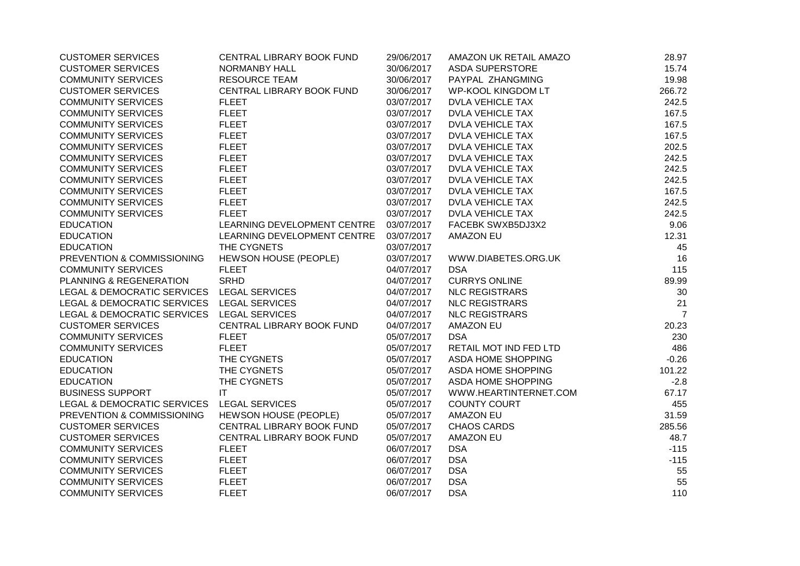| <b>CUSTOMER SERVICES</b>               | CENTRAL LIBRARY BOOK FUND    | 29/06/2017 | AMAZON UK RETAIL AMAZO    | 28.97          |
|----------------------------------------|------------------------------|------------|---------------------------|----------------|
| <b>CUSTOMER SERVICES</b>               | NORMANBY HALL                | 30/06/2017 | <b>ASDA SUPERSTORE</b>    | 15.74          |
| <b>COMMUNITY SERVICES</b>              | <b>RESOURCE TEAM</b>         | 30/06/2017 | PAYPAL ZHANGMING          | 19.98          |
| <b>CUSTOMER SERVICES</b>               | CENTRAL LIBRARY BOOK FUND    | 30/06/2017 | <b>WP-KOOL KINGDOM LT</b> | 266.72         |
| <b>COMMUNITY SERVICES</b>              | <b>FLEET</b>                 | 03/07/2017 | <b>DVLA VEHICLE TAX</b>   | 242.5          |
| <b>COMMUNITY SERVICES</b>              | <b>FLEET</b>                 | 03/07/2017 | <b>DVLA VEHICLE TAX</b>   | 167.5          |
| <b>COMMUNITY SERVICES</b>              | <b>FLEET</b>                 | 03/07/2017 | <b>DVLA VEHICLE TAX</b>   | 167.5          |
| <b>COMMUNITY SERVICES</b>              | <b>FLEET</b>                 | 03/07/2017 | <b>DVLA VEHICLE TAX</b>   | 167.5          |
| <b>COMMUNITY SERVICES</b>              | <b>FLEET</b>                 | 03/07/2017 | <b>DVLA VEHICLE TAX</b>   | 202.5          |
| <b>COMMUNITY SERVICES</b>              | <b>FLEET</b>                 | 03/07/2017 | <b>DVLA VEHICLE TAX</b>   | 242.5          |
| <b>COMMUNITY SERVICES</b>              | <b>FLEET</b>                 | 03/07/2017 | <b>DVLA VEHICLE TAX</b>   | 242.5          |
| <b>COMMUNITY SERVICES</b>              | <b>FLEET</b>                 | 03/07/2017 | <b>DVLA VEHICLE TAX</b>   | 242.5          |
| <b>COMMUNITY SERVICES</b>              | <b>FLEET</b>                 | 03/07/2017 | <b>DVLA VEHICLE TAX</b>   | 167.5          |
| <b>COMMUNITY SERVICES</b>              | <b>FLEET</b>                 | 03/07/2017 | <b>DVLA VEHICLE TAX</b>   | 242.5          |
| <b>COMMUNITY SERVICES</b>              | <b>FLEET</b>                 | 03/07/2017 | <b>DVLA VEHICLE TAX</b>   | 242.5          |
| <b>EDUCATION</b>                       | LEARNING DEVELOPMENT CENTRE  | 03/07/2017 | FACEBK SWXB5DJ3X2         | 9.06           |
| <b>EDUCATION</b>                       | LEARNING DEVELOPMENT CENTRE  | 03/07/2017 | <b>AMAZON EU</b>          | 12.31          |
| <b>EDUCATION</b>                       | THE CYGNETS                  | 03/07/2017 |                           | 45             |
| PREVENTION & COMMISSIONING             | <b>HEWSON HOUSE (PEOPLE)</b> | 03/07/2017 | WWW.DIABETES.ORG.UK       | 16             |
| <b>COMMUNITY SERVICES</b>              | <b>FLEET</b>                 | 04/07/2017 | <b>DSA</b>                | 115            |
| PLANNING & REGENERATION                | <b>SRHD</b>                  | 04/07/2017 | <b>CURRYS ONLINE</b>      | 89.99          |
| LEGAL & DEMOCRATIC SERVICES            | <b>LEGAL SERVICES</b>        | 04/07/2017 | <b>NLC REGISTRARS</b>     | 30             |
| LEGAL & DEMOCRATIC SERVICES            | <b>LEGAL SERVICES</b>        | 04/07/2017 | <b>NLC REGISTRARS</b>     | 21             |
| <b>LEGAL &amp; DEMOCRATIC SERVICES</b> | <b>LEGAL SERVICES</b>        | 04/07/2017 | <b>NLC REGISTRARS</b>     | $\overline{7}$ |
| <b>CUSTOMER SERVICES</b>               | CENTRAL LIBRARY BOOK FUND    | 04/07/2017 | <b>AMAZON EU</b>          | 20.23          |
| <b>COMMUNITY SERVICES</b>              | <b>FLEET</b>                 | 05/07/2017 | <b>DSA</b>                | 230            |
| <b>COMMUNITY SERVICES</b>              | <b>FLEET</b>                 | 05/07/2017 | RETAIL MOT IND FED LTD    | 486            |
| <b>EDUCATION</b>                       | THE CYGNETS                  | 05/07/2017 | <b>ASDA HOME SHOPPING</b> | $-0.26$        |
| <b>EDUCATION</b>                       | THE CYGNETS                  | 05/07/2017 | <b>ASDA HOME SHOPPING</b> | 101.22         |
| <b>EDUCATION</b>                       | THE CYGNETS                  | 05/07/2017 | <b>ASDA HOME SHOPPING</b> | $-2.8$         |
| <b>BUSINESS SUPPORT</b>                | IT                           | 05/07/2017 | WWW.HEARTINTERNET.COM     | 67.17          |
| <b>LEGAL &amp; DEMOCRATIC SERVICES</b> | <b>LEGAL SERVICES</b>        | 05/07/2017 | <b>COUNTY COURT</b>       | 455            |
| PREVENTION & COMMISSIONING             | <b>HEWSON HOUSE (PEOPLE)</b> | 05/07/2017 | <b>AMAZON EU</b>          | 31.59          |
| <b>CUSTOMER SERVICES</b>               | CENTRAL LIBRARY BOOK FUND    | 05/07/2017 | <b>CHAOS CARDS</b>        | 285.56         |
| <b>CUSTOMER SERVICES</b>               | CENTRAL LIBRARY BOOK FUND    | 05/07/2017 | <b>AMAZON EU</b>          | 48.7           |
| <b>COMMUNITY SERVICES</b>              | <b>FLEET</b>                 | 06/07/2017 | <b>DSA</b>                | $-115$         |
| <b>COMMUNITY SERVICES</b>              | <b>FLEET</b>                 | 06/07/2017 | <b>DSA</b>                | $-115$         |
| <b>COMMUNITY SERVICES</b>              | <b>FLEET</b>                 | 06/07/2017 | <b>DSA</b>                | 55             |
| <b>COMMUNITY SERVICES</b>              | <b>FLEET</b>                 | 06/07/2017 | <b>DSA</b>                | 55             |
| <b>COMMUNITY SERVICES</b>              | <b>FLEET</b>                 | 06/07/2017 | <b>DSA</b>                | 110            |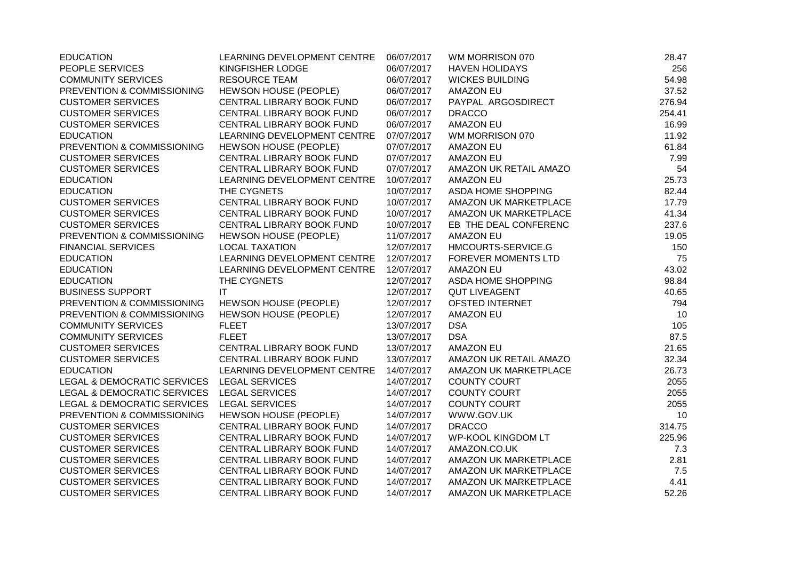| <b>EDUCATION</b>                           | LEARNING DEVELOPMENT CENTRE  | 06/07/2017 | WM MORRISON 070              | 28.47  |
|--------------------------------------------|------------------------------|------------|------------------------------|--------|
| PEOPLE SERVICES                            | KINGFISHER LODGE             | 06/07/2017 | <b>HAVEN HOLIDAYS</b>        | 256    |
| <b>COMMUNITY SERVICES</b>                  | <b>RESOURCE TEAM</b>         | 06/07/2017 | <b>WICKES BUILDING</b>       | 54.98  |
| PREVENTION & COMMISSIONING                 | HEWSON HOUSE (PEOPLE)        | 06/07/2017 | <b>AMAZON EU</b>             | 37.52  |
| <b>CUSTOMER SERVICES</b>                   | CENTRAL LIBRARY BOOK FUND    | 06/07/2017 | PAYPAL ARGOSDIRECT           | 276.94 |
| <b>CUSTOMER SERVICES</b>                   | CENTRAL LIBRARY BOOK FUND    | 06/07/2017 | <b>DRACCO</b>                | 254.41 |
| <b>CUSTOMER SERVICES</b>                   | CENTRAL LIBRARY BOOK FUND    | 06/07/2017 | <b>AMAZON EU</b>             | 16.99  |
| <b>EDUCATION</b>                           | LEARNING DEVELOPMENT CENTRE  | 07/07/2017 | WM MORRISON 070              | 11.92  |
| PREVENTION & COMMISSIONING                 | <b>HEWSON HOUSE (PEOPLE)</b> | 07/07/2017 | <b>AMAZON EU</b>             | 61.84  |
| <b>CUSTOMER SERVICES</b>                   | CENTRAL LIBRARY BOOK FUND    | 07/07/2017 | <b>AMAZON EU</b>             | 7.99   |
| <b>CUSTOMER SERVICES</b>                   | CENTRAL LIBRARY BOOK FUND    | 07/07/2017 | AMAZON UK RETAIL AMAZO       | 54     |
| <b>EDUCATION</b>                           | LEARNING DEVELOPMENT CENTRE  | 10/07/2017 | <b>AMAZON EU</b>             | 25.73  |
| <b>EDUCATION</b>                           | THE CYGNETS                  | 10/07/2017 | ASDA HOME SHOPPING           | 82.44  |
| <b>CUSTOMER SERVICES</b>                   | CENTRAL LIBRARY BOOK FUND    | 10/07/2017 | AMAZON UK MARKETPLACE        | 17.79  |
| <b>CUSTOMER SERVICES</b>                   | CENTRAL LIBRARY BOOK FUND    | 10/07/2017 | AMAZON UK MARKETPLACE        | 41.34  |
| <b>CUSTOMER SERVICES</b>                   | CENTRAL LIBRARY BOOK FUND    | 10/07/2017 | EB THE DEAL CONFERENC        | 237.6  |
| PREVENTION & COMMISSIONING                 | HEWSON HOUSE (PEOPLE)        | 11/07/2017 | <b>AMAZON EU</b>             | 19.05  |
| <b>FINANCIAL SERVICES</b>                  | <b>LOCAL TAXATION</b>        | 12/07/2017 | HMCOURTS-SERVICE.G           | 150    |
| <b>EDUCATION</b>                           | LEARNING DEVELOPMENT CENTRE  | 12/07/2017 | <b>FOREVER MOMENTS LTD</b>   | 75     |
| <b>EDUCATION</b>                           | LEARNING DEVELOPMENT CENTRE  | 12/07/2017 | <b>AMAZON EU</b>             | 43.02  |
| <b>EDUCATION</b>                           | THE CYGNETS                  | 12/07/2017 | ASDA HOME SHOPPING           | 98.84  |
| <b>BUSINESS SUPPORT</b>                    | IT                           | 12/07/2017 | <b>QUT LIVEAGENT</b>         | 40.65  |
| PREVENTION & COMMISSIONING                 | <b>HEWSON HOUSE (PEOPLE)</b> | 12/07/2017 | <b>OFSTED INTERNET</b>       | 794    |
| PREVENTION & COMMISSIONING                 | HEWSON HOUSE (PEOPLE)        | 12/07/2017 | <b>AMAZON EU</b>             | 10     |
| <b>COMMUNITY SERVICES</b>                  | <b>FLEET</b>                 | 13/07/2017 | <b>DSA</b>                   | 105    |
| <b>COMMUNITY SERVICES</b>                  | <b>FLEET</b>                 | 13/07/2017 | <b>DSA</b>                   | 87.5   |
| <b>CUSTOMER SERVICES</b>                   | CENTRAL LIBRARY BOOK FUND    | 13/07/2017 | <b>AMAZON EU</b>             | 21.65  |
| <b>CUSTOMER SERVICES</b>                   | CENTRAL LIBRARY BOOK FUND    | 13/07/2017 | AMAZON UK RETAIL AMAZO       | 32.34  |
| <b>EDUCATION</b>                           | LEARNING DEVELOPMENT CENTRE  | 14/07/2017 | AMAZON UK MARKETPLACE        | 26.73  |
| LEGAL & DEMOCRATIC SERVICES                | <b>LEGAL SERVICES</b>        | 14/07/2017 | COUNTY COURT                 | 2055   |
| LEGAL & DEMOCRATIC SERVICES LEGAL SERVICES |                              | 14/07/2017 | <b>COUNTY COURT</b>          | 2055   |
| LEGAL & DEMOCRATIC SERVICES                | <b>LEGAL SERVICES</b>        | 14/07/2017 | <b>COUNTY COURT</b>          | 2055   |
| PREVENTION & COMMISSIONING                 | HEWSON HOUSE (PEOPLE)        | 14/07/2017 | WWW.GOV.UK                   | 10     |
| <b>CUSTOMER SERVICES</b>                   | CENTRAL LIBRARY BOOK FUND    | 14/07/2017 | <b>DRACCO</b>                | 314.75 |
| <b>CUSTOMER SERVICES</b>                   | CENTRAL LIBRARY BOOK FUND    | 14/07/2017 | <b>WP-KOOL KINGDOM LT</b>    | 225.96 |
| <b>CUSTOMER SERVICES</b>                   | CENTRAL LIBRARY BOOK FUND    | 14/07/2017 | AMAZON.CO.UK                 | 7.3    |
| <b>CUSTOMER SERVICES</b>                   | CENTRAL LIBRARY BOOK FUND    | 14/07/2017 | AMAZON UK MARKETPLACE        | 2.81   |
| <b>CUSTOMER SERVICES</b>                   | CENTRAL LIBRARY BOOK FUND    | 14/07/2017 | AMAZON UK MARKETPLACE        | 7.5    |
| <b>CUSTOMER SERVICES</b>                   | CENTRAL LIBRARY BOOK FUND    | 14/07/2017 | AMAZON UK MARKETPLACE        | 4.41   |
| <b>CUSTOMER SERVICES</b>                   | CENTRAL LIBRARY BOOK FUND    | 14/07/2017 | <b>AMAZON UK MARKETPLACE</b> | 52.26  |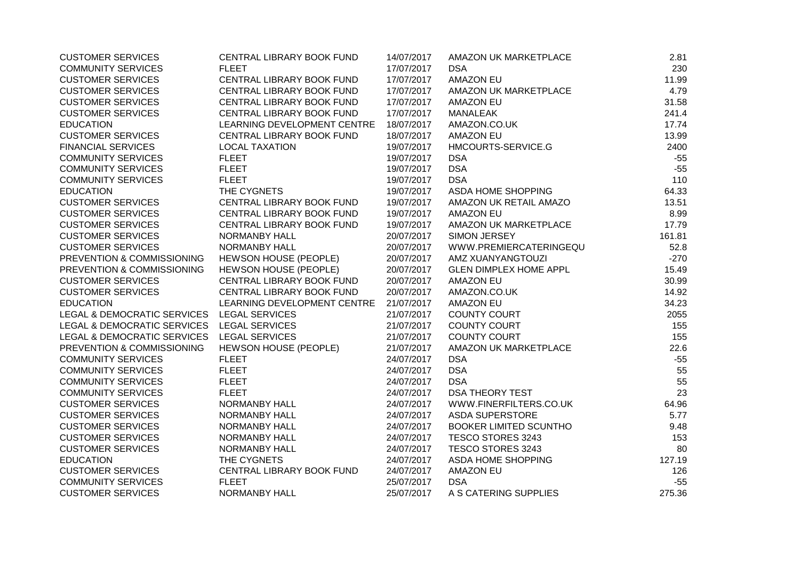| <b>CUSTOMER SERVICES</b>                   | CENTRAL LIBRARY BOOK FUND    | 14/07/2017 | AMAZON UK MARKETPLACE         | 2.81   |
|--------------------------------------------|------------------------------|------------|-------------------------------|--------|
| <b>COMMUNITY SERVICES</b>                  | <b>FLEET</b>                 | 17/07/2017 | <b>DSA</b>                    | 230    |
| <b>CUSTOMER SERVICES</b>                   | CENTRAL LIBRARY BOOK FUND    | 17/07/2017 | <b>AMAZON EU</b>              | 11.99  |
| <b>CUSTOMER SERVICES</b>                   | CENTRAL LIBRARY BOOK FUND    | 17/07/2017 | AMAZON UK MARKETPLACE         | 4.79   |
| <b>CUSTOMER SERVICES</b>                   | CENTRAL LIBRARY BOOK FUND    | 17/07/2017 | <b>AMAZON EU</b>              | 31.58  |
| <b>CUSTOMER SERVICES</b>                   | CENTRAL LIBRARY BOOK FUND    | 17/07/2017 | <b>MANALEAK</b>               | 241.4  |
| <b>EDUCATION</b>                           | LEARNING DEVELOPMENT CENTRE  | 18/07/2017 | AMAZON.CO.UK                  | 17.74  |
| <b>CUSTOMER SERVICES</b>                   | CENTRAL LIBRARY BOOK FUND    | 18/07/2017 | <b>AMAZON EU</b>              | 13.99  |
| <b>FINANCIAL SERVICES</b>                  | <b>LOCAL TAXATION</b>        | 19/07/2017 | HMCOURTS-SERVICE.G            | 2400   |
| <b>COMMUNITY SERVICES</b>                  | <b>FLEET</b>                 | 19/07/2017 | <b>DSA</b>                    | $-55$  |
| <b>COMMUNITY SERVICES</b>                  | <b>FLEET</b>                 | 19/07/2017 | <b>DSA</b>                    | $-55$  |
| <b>COMMUNITY SERVICES</b>                  | <b>FLEET</b>                 | 19/07/2017 | <b>DSA</b>                    | 110    |
| <b>EDUCATION</b>                           | THE CYGNETS                  | 19/07/2017 | ASDA HOME SHOPPING            | 64.33  |
| <b>CUSTOMER SERVICES</b>                   | CENTRAL LIBRARY BOOK FUND    | 19/07/2017 | AMAZON UK RETAIL AMAZO        | 13.51  |
| <b>CUSTOMER SERVICES</b>                   | CENTRAL LIBRARY BOOK FUND    | 19/07/2017 | <b>AMAZON EU</b>              | 8.99   |
| <b>CUSTOMER SERVICES</b>                   | CENTRAL LIBRARY BOOK FUND    | 19/07/2017 | AMAZON UK MARKETPLACE         | 17.79  |
| <b>CUSTOMER SERVICES</b>                   | NORMANBY HALL                | 20/07/2017 | SIMON JERSEY                  | 161.81 |
| <b>CUSTOMER SERVICES</b>                   | <b>NORMANBY HALL</b>         | 20/07/2017 | WWW.PREMIERCATERINGEQU        | 52.8   |
| PREVENTION & COMMISSIONING                 | <b>HEWSON HOUSE (PEOPLE)</b> | 20/07/2017 | AMZ XUANYANGTOUZI             | $-270$ |
| PREVENTION & COMMISSIONING                 | <b>HEWSON HOUSE (PEOPLE)</b> | 20/07/2017 | <b>GLEN DIMPLEX HOME APPL</b> | 15.49  |
| <b>CUSTOMER SERVICES</b>                   | CENTRAL LIBRARY BOOK FUND    | 20/07/2017 | <b>AMAZON EU</b>              | 30.99  |
| <b>CUSTOMER SERVICES</b>                   | CENTRAL LIBRARY BOOK FUND    | 20/07/2017 | AMAZON.CO.UK                  | 14.92  |
| <b>EDUCATION</b>                           | LEARNING DEVELOPMENT CENTRE  | 21/07/2017 | <b>AMAZON EU</b>              | 34.23  |
| LEGAL & DEMOCRATIC SERVICES LEGAL SERVICES |                              | 21/07/2017 | <b>COUNTY COURT</b>           | 2055   |
| LEGAL & DEMOCRATIC SERVICES LEGAL SERVICES |                              | 21/07/2017 | <b>COUNTY COURT</b>           | 155    |
| LEGAL & DEMOCRATIC SERVICES                | <b>LEGAL SERVICES</b>        | 21/07/2017 | <b>COUNTY COURT</b>           | 155    |
| PREVENTION & COMMISSIONING                 | <b>HEWSON HOUSE (PEOPLE)</b> | 21/07/2017 | AMAZON UK MARKETPLACE         | 22.6   |
| <b>COMMUNITY SERVICES</b>                  | <b>FLEET</b>                 | 24/07/2017 | <b>DSA</b>                    | $-55$  |
| <b>COMMUNITY SERVICES</b>                  | <b>FLEET</b>                 | 24/07/2017 | <b>DSA</b>                    | 55     |
| <b>COMMUNITY SERVICES</b>                  | <b>FLEET</b>                 | 24/07/2017 | <b>DSA</b>                    | 55     |
| <b>COMMUNITY SERVICES</b>                  | <b>FLEET</b>                 | 24/07/2017 | <b>DSA THEORY TEST</b>        | 23     |
| <b>CUSTOMER SERVICES</b>                   | <b>NORMANBY HALL</b>         | 24/07/2017 | WWW.FINERFILTERS.CO.UK        | 64.96  |
| <b>CUSTOMER SERVICES</b>                   | NORMANBY HALL                | 24/07/2017 | <b>ASDA SUPERSTORE</b>        | 5.77   |
| <b>CUSTOMER SERVICES</b>                   | NORMANBY HALL                | 24/07/2017 | <b>BOOKER LIMITED SCUNTHO</b> | 9.48   |
| <b>CUSTOMER SERVICES</b>                   | <b>NORMANBY HALL</b>         | 24/07/2017 | TESCO STORES 3243             | 153    |
| <b>CUSTOMER SERVICES</b>                   | <b>NORMANBY HALL</b>         | 24/07/2017 | TESCO STORES 3243             | 80     |
| <b>EDUCATION</b>                           | THE CYGNETS                  | 24/07/2017 | ASDA HOME SHOPPING            | 127.19 |
| <b>CUSTOMER SERVICES</b>                   | CENTRAL LIBRARY BOOK FUND    | 24/07/2017 | <b>AMAZON EU</b>              | 126    |
| <b>COMMUNITY SERVICES</b>                  | <b>FLEET</b>                 | 25/07/2017 | <b>DSA</b>                    | $-55$  |
| <b>CUSTOMER SERVICES</b>                   | <b>NORMANBY HALL</b>         | 25/07/2017 | A S CATERING SUPPLIES         | 275.36 |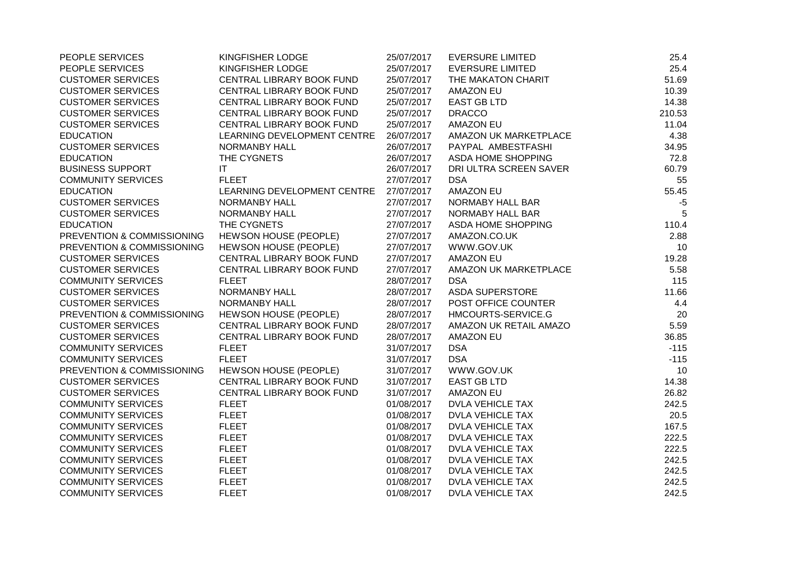| PEOPLE SERVICES            | KINGFISHER LODGE             | 25/07/2017 | <b>EVERSURE LIMITED</b> | 25.4   |
|----------------------------|------------------------------|------------|-------------------------|--------|
| PEOPLE SERVICES            | KINGFISHER LODGE             | 25/07/2017 | <b>EVERSURE LIMITED</b> | 25.4   |
| <b>CUSTOMER SERVICES</b>   | CENTRAL LIBRARY BOOK FUND    | 25/07/2017 | THE MAKATON CHARIT      | 51.69  |
| <b>CUSTOMER SERVICES</b>   | CENTRAL LIBRARY BOOK FUND    | 25/07/2017 | <b>AMAZON EU</b>        | 10.39  |
| <b>CUSTOMER SERVICES</b>   | CENTRAL LIBRARY BOOK FUND    | 25/07/2017 | <b>EAST GB LTD</b>      | 14.38  |
| <b>CUSTOMER SERVICES</b>   | CENTRAL LIBRARY BOOK FUND    | 25/07/2017 | <b>DRACCO</b>           | 210.53 |
| <b>CUSTOMER SERVICES</b>   | CENTRAL LIBRARY BOOK FUND    | 25/07/2017 | <b>AMAZON EU</b>        | 11.04  |
| <b>EDUCATION</b>           | LEARNING DEVELOPMENT CENTRE  | 26/07/2017 | AMAZON UK MARKETPLACE   | 4.38   |
| <b>CUSTOMER SERVICES</b>   | <b>NORMANBY HALL</b>         | 26/07/2017 | PAYPAL AMBESTFASHI      | 34.95  |
| <b>EDUCATION</b>           | THE CYGNETS                  | 26/07/2017 | ASDA HOME SHOPPING      | 72.8   |
| <b>BUSINESS SUPPORT</b>    | IT.                          | 26/07/2017 | DRI ULTRA SCREEN SAVER  | 60.79  |
| <b>COMMUNITY SERVICES</b>  | <b>FLEET</b>                 | 27/07/2017 | <b>DSA</b>              | 55     |
| <b>EDUCATION</b>           | LEARNING DEVELOPMENT CENTRE  | 27/07/2017 | <b>AMAZON EU</b>        | 55.45  |
| <b>CUSTOMER SERVICES</b>   | <b>NORMANBY HALL</b>         | 27/07/2017 | NORMABY HALL BAR        | $-5$   |
| <b>CUSTOMER SERVICES</b>   | <b>NORMANBY HALL</b>         | 27/07/2017 | NORMABY HALL BAR        | 5      |
| <b>EDUCATION</b>           | THE CYGNETS                  | 27/07/2017 | ASDA HOME SHOPPING      | 110.4  |
| PREVENTION & COMMISSIONING | HEWSON HOUSE (PEOPLE)        | 27/07/2017 | AMAZON.CO.UK            | 2.88   |
| PREVENTION & COMMISSIONING | <b>HEWSON HOUSE (PEOPLE)</b> | 27/07/2017 | WWW.GOV.UK              | 10     |
| <b>CUSTOMER SERVICES</b>   | CENTRAL LIBRARY BOOK FUND    | 27/07/2017 | <b>AMAZON EU</b>        | 19.28  |
| <b>CUSTOMER SERVICES</b>   | CENTRAL LIBRARY BOOK FUND    | 27/07/2017 | AMAZON UK MARKETPLACE   | 5.58   |
| <b>COMMUNITY SERVICES</b>  | <b>FLEET</b>                 | 28/07/2017 | <b>DSA</b>              | 115    |
| <b>CUSTOMER SERVICES</b>   | NORMANBY HALL                | 28/07/2017 | <b>ASDA SUPERSTORE</b>  | 11.66  |
| <b>CUSTOMER SERVICES</b>   | <b>NORMANBY HALL</b>         | 28/07/2017 | POST OFFICE COUNTER     | 4.4    |
| PREVENTION & COMMISSIONING | HEWSON HOUSE (PEOPLE)        | 28/07/2017 | HMCOURTS-SERVICE.G      | 20     |
| <b>CUSTOMER SERVICES</b>   | CENTRAL LIBRARY BOOK FUND    | 28/07/2017 | AMAZON UK RETAIL AMAZO  | 5.59   |
| <b>CUSTOMER SERVICES</b>   | CENTRAL LIBRARY BOOK FUND    | 28/07/2017 | <b>AMAZON EU</b>        | 36.85  |
| <b>COMMUNITY SERVICES</b>  | <b>FLEET</b>                 | 31/07/2017 | <b>DSA</b>              | $-115$ |
| <b>COMMUNITY SERVICES</b>  | <b>FLEET</b>                 | 31/07/2017 | <b>DSA</b>              | $-115$ |
| PREVENTION & COMMISSIONING | <b>HEWSON HOUSE (PEOPLE)</b> | 31/07/2017 | WWW.GOV.UK              | 10     |
| <b>CUSTOMER SERVICES</b>   | CENTRAL LIBRARY BOOK FUND    | 31/07/2017 | <b>EAST GB LTD</b>      | 14.38  |
| <b>CUSTOMER SERVICES</b>   | CENTRAL LIBRARY BOOK FUND    | 31/07/2017 | <b>AMAZON EU</b>        | 26.82  |
| <b>COMMUNITY SERVICES</b>  | <b>FLEET</b>                 | 01/08/2017 | <b>DVLA VEHICLE TAX</b> | 242.5  |
| <b>COMMUNITY SERVICES</b>  | <b>FLEET</b>                 | 01/08/2017 | <b>DVLA VEHICLE TAX</b> | 20.5   |
| <b>COMMUNITY SERVICES</b>  | <b>FLEET</b>                 | 01/08/2017 | <b>DVLA VEHICLE TAX</b> | 167.5  |
| <b>COMMUNITY SERVICES</b>  | <b>FLEET</b>                 | 01/08/2017 | <b>DVLA VEHICLE TAX</b> | 222.5  |
| <b>COMMUNITY SERVICES</b>  | <b>FLEET</b>                 | 01/08/2017 | <b>DVLA VEHICLE TAX</b> | 222.5  |
| <b>COMMUNITY SERVICES</b>  | <b>FLEET</b>                 | 01/08/2017 | <b>DVLA VEHICLE TAX</b> | 242.5  |
| <b>COMMUNITY SERVICES</b>  | <b>FLEET</b>                 | 01/08/2017 | <b>DVLA VEHICLE TAX</b> | 242.5  |
| <b>COMMUNITY SERVICES</b>  | <b>FLEET</b>                 | 01/08/2017 | <b>DVLA VEHICLE TAX</b> | 242.5  |
| <b>COMMUNITY SERVICES</b>  | <b>FLEET</b>                 | 01/08/2017 | <b>DVLA VEHICLE TAX</b> | 242.5  |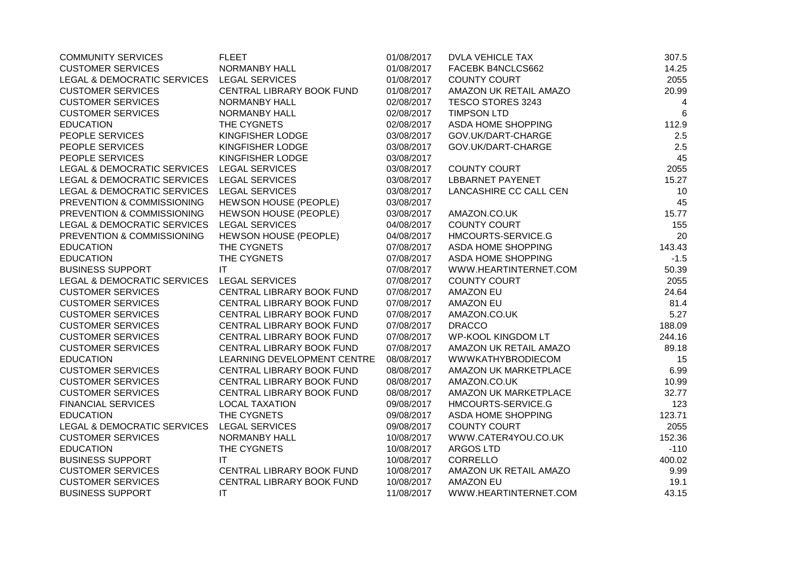| <b>COMMUNITY SERVICES</b>              | <b>FLEET</b>                 | 01/08/2017 | <b>DVLA VEHICLE TAX</b>   | 307.5  |
|----------------------------------------|------------------------------|------------|---------------------------|--------|
| <b>CUSTOMER SERVICES</b>               | NORMANBY HALL                | 01/08/2017 | FACEBK B4NCLCS662         | 14.25  |
| LEGAL & DEMOCRATIC SERVICES            | <b>LEGAL SERVICES</b>        | 01/08/2017 | <b>COUNTY COURT</b>       | 2055   |
| <b>CUSTOMER SERVICES</b>               | CENTRAL LIBRARY BOOK FUND    | 01/08/2017 | AMAZON UK RETAIL AMAZO    | 20.99  |
| <b>CUSTOMER SERVICES</b>               | <b>NORMANBY HALL</b>         | 02/08/2017 | TESCO STORES 3243         | 4      |
| <b>CUSTOMER SERVICES</b>               | <b>NORMANBY HALL</b>         | 02/08/2017 | <b>TIMPSON LTD</b>        | 6      |
| <b>EDUCATION</b>                       | THE CYGNETS                  | 02/08/2017 | ASDA HOME SHOPPING        | 112.9  |
| PEOPLE SERVICES                        | KINGFISHER LODGE             | 03/08/2017 | GOV.UK/DART-CHARGE        | 2.5    |
| PEOPLE SERVICES                        | KINGFISHER LODGE             | 03/08/2017 | GOV.UK/DART-CHARGE        | 2.5    |
| PEOPLE SERVICES                        | KINGFISHER LODGE             | 03/08/2017 |                           | 45     |
| LEGAL & DEMOCRATIC SERVICES            | <b>LEGAL SERVICES</b>        | 03/08/2017 | <b>COUNTY COURT</b>       | 2055   |
| LEGAL & DEMOCRATIC SERVICES            | <b>LEGAL SERVICES</b>        | 03/08/2017 | <b>LBBARNET PAYENET</b>   | 15.27  |
| LEGAL & DEMOCRATIC SERVICES            | <b>LEGAL SERVICES</b>        | 03/08/2017 | LANCASHIRE CC CALL CEN    | 10     |
| PREVENTION & COMMISSIONING             | <b>HEWSON HOUSE (PEOPLE)</b> | 03/08/2017 |                           | 45     |
| PREVENTION & COMMISSIONING             | HEWSON HOUSE (PEOPLE)        | 03/08/2017 | AMAZON.CO.UK              | 15.77  |
| <b>LEGAL &amp; DEMOCRATIC SERVICES</b> | <b>LEGAL SERVICES</b>        | 04/08/2017 | <b>COUNTY COURT</b>       | 155    |
| PREVENTION & COMMISSIONING             | HEWSON HOUSE (PEOPLE)        | 04/08/2017 | HMCOURTS-SERVICE.G        | 20     |
| <b>EDUCATION</b>                       | THE CYGNETS                  | 07/08/2017 | ASDA HOME SHOPPING        | 143.43 |
| <b>EDUCATION</b>                       | THE CYGNETS                  | 07/08/2017 | ASDA HOME SHOPPING        | $-1.5$ |
| <b>BUSINESS SUPPORT</b>                | IT                           | 07/08/2017 | WWW.HEARTINTERNET.COM     | 50.39  |
| LEGAL & DEMOCRATIC SERVICES            | <b>LEGAL SERVICES</b>        | 07/08/2017 | <b>COUNTY COURT</b>       | 2055   |
| <b>CUSTOMER SERVICES</b>               | CENTRAL LIBRARY BOOK FUND    | 07/08/2017 | <b>AMAZON EU</b>          | 24.64  |
| <b>CUSTOMER SERVICES</b>               | CENTRAL LIBRARY BOOK FUND    | 07/08/2017 | <b>AMAZON EU</b>          | 81.4   |
| <b>CUSTOMER SERVICES</b>               | CENTRAL LIBRARY BOOK FUND    | 07/08/2017 | AMAZON.CO.UK              | 5.27   |
| <b>CUSTOMER SERVICES</b>               | CENTRAL LIBRARY BOOK FUND    | 07/08/2017 | <b>DRACCO</b>             | 188.09 |
| <b>CUSTOMER SERVICES</b>               | CENTRAL LIBRARY BOOK FUND    | 07/08/2017 | <b>WP-KOOL KINGDOM LT</b> | 244.16 |
| <b>CUSTOMER SERVICES</b>               | CENTRAL LIBRARY BOOK FUND    | 07/08/2017 | AMAZON UK RETAIL AMAZO    | 89.18  |
| <b>EDUCATION</b>                       | LEARNING DEVELOPMENT CENTRE  | 08/08/2017 | <b>WWWKATHYBRODIECOM</b>  | 15     |
| <b>CUSTOMER SERVICES</b>               | CENTRAL LIBRARY BOOK FUND    | 08/08/2017 | AMAZON UK MARKETPLACE     | 6.99   |
| <b>CUSTOMER SERVICES</b>               | CENTRAL LIBRARY BOOK FUND    | 08/08/2017 | AMAZON.CO.UK              | 10.99  |
| <b>CUSTOMER SERVICES</b>               | CENTRAL LIBRARY BOOK FUND    | 08/08/2017 | AMAZON UK MARKETPLACE     | 32.77  |
| <b>FINANCIAL SERVICES</b>              | <b>LOCAL TAXATION</b>        | 09/08/2017 | HMCOURTS-SERVICE.G        | 123    |
| <b>EDUCATION</b>                       | THE CYGNETS                  | 09/08/2017 | ASDA HOME SHOPPING        | 123.71 |
| LEGAL & DEMOCRATIC SERVICES            | <b>LEGAL SERVICES</b>        | 09/08/2017 | <b>COUNTY COURT</b>       | 2055   |
| <b>CUSTOMER SERVICES</b>               | <b>NORMANBY HALL</b>         | 10/08/2017 | WWW.CATER4YOU.CO.UK       | 152.36 |
| <b>EDUCATION</b>                       | THE CYGNETS                  | 10/08/2017 | <b>ARGOS LTD</b>          | $-110$ |
| <b>BUSINESS SUPPORT</b>                | IT                           | 10/08/2017 | <b>CORRELLO</b>           | 400.02 |
| <b>CUSTOMER SERVICES</b>               | CENTRAL LIBRARY BOOK FUND    | 10/08/2017 | AMAZON UK RETAIL AMAZO    | 9.99   |
| <b>CUSTOMER SERVICES</b>               | CENTRAL LIBRARY BOOK FUND    | 10/08/2017 | <b>AMAZON EU</b>          | 19.1   |
| <b>BUSINESS SUPPORT</b>                | IT                           | 11/08/2017 | WWW.HEARTINTERNET.COM     | 43.15  |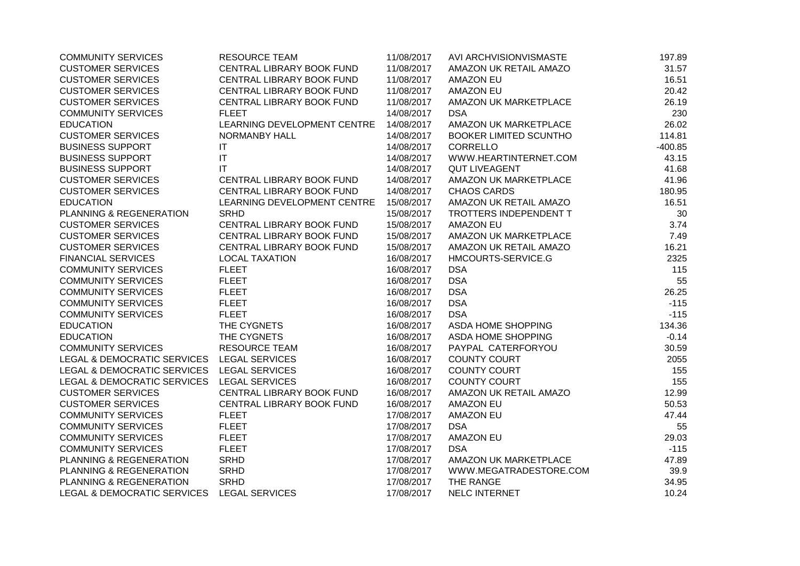| <b>COMMUNITY SERVICES</b>                  | <b>RESOURCE TEAM</b>        | 11/08/2017 | AVI ARCHVISIONVISMASTE        | 197.89    |
|--------------------------------------------|-----------------------------|------------|-------------------------------|-----------|
| <b>CUSTOMER SERVICES</b>                   | CENTRAL LIBRARY BOOK FUND   | 11/08/2017 | AMAZON UK RETAIL AMAZO        | 31.57     |
| <b>CUSTOMER SERVICES</b>                   | CENTRAL LIBRARY BOOK FUND   | 11/08/2017 | <b>AMAZON EU</b>              | 16.51     |
| <b>CUSTOMER SERVICES</b>                   | CENTRAL LIBRARY BOOK FUND   | 11/08/2017 | AMAZON EU                     | 20.42     |
| <b>CUSTOMER SERVICES</b>                   | CENTRAL LIBRARY BOOK FUND   | 11/08/2017 | AMAZON UK MARKETPLACE         | 26.19     |
| <b>COMMUNITY SERVICES</b>                  | <b>FLEET</b>                | 14/08/2017 | <b>DSA</b>                    | 230       |
| <b>EDUCATION</b>                           | LEARNING DEVELOPMENT CENTRE | 14/08/2017 | AMAZON UK MARKETPLACE         | 26.02     |
| <b>CUSTOMER SERVICES</b>                   | <b>NORMANBY HALL</b>        | 14/08/2017 | <b>BOOKER LIMITED SCUNTHO</b> | 114.81    |
| <b>BUSINESS SUPPORT</b>                    | IT                          | 14/08/2017 | <b>CORRELLO</b>               | $-400.85$ |
| <b>BUSINESS SUPPORT</b>                    | IT                          | 14/08/2017 | WWW.HEARTINTERNET.COM         | 43.15     |
| <b>BUSINESS SUPPORT</b>                    | IT                          | 14/08/2017 | <b>QUT LIVEAGENT</b>          | 41.68     |
| <b>CUSTOMER SERVICES</b>                   | CENTRAL LIBRARY BOOK FUND   | 14/08/2017 | AMAZON UK MARKETPLACE         | 41.96     |
| <b>CUSTOMER SERVICES</b>                   | CENTRAL LIBRARY BOOK FUND   | 14/08/2017 | <b>CHAOS CARDS</b>            | 180.95    |
| <b>EDUCATION</b>                           | LEARNING DEVELOPMENT CENTRE | 15/08/2017 | AMAZON UK RETAIL AMAZO        | 16.51     |
| PLANNING & REGENERATION                    | <b>SRHD</b>                 | 15/08/2017 | TROTTERS INDEPENDENT T        | 30        |
| <b>CUSTOMER SERVICES</b>                   | CENTRAL LIBRARY BOOK FUND   | 15/08/2017 | <b>AMAZON EU</b>              | 3.74      |
| <b>CUSTOMER SERVICES</b>                   | CENTRAL LIBRARY BOOK FUND   | 15/08/2017 | AMAZON UK MARKETPLACE         | 7.49      |
| <b>CUSTOMER SERVICES</b>                   | CENTRAL LIBRARY BOOK FUND   | 15/08/2017 | AMAZON UK RETAIL AMAZO        | 16.21     |
| <b>FINANCIAL SERVICES</b>                  | <b>LOCAL TAXATION</b>       | 16/08/2017 | HMCOURTS-SERVICE.G            | 2325      |
| <b>COMMUNITY SERVICES</b>                  | <b>FLEET</b>                | 16/08/2017 | <b>DSA</b>                    | 115       |
| <b>COMMUNITY SERVICES</b>                  | <b>FLEET</b>                | 16/08/2017 | <b>DSA</b>                    | 55        |
| <b>COMMUNITY SERVICES</b>                  | <b>FLEET</b>                | 16/08/2017 | <b>DSA</b>                    | 26.25     |
| <b>COMMUNITY SERVICES</b>                  | <b>FLEET</b>                | 16/08/2017 | <b>DSA</b>                    | $-115$    |
| <b>COMMUNITY SERVICES</b>                  | <b>FLEET</b>                | 16/08/2017 | <b>DSA</b>                    | $-115$    |
| <b>EDUCATION</b>                           | THE CYGNETS                 | 16/08/2017 | ASDA HOME SHOPPING            | 134.36    |
| <b>EDUCATION</b>                           | THE CYGNETS                 | 16/08/2017 | ASDA HOME SHOPPING            | $-0.14$   |
| <b>COMMUNITY SERVICES</b>                  | <b>RESOURCE TEAM</b>        | 16/08/2017 | PAYPAL CATERFORYOU            | 30.59     |
| LEGAL & DEMOCRATIC SERVICES LEGAL SERVICES |                             | 16/08/2017 | <b>COUNTY COURT</b>           | 2055      |
| LEGAL & DEMOCRATIC SERVICES                | <b>LEGAL SERVICES</b>       | 16/08/2017 | <b>COUNTY COURT</b>           | 155       |
| LEGAL & DEMOCRATIC SERVICES                | <b>LEGAL SERVICES</b>       | 16/08/2017 | <b>COUNTY COURT</b>           | 155       |
| <b>CUSTOMER SERVICES</b>                   | CENTRAL LIBRARY BOOK FUND   | 16/08/2017 | AMAZON UK RETAIL AMAZO        | 12.99     |
| <b>CUSTOMER SERVICES</b>                   | CENTRAL LIBRARY BOOK FUND   | 16/08/2017 | <b>AMAZON EU</b>              | 50.53     |
| <b>COMMUNITY SERVICES</b>                  | <b>FLEET</b>                | 17/08/2017 | <b>AMAZON EU</b>              | 47.44     |
| <b>COMMUNITY SERVICES</b>                  | <b>FLEET</b>                | 17/08/2017 | <b>DSA</b>                    | 55        |
| <b>COMMUNITY SERVICES</b>                  | <b>FLEET</b>                | 17/08/2017 | <b>AMAZON EU</b>              | 29.03     |
| <b>COMMUNITY SERVICES</b>                  | <b>FLEET</b>                | 17/08/2017 | <b>DSA</b>                    | $-115$    |
| PLANNING & REGENERATION                    | <b>SRHD</b>                 | 17/08/2017 | AMAZON UK MARKETPLACE         | 47.89     |
| PLANNING & REGENERATION                    | <b>SRHD</b>                 | 17/08/2017 | WWW.MEGATRADESTORE.COM        | 39.9      |
| PLANNING & REGENERATION                    | <b>SRHD</b>                 | 17/08/2017 | THE RANGE                     | 34.95     |
| <b>LEGAL &amp; DEMOCRATIC SERVICES</b>     | <b>LEGAL SERVICES</b>       | 17/08/2017 | NELC INTERNET                 | 10.24     |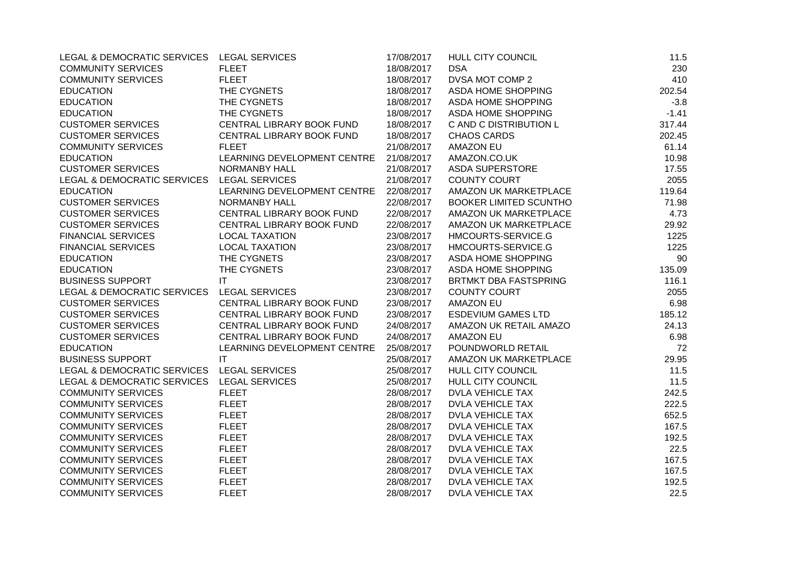| LEGAL & DEMOCRATIC SERVICES LEGAL SERVICES |                             | 17/08/2017 | HULL CITY COUNCIL            | 11.5    |
|--------------------------------------------|-----------------------------|------------|------------------------------|---------|
| <b>COMMUNITY SERVICES</b>                  | <b>FLEET</b>                | 18/08/2017 | <b>DSA</b>                   | 230     |
| <b>COMMUNITY SERVICES</b>                  | <b>FLEET</b>                | 18/08/2017 | DVSA MOT COMP 2              | 410     |
| <b>EDUCATION</b>                           | THE CYGNETS                 | 18/08/2017 | ASDA HOME SHOPPING           | 202.54  |
| <b>EDUCATION</b>                           | THE CYGNETS                 | 18/08/2017 | ASDA HOME SHOPPING           | $-3.8$  |
| <b>EDUCATION</b>                           | THE CYGNETS                 | 18/08/2017 | ASDA HOME SHOPPING           | $-1.41$ |
| <b>CUSTOMER SERVICES</b>                   | CENTRAL LIBRARY BOOK FUND   | 18/08/2017 | C AND C DISTRIBUTION L       | 317.44  |
| <b>CUSTOMER SERVICES</b>                   | CENTRAL LIBRARY BOOK FUND   | 18/08/2017 | <b>CHAOS CARDS</b>           | 202.45  |
| <b>COMMUNITY SERVICES</b>                  | <b>FLEET</b>                | 21/08/2017 | <b>AMAZON EU</b>             | 61.14   |
| <b>EDUCATION</b>                           | LEARNING DEVELOPMENT CENTRE | 21/08/2017 | AMAZON.CO.UK                 | 10.98   |
| <b>CUSTOMER SERVICES</b>                   | NORMANBY HALL               | 21/08/2017 | <b>ASDA SUPERSTORE</b>       | 17.55   |
| LEGAL & DEMOCRATIC SERVICES                | <b>LEGAL SERVICES</b>       | 21/08/2017 | <b>COUNTY COURT</b>          | 2055    |
| <b>EDUCATION</b>                           | LEARNING DEVELOPMENT CENTRE | 22/08/2017 | AMAZON UK MARKETPLACE        | 119.64  |
| <b>CUSTOMER SERVICES</b>                   | <b>NORMANBY HALL</b>        | 22/08/2017 | BOOKER LIMITED SCUNTHO       | 71.98   |
| <b>CUSTOMER SERVICES</b>                   | CENTRAL LIBRARY BOOK FUND   | 22/08/2017 | AMAZON UK MARKETPLACE        | 4.73    |
| <b>CUSTOMER SERVICES</b>                   | CENTRAL LIBRARY BOOK FUND   | 22/08/2017 | AMAZON UK MARKETPLACE        | 29.92   |
| <b>FINANCIAL SERVICES</b>                  | <b>LOCAL TAXATION</b>       | 23/08/2017 | HMCOURTS-SERVICE.G           | 1225    |
| <b>FINANCIAL SERVICES</b>                  | <b>LOCAL TAXATION</b>       | 23/08/2017 | HMCOURTS-SERVICE.G           | 1225    |
| <b>EDUCATION</b>                           | THE CYGNETS                 | 23/08/2017 | ASDA HOME SHOPPING           | 90      |
| <b>EDUCATION</b>                           | THE CYGNETS                 | 23/08/2017 | ASDA HOME SHOPPING           | 135.09  |
| <b>BUSINESS SUPPORT</b>                    | IT                          | 23/08/2017 | <b>BRTMKT DBA FASTSPRING</b> | 116.1   |
| LEGAL & DEMOCRATIC SERVICES                | <b>LEGAL SERVICES</b>       | 23/08/2017 | <b>COUNTY COURT</b>          | 2055    |
| <b>CUSTOMER SERVICES</b>                   | CENTRAL LIBRARY BOOK FUND   | 23/08/2017 | <b>AMAZON EU</b>             | 6.98    |
| <b>CUSTOMER SERVICES</b>                   | CENTRAL LIBRARY BOOK FUND   | 23/08/2017 | <b>ESDEVIUM GAMES LTD</b>    | 185.12  |
| <b>CUSTOMER SERVICES</b>                   | CENTRAL LIBRARY BOOK FUND   | 24/08/2017 | AMAZON UK RETAIL AMAZO       | 24.13   |
| <b>CUSTOMER SERVICES</b>                   | CENTRAL LIBRARY BOOK FUND   | 24/08/2017 | <b>AMAZON EU</b>             | 6.98    |
| <b>EDUCATION</b>                           | LEARNING DEVELOPMENT CENTRE | 25/08/2017 | POUNDWORLD RETAIL            | 72      |
| <b>BUSINESS SUPPORT</b>                    | IT                          | 25/08/2017 | AMAZON UK MARKETPLACE        | 29.95   |
| LEGAL & DEMOCRATIC SERVICES                | <b>LEGAL SERVICES</b>       | 25/08/2017 | HULL CITY COUNCIL            | 11.5    |
| LEGAL & DEMOCRATIC SERVICES                | <b>LEGAL SERVICES</b>       | 25/08/2017 | <b>HULL CITY COUNCIL</b>     | 11.5    |
| <b>COMMUNITY SERVICES</b>                  | <b>FLEET</b>                | 28/08/2017 | <b>DVLA VEHICLE TAX</b>      | 242.5   |
| <b>COMMUNITY SERVICES</b>                  | <b>FLEET</b>                | 28/08/2017 | <b>DVLA VEHICLE TAX</b>      | 222.5   |
| <b>COMMUNITY SERVICES</b>                  | <b>FLEET</b>                | 28/08/2017 | <b>DVLA VEHICLE TAX</b>      | 652.5   |
| <b>COMMUNITY SERVICES</b>                  | <b>FLEET</b>                | 28/08/2017 | DVLA VEHICLE TAX             | 167.5   |
| <b>COMMUNITY SERVICES</b>                  | <b>FLEET</b>                | 28/08/2017 | <b>DVLA VEHICLE TAX</b>      | 192.5   |
| <b>COMMUNITY SERVICES</b>                  | <b>FLEET</b>                | 28/08/2017 | <b>DVLA VEHICLE TAX</b>      | 22.5    |
| <b>COMMUNITY SERVICES</b>                  | <b>FLEET</b>                | 28/08/2017 | DVLA VEHICLE TAX             | 167.5   |
| <b>COMMUNITY SERVICES</b>                  | <b>FLEET</b>                | 28/08/2017 | <b>DVLA VEHICLE TAX</b>      | 167.5   |
| <b>COMMUNITY SERVICES</b>                  | <b>FLEET</b>                | 28/08/2017 | DVLA VEHICLE TAX             | 192.5   |
| <b>COMMUNITY SERVICES</b>                  | <b>FLEET</b>                | 28/08/2017 | <b>DVLA VEHICLE TAX</b>      | 22.5    |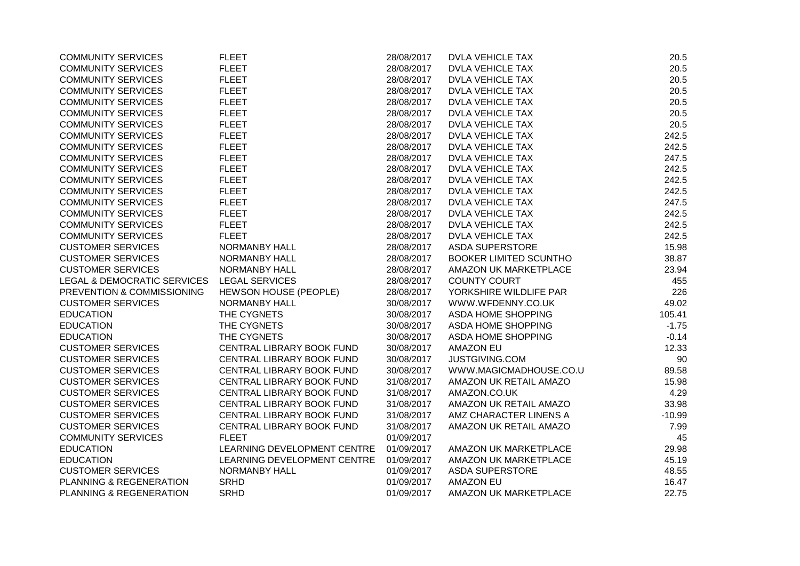| <b>COMMUNITY SERVICES</b>   | <b>FLEET</b>                 | 28/08/2017 | <b>DVLA VEHICLE TAX</b>       | 20.5     |
|-----------------------------|------------------------------|------------|-------------------------------|----------|
| <b>COMMUNITY SERVICES</b>   | <b>FLEET</b>                 | 28/08/2017 | <b>DVLA VEHICLE TAX</b>       | 20.5     |
| <b>COMMUNITY SERVICES</b>   | <b>FLEET</b>                 | 28/08/2017 | <b>DVLA VEHICLE TAX</b>       | 20.5     |
| <b>COMMUNITY SERVICES</b>   | <b>FLEET</b>                 | 28/08/2017 | <b>DVLA VEHICLE TAX</b>       | 20.5     |
| <b>COMMUNITY SERVICES</b>   | <b>FLEET</b>                 | 28/08/2017 | <b>DVLA VEHICLE TAX</b>       | 20.5     |
| <b>COMMUNITY SERVICES</b>   | <b>FLEET</b>                 | 28/08/2017 | <b>DVLA VEHICLE TAX</b>       | 20.5     |
| <b>COMMUNITY SERVICES</b>   | <b>FLEET</b>                 | 28/08/2017 | <b>DVLA VEHICLE TAX</b>       | 20.5     |
| <b>COMMUNITY SERVICES</b>   | <b>FLEET</b>                 | 28/08/2017 | <b>DVLA VEHICLE TAX</b>       | 242.5    |
| <b>COMMUNITY SERVICES</b>   | <b>FLEET</b>                 | 28/08/2017 | <b>DVLA VEHICLE TAX</b>       | 242.5    |
| <b>COMMUNITY SERVICES</b>   | <b>FLEET</b>                 | 28/08/2017 | <b>DVLA VEHICLE TAX</b>       | 247.5    |
| <b>COMMUNITY SERVICES</b>   | <b>FLEET</b>                 | 28/08/2017 | <b>DVLA VEHICLE TAX</b>       | 242.5    |
| <b>COMMUNITY SERVICES</b>   | <b>FLEET</b>                 | 28/08/2017 | <b>DVLA VEHICLE TAX</b>       | 242.5    |
| <b>COMMUNITY SERVICES</b>   | <b>FLEET</b>                 | 28/08/2017 | <b>DVLA VEHICLE TAX</b>       | 242.5    |
| <b>COMMUNITY SERVICES</b>   | <b>FLEET</b>                 | 28/08/2017 | <b>DVLA VEHICLE TAX</b>       | 247.5    |
| <b>COMMUNITY SERVICES</b>   | <b>FLEET</b>                 | 28/08/2017 | <b>DVLA VEHICLE TAX</b>       | 242.5    |
| <b>COMMUNITY SERVICES</b>   | <b>FLEET</b>                 | 28/08/2017 | <b>DVLA VEHICLE TAX</b>       | 242.5    |
| <b>COMMUNITY SERVICES</b>   | <b>FLEET</b>                 | 28/08/2017 | <b>DVLA VEHICLE TAX</b>       | 242.5    |
| <b>CUSTOMER SERVICES</b>    | <b>NORMANBY HALL</b>         | 28/08/2017 | <b>ASDA SUPERSTORE</b>        | 15.98    |
| <b>CUSTOMER SERVICES</b>    | <b>NORMANBY HALL</b>         | 28/08/2017 | <b>BOOKER LIMITED SCUNTHO</b> | 38.87    |
| <b>CUSTOMER SERVICES</b>    | <b>NORMANBY HALL</b>         | 28/08/2017 | AMAZON UK MARKETPLACE         | 23.94    |
| LEGAL & DEMOCRATIC SERVICES | <b>LEGAL SERVICES</b>        | 28/08/2017 | <b>COUNTY COURT</b>           | 455      |
| PREVENTION & COMMISSIONING  | <b>HEWSON HOUSE (PEOPLE)</b> | 28/08/2017 | YORKSHIRE WILDLIFE PAR        | 226      |
| <b>CUSTOMER SERVICES</b>    | NORMANBY HALL                | 30/08/2017 | WWW.WFDENNY.CO.UK             | 49.02    |
| <b>EDUCATION</b>            | THE CYGNETS                  | 30/08/2017 | <b>ASDA HOME SHOPPING</b>     | 105.41   |
| <b>EDUCATION</b>            | THE CYGNETS                  | 30/08/2017 | ASDA HOME SHOPPING            | $-1.75$  |
| <b>EDUCATION</b>            | THE CYGNETS                  | 30/08/2017 | ASDA HOME SHOPPING            | $-0.14$  |
| <b>CUSTOMER SERVICES</b>    | CENTRAL LIBRARY BOOK FUND    | 30/08/2017 | <b>AMAZON EU</b>              | 12.33    |
| <b>CUSTOMER SERVICES</b>    | CENTRAL LIBRARY BOOK FUND    | 30/08/2017 | JUSTGIVING.COM                | 90       |
| <b>CUSTOMER SERVICES</b>    | CENTRAL LIBRARY BOOK FUND    | 30/08/2017 | WWW.MAGICMADHOUSE.CO.U        | 89.58    |
| <b>CUSTOMER SERVICES</b>    | CENTRAL LIBRARY BOOK FUND    | 31/08/2017 | AMAZON UK RETAIL AMAZO        | 15.98    |
| <b>CUSTOMER SERVICES</b>    | CENTRAL LIBRARY BOOK FUND    | 31/08/2017 | AMAZON.CO.UK                  | 4.29     |
| <b>CUSTOMER SERVICES</b>    | CENTRAL LIBRARY BOOK FUND    | 31/08/2017 | AMAZON UK RETAIL AMAZO        | 33.98    |
| <b>CUSTOMER SERVICES</b>    | CENTRAL LIBRARY BOOK FUND    | 31/08/2017 | AMZ CHARACTER LINENS A        | $-10.99$ |
| <b>CUSTOMER SERVICES</b>    | CENTRAL LIBRARY BOOK FUND    | 31/08/2017 | AMAZON UK RETAIL AMAZO        | 7.99     |
| <b>COMMUNITY SERVICES</b>   | <b>FLEET</b>                 | 01/09/2017 |                               | 45       |
| <b>EDUCATION</b>            | LEARNING DEVELOPMENT CENTRE  | 01/09/2017 | AMAZON UK MARKETPLACE         | 29.98    |
| <b>EDUCATION</b>            | LEARNING DEVELOPMENT CENTRE  | 01/09/2017 | AMAZON UK MARKETPLACE         | 45.19    |
| <b>CUSTOMER SERVICES</b>    | <b>NORMANBY HALL</b>         | 01/09/2017 | <b>ASDA SUPERSTORE</b>        | 48.55    |
| PLANNING & REGENERATION     | <b>SRHD</b>                  | 01/09/2017 | <b>AMAZON EU</b>              | 16.47    |
| PLANNING & REGENERATION     | <b>SRHD</b>                  | 01/09/2017 | AMAZON UK MARKETPLACE         | 22.75    |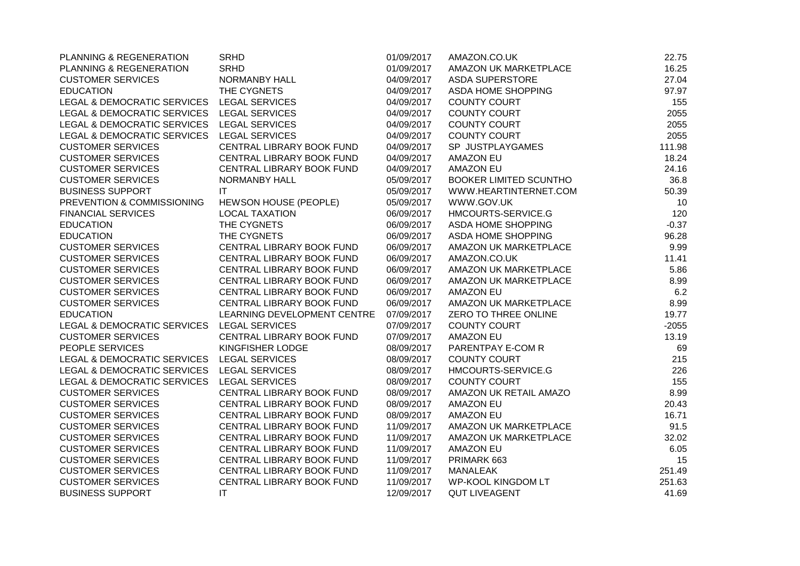| PLANNING & REGENERATION                    | <b>SRHD</b>                 | 01/09/2017 | AMAZON.CO.UK                  | 22.75   |
|--------------------------------------------|-----------------------------|------------|-------------------------------|---------|
| PLANNING & REGENERATION                    | <b>SRHD</b>                 | 01/09/2017 | AMAZON UK MARKETPLACE         | 16.25   |
| <b>CUSTOMER SERVICES</b>                   | <b>NORMANBY HALL</b>        | 04/09/2017 | <b>ASDA SUPERSTORE</b>        | 27.04   |
| <b>EDUCATION</b>                           | THE CYGNETS                 | 04/09/2017 | ASDA HOME SHOPPING            | 97.97   |
| LEGAL & DEMOCRATIC SERVICES                | <b>LEGAL SERVICES</b>       | 04/09/2017 | <b>COUNTY COURT</b>           | 155     |
| LEGAL & DEMOCRATIC SERVICES                | <b>LEGAL SERVICES</b>       | 04/09/2017 | <b>COUNTY COURT</b>           | 2055    |
| LEGAL & DEMOCRATIC SERVICES                | <b>LEGAL SERVICES</b>       | 04/09/2017 | COUNTY COURT                  | 2055    |
| LEGAL & DEMOCRATIC SERVICES                | <b>LEGAL SERVICES</b>       | 04/09/2017 | <b>COUNTY COURT</b>           | 2055    |
| <b>CUSTOMER SERVICES</b>                   | CENTRAL LIBRARY BOOK FUND   | 04/09/2017 | SP JUSTPLAYGAMES              | 111.98  |
| <b>CUSTOMER SERVICES</b>                   | CENTRAL LIBRARY BOOK FUND   | 04/09/2017 | <b>AMAZON EU</b>              | 18.24   |
| <b>CUSTOMER SERVICES</b>                   | CENTRAL LIBRARY BOOK FUND   | 04/09/2017 | <b>AMAZON EU</b>              | 24.16   |
| <b>CUSTOMER SERVICES</b>                   | <b>NORMANBY HALL</b>        | 05/09/2017 | <b>BOOKER LIMITED SCUNTHO</b> | 36.8    |
| <b>BUSINESS SUPPORT</b>                    | ΙT                          | 05/09/2017 | WWW.HEARTINTERNET.COM         | 50.39   |
| PREVENTION & COMMISSIONING                 | HEWSON HOUSE (PEOPLE)       | 05/09/2017 | WWW.GOV.UK                    | 10      |
| <b>FINANCIAL SERVICES</b>                  | <b>LOCAL TAXATION</b>       | 06/09/2017 | HMCOURTS-SERVICE.G            | 120     |
| <b>EDUCATION</b>                           | THE CYGNETS                 | 06/09/2017 | ASDA HOME SHOPPING            | $-0.37$ |
| <b>EDUCATION</b>                           | THE CYGNETS                 | 06/09/2017 | ASDA HOME SHOPPING            | 96.28   |
| <b>CUSTOMER SERVICES</b>                   | CENTRAL LIBRARY BOOK FUND   | 06/09/2017 | AMAZON UK MARKETPLACE         | 9.99    |
| <b>CUSTOMER SERVICES</b>                   | CENTRAL LIBRARY BOOK FUND   | 06/09/2017 | AMAZON.CO.UK                  | 11.41   |
| <b>CUSTOMER SERVICES</b>                   | CENTRAL LIBRARY BOOK FUND   | 06/09/2017 | AMAZON UK MARKETPLACE         | 5.86    |
| <b>CUSTOMER SERVICES</b>                   | CENTRAL LIBRARY BOOK FUND   | 06/09/2017 | AMAZON UK MARKETPLACE         | 8.99    |
| <b>CUSTOMER SERVICES</b>                   | CENTRAL LIBRARY BOOK FUND   | 06/09/2017 | <b>AMAZON EU</b>              | 6.2     |
| <b>CUSTOMER SERVICES</b>                   | CENTRAL LIBRARY BOOK FUND   | 06/09/2017 | AMAZON UK MARKETPLACE         | 8.99    |
| <b>EDUCATION</b>                           | LEARNING DEVELOPMENT CENTRE | 07/09/2017 | ZERO TO THREE ONLINE          | 19.77   |
| LEGAL & DEMOCRATIC SERVICES                | LEGAL SERVICES              | 07/09/2017 | <b>COUNTY COURT</b>           | $-2055$ |
| <b>CUSTOMER SERVICES</b>                   | CENTRAL LIBRARY BOOK FUND   | 07/09/2017 | <b>AMAZON EU</b>              | 13.19   |
| PEOPLE SERVICES                            | KINGFISHER LODGE            | 08/09/2017 | PARENTPAY E-COM R             | 69      |
| LEGAL & DEMOCRATIC SERVICES LEGAL SERVICES |                             | 08/09/2017 | <b>COUNTY COURT</b>           | 215     |
| LEGAL & DEMOCRATIC SERVICES                | <b>LEGAL SERVICES</b>       | 08/09/2017 | HMCOURTS-SERVICE.G            | 226     |
| <b>LEGAL &amp; DEMOCRATIC SERVICES</b>     | <b>LEGAL SERVICES</b>       | 08/09/2017 | <b>COUNTY COURT</b>           | 155     |
| <b>CUSTOMER SERVICES</b>                   | CENTRAL LIBRARY BOOK FUND   | 08/09/2017 | AMAZON UK RETAIL AMAZO        | 8.99    |
| <b>CUSTOMER SERVICES</b>                   | CENTRAL LIBRARY BOOK FUND   | 08/09/2017 | <b>AMAZON EU</b>              | 20.43   |
| <b>CUSTOMER SERVICES</b>                   | CENTRAL LIBRARY BOOK FUND   | 08/09/2017 | <b>AMAZON EU</b>              | 16.71   |
| <b>CUSTOMER SERVICES</b>                   | CENTRAL LIBRARY BOOK FUND   | 11/09/2017 | AMAZON UK MARKETPLACE         | 91.5    |
| <b>CUSTOMER SERVICES</b>                   | CENTRAL LIBRARY BOOK FUND   | 11/09/2017 | AMAZON UK MARKETPLACE         | 32.02   |
| <b>CUSTOMER SERVICES</b>                   | CENTRAL LIBRARY BOOK FUND   | 11/09/2017 | <b>AMAZON EU</b>              | 6.05    |
| <b>CUSTOMER SERVICES</b>                   | CENTRAL LIBRARY BOOK FUND   | 11/09/2017 | PRIMARK 663                   | 15      |
| <b>CUSTOMER SERVICES</b>                   | CENTRAL LIBRARY BOOK FUND   | 11/09/2017 | <b>MANALEAK</b>               | 251.49  |
| <b>CUSTOMER SERVICES</b>                   | CENTRAL LIBRARY BOOK FUND   | 11/09/2017 | WP-KOOL KINGDOM LT            | 251.63  |
| <b>BUSINESS SUPPORT</b>                    | IT                          | 12/09/2017 | <b>QUT LIVEAGENT</b>          | 41.69   |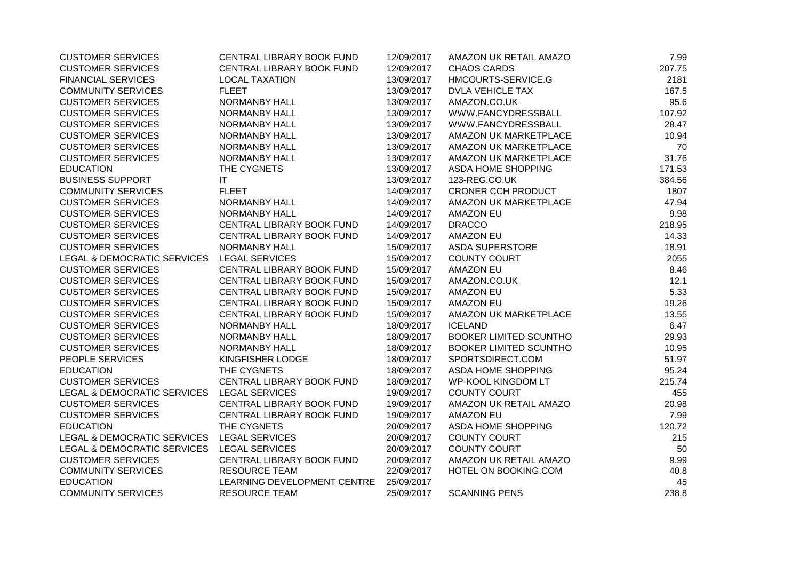| <b>CUSTOMER SERVICES</b>                   | CENTRAL LIBRARY BOOK FUND   | 12/09/2017 | AMAZON UK RETAIL AMAZO        | 7.99   |
|--------------------------------------------|-----------------------------|------------|-------------------------------|--------|
| <b>CUSTOMER SERVICES</b>                   | CENTRAL LIBRARY BOOK FUND   | 12/09/2017 | <b>CHAOS CARDS</b>            | 207.75 |
| <b>FINANCIAL SERVICES</b>                  | <b>LOCAL TAXATION</b>       | 13/09/2017 | HMCOURTS-SERVICE.G            | 2181   |
| <b>COMMUNITY SERVICES</b>                  | <b>FLEET</b>                | 13/09/2017 | <b>DVLA VEHICLE TAX</b>       | 167.5  |
| <b>CUSTOMER SERVICES</b>                   | NORMANBY HALL               | 13/09/2017 | AMAZON.CO.UK                  | 95.6   |
| <b>CUSTOMER SERVICES</b>                   | NORMANBY HALL               | 13/09/2017 | WWW.FANCYDRESSBALL            | 107.92 |
| <b>CUSTOMER SERVICES</b>                   | NORMANBY HALL               | 13/09/2017 | WWW.FANCYDRESSBALL            | 28.47  |
| <b>CUSTOMER SERVICES</b>                   | NORMANBY HALL               | 13/09/2017 | AMAZON UK MARKETPLACE         | 10.94  |
| <b>CUSTOMER SERVICES</b>                   | <b>NORMANBY HALL</b>        | 13/09/2017 | AMAZON UK MARKETPLACE         | 70     |
| <b>CUSTOMER SERVICES</b>                   | <b>NORMANBY HALL</b>        | 13/09/2017 | AMAZON UK MARKETPLACE         | 31.76  |
| <b>EDUCATION</b>                           | THE CYGNETS                 | 13/09/2017 | ASDA HOME SHOPPING            | 171.53 |
| <b>BUSINESS SUPPORT</b>                    | IT                          | 13/09/2017 | 123-REG.CO.UK                 | 384.56 |
| <b>COMMUNITY SERVICES</b>                  | <b>FLEET</b>                | 14/09/2017 | <b>CRONER CCH PRODUCT</b>     | 1807   |
| <b>CUSTOMER SERVICES</b>                   | NORMANBY HALL               | 14/09/2017 | AMAZON UK MARKETPLACE         | 47.94  |
| <b>CUSTOMER SERVICES</b>                   | NORMANBY HALL               | 14/09/2017 | <b>AMAZON EU</b>              | 9.98   |
| <b>CUSTOMER SERVICES</b>                   | CENTRAL LIBRARY BOOK FUND   | 14/09/2017 | <b>DRACCO</b>                 | 218.95 |
| <b>CUSTOMER SERVICES</b>                   | CENTRAL LIBRARY BOOK FUND   | 14/09/2017 | <b>AMAZON EU</b>              | 14.33  |
| <b>CUSTOMER SERVICES</b>                   | NORMANBY HALL               | 15/09/2017 | <b>ASDA SUPERSTORE</b>        | 18.91  |
| LEGAL & DEMOCRATIC SERVICES                | <b>LEGAL SERVICES</b>       | 15/09/2017 | <b>COUNTY COURT</b>           | 2055   |
| <b>CUSTOMER SERVICES</b>                   | CENTRAL LIBRARY BOOK FUND   | 15/09/2017 | <b>AMAZON EU</b>              | 8.46   |
| <b>CUSTOMER SERVICES</b>                   | CENTRAL LIBRARY BOOK FUND   | 15/09/2017 | AMAZON.CO.UK                  | 12.1   |
| <b>CUSTOMER SERVICES</b>                   | CENTRAL LIBRARY BOOK FUND   | 15/09/2017 | <b>AMAZON EU</b>              | 5.33   |
| <b>CUSTOMER SERVICES</b>                   | CENTRAL LIBRARY BOOK FUND   | 15/09/2017 | <b>AMAZON EU</b>              | 19.26  |
| <b>CUSTOMER SERVICES</b>                   | CENTRAL LIBRARY BOOK FUND   | 15/09/2017 | AMAZON UK MARKETPLACE         | 13.55  |
| <b>CUSTOMER SERVICES</b>                   | NORMANBY HALL               | 18/09/2017 | <b>ICELAND</b>                | 6.47   |
| <b>CUSTOMER SERVICES</b>                   | NORMANBY HALL               | 18/09/2017 | <b>BOOKER LIMITED SCUNTHO</b> | 29.93  |
| <b>CUSTOMER SERVICES</b>                   | NORMANBY HALL               | 18/09/2017 | <b>BOOKER LIMITED SCUNTHO</b> | 10.95  |
| PEOPLE SERVICES                            | KINGFISHER LODGE            | 18/09/2017 | SPORTSDIRECT.COM              | 51.97  |
| <b>EDUCATION</b>                           | THE CYGNETS                 | 18/09/2017 | ASDA HOME SHOPPING            | 95.24  |
| <b>CUSTOMER SERVICES</b>                   | CENTRAL LIBRARY BOOK FUND   | 18/09/2017 | <b>WP-KOOL KINGDOM LT</b>     | 215.74 |
| LEGAL & DEMOCRATIC SERVICES                | <b>LEGAL SERVICES</b>       | 19/09/2017 | <b>COUNTY COURT</b>           | 455    |
| <b>CUSTOMER SERVICES</b>                   | CENTRAL LIBRARY BOOK FUND   | 19/09/2017 | AMAZON UK RETAIL AMAZO        | 20.98  |
| <b>CUSTOMER SERVICES</b>                   | CENTRAL LIBRARY BOOK FUND   | 19/09/2017 | <b>AMAZON EU</b>              | 7.99   |
| <b>EDUCATION</b>                           | THE CYGNETS                 | 20/09/2017 | ASDA HOME SHOPPING            | 120.72 |
| LEGAL & DEMOCRATIC SERVICES LEGAL SERVICES |                             | 20/09/2017 | <b>COUNTY COURT</b>           | 215    |
| LEGAL & DEMOCRATIC SERVICES LEGAL SERVICES |                             | 20/09/2017 | <b>COUNTY COURT</b>           | 50     |
| <b>CUSTOMER SERVICES</b>                   | CENTRAL LIBRARY BOOK FUND   | 20/09/2017 | AMAZON UK RETAIL AMAZO        | 9.99   |
| <b>COMMUNITY SERVICES</b>                  | <b>RESOURCE TEAM</b>        | 22/09/2017 | HOTEL ON BOOKING.COM          | 40.8   |
| <b>EDUCATION</b>                           | LEARNING DEVELOPMENT CENTRE | 25/09/2017 |                               | 45     |
| <b>COMMUNITY SERVICES</b>                  | <b>RESOURCE TEAM</b>        | 25/09/2017 | <b>SCANNING PENS</b>          | 238.8  |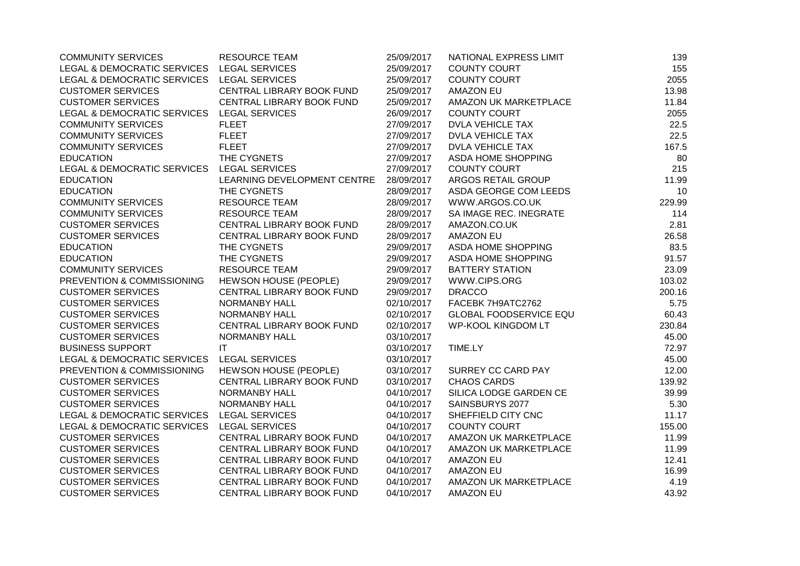| <b>COMMUNITY SERVICES</b>                  | <b>RESOURCE TEAM</b>             | 25/09/2017 | NATIONAL EXPRESS LIMIT        | 139    |
|--------------------------------------------|----------------------------------|------------|-------------------------------|--------|
| LEGAL & DEMOCRATIC SERVICES LEGAL SERVICES |                                  | 25/09/2017 | <b>COUNTY COURT</b>           | 155    |
| LEGAL & DEMOCRATIC SERVICES                | <b>LEGAL SERVICES</b>            | 25/09/2017 | <b>COUNTY COURT</b>           | 2055   |
| <b>CUSTOMER SERVICES</b>                   | CENTRAL LIBRARY BOOK FUND        | 25/09/2017 | <b>AMAZON EU</b>              | 13.98  |
| <b>CUSTOMER SERVICES</b>                   | CENTRAL LIBRARY BOOK FUND        | 25/09/2017 | AMAZON UK MARKETPLACE         | 11.84  |
| LEGAL & DEMOCRATIC SERVICES                | <b>LEGAL SERVICES</b>            | 26/09/2017 | <b>COUNTY COURT</b>           | 2055   |
| <b>COMMUNITY SERVICES</b>                  | <b>FLEET</b>                     | 27/09/2017 | <b>DVLA VEHICLE TAX</b>       | 22.5   |
| <b>COMMUNITY SERVICES</b>                  | <b>FLEET</b>                     | 27/09/2017 | <b>DVLA VEHICLE TAX</b>       | 22.5   |
| <b>COMMUNITY SERVICES</b>                  | <b>FLEET</b>                     | 27/09/2017 | <b>DVLA VEHICLE TAX</b>       | 167.5  |
| <b>EDUCATION</b>                           | THE CYGNETS                      | 27/09/2017 | <b>ASDA HOME SHOPPING</b>     | 80     |
| LEGAL & DEMOCRATIC SERVICES                | <b>LEGAL SERVICES</b>            | 27/09/2017 | <b>COUNTY COURT</b>           | 215    |
| <b>EDUCATION</b>                           | LEARNING DEVELOPMENT CENTRE      | 28/09/2017 | ARGOS RETAIL GROUP            | 11.99  |
| <b>EDUCATION</b>                           | THE CYGNETS                      | 28/09/2017 | ASDA GEORGE COM LEEDS         | 10     |
| <b>COMMUNITY SERVICES</b>                  | <b>RESOURCE TEAM</b>             | 28/09/2017 | WWW.ARGOS.CO.UK               | 229.99 |
| <b>COMMUNITY SERVICES</b>                  | <b>RESOURCE TEAM</b>             | 28/09/2017 | SA IMAGE REC. INEGRATE        | 114    |
| <b>CUSTOMER SERVICES</b>                   | CENTRAL LIBRARY BOOK FUND        | 28/09/2017 | AMAZON.CO.UK                  | 2.81   |
| <b>CUSTOMER SERVICES</b>                   | CENTRAL LIBRARY BOOK FUND        | 28/09/2017 | <b>AMAZON EU</b>              | 26.58  |
| <b>EDUCATION</b>                           | THE CYGNETS                      | 29/09/2017 | ASDA HOME SHOPPING            | 83.5   |
| <b>EDUCATION</b>                           | THE CYGNETS                      | 29/09/2017 | ASDA HOME SHOPPING            | 91.57  |
| <b>COMMUNITY SERVICES</b>                  | <b>RESOURCE TEAM</b>             | 29/09/2017 | <b>BATTERY STATION</b>        | 23.09  |
| PREVENTION & COMMISSIONING                 | HEWSON HOUSE (PEOPLE)            | 29/09/2017 | WWW.CIPS.ORG                  | 103.02 |
| <b>CUSTOMER SERVICES</b>                   | CENTRAL LIBRARY BOOK FUND        | 29/09/2017 | <b>DRACCO</b>                 | 200.16 |
| <b>CUSTOMER SERVICES</b>                   | NORMANBY HALL                    | 02/10/2017 | FACEBK 7H9ATC2762             | 5.75   |
| <b>CUSTOMER SERVICES</b>                   | NORMANBY HALL                    | 02/10/2017 | <b>GLOBAL FOODSERVICE EQU</b> | 60.43  |
| <b>CUSTOMER SERVICES</b>                   | CENTRAL LIBRARY BOOK FUND        | 02/10/2017 | <b>WP-KOOL KINGDOM LT</b>     | 230.84 |
| <b>CUSTOMER SERVICES</b>                   | <b>NORMANBY HALL</b>             | 03/10/2017 |                               | 45.00  |
| <b>BUSINESS SUPPORT</b>                    | IT.                              | 03/10/2017 | TIME.LY                       | 72.97  |
| LEGAL & DEMOCRATIC SERVICES                | <b>LEGAL SERVICES</b>            | 03/10/2017 |                               | 45.00  |
| PREVENTION & COMMISSIONING                 | <b>HEWSON HOUSE (PEOPLE)</b>     | 03/10/2017 | SURREY CC CARD PAY            | 12.00  |
| <b>CUSTOMER SERVICES</b>                   | <b>CENTRAL LIBRARY BOOK FUND</b> | 03/10/2017 | <b>CHAOS CARDS</b>            | 139.92 |
| <b>CUSTOMER SERVICES</b>                   | NORMANBY HALL                    | 04/10/2017 | SILICA LODGE GARDEN CE        | 39.99  |
| <b>CUSTOMER SERVICES</b>                   | NORMANBY HALL                    | 04/10/2017 | SAINSBURYS 2077               | 5.30   |
| LEGAL & DEMOCRATIC SERVICES                | <b>LEGAL SERVICES</b>            | 04/10/2017 | SHEFFIELD CITY CNC            | 11.17  |
| <b>LEGAL &amp; DEMOCRATIC SERVICES</b>     | <b>LEGAL SERVICES</b>            | 04/10/2017 | <b>COUNTY COURT</b>           | 155.00 |
| <b>CUSTOMER SERVICES</b>                   | CENTRAL LIBRARY BOOK FUND        | 04/10/2017 | AMAZON UK MARKETPLACE         | 11.99  |
| <b>CUSTOMER SERVICES</b>                   | CENTRAL LIBRARY BOOK FUND        | 04/10/2017 | AMAZON UK MARKETPLACE         | 11.99  |
| <b>CUSTOMER SERVICES</b>                   | CENTRAL LIBRARY BOOK FUND        | 04/10/2017 | <b>AMAZON EU</b>              | 12.41  |
| <b>CUSTOMER SERVICES</b>                   | CENTRAL LIBRARY BOOK FUND        | 04/10/2017 | <b>AMAZON EU</b>              | 16.99  |
| <b>CUSTOMER SERVICES</b>                   | CENTRAL LIBRARY BOOK FUND        | 04/10/2017 | AMAZON UK MARKETPLACE         | 4.19   |
| <b>CUSTOMER SERVICES</b>                   | CENTRAL LIBRARY BOOK FUND        | 04/10/2017 | <b>AMAZON EU</b>              | 43.92  |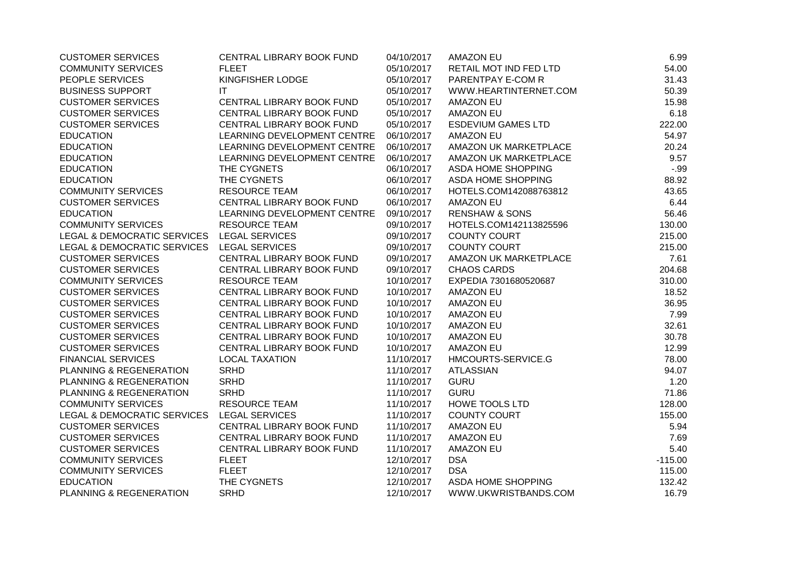| <b>CUSTOMER SERVICES</b>                   | CENTRAL LIBRARY BOOK FUND   | 04/10/2017 | <b>AMAZON EU</b>          | 6.99      |
|--------------------------------------------|-----------------------------|------------|---------------------------|-----------|
| <b>COMMUNITY SERVICES</b>                  | <b>FLEET</b>                | 05/10/2017 | RETAIL MOT IND FED LTD    | 54.00     |
| PEOPLE SERVICES                            | KINGFISHER LODGE            | 05/10/2017 | PARENTPAY E-COM R         | 31.43     |
| <b>BUSINESS SUPPORT</b>                    | IT                          | 05/10/2017 | WWW.HEARTINTERNET.COM     | 50.39     |
| <b>CUSTOMER SERVICES</b>                   | CENTRAL LIBRARY BOOK FUND   | 05/10/2017 | <b>AMAZON EU</b>          | 15.98     |
| <b>CUSTOMER SERVICES</b>                   | CENTRAL LIBRARY BOOK FUND   | 05/10/2017 | <b>AMAZON EU</b>          | 6.18      |
| <b>CUSTOMER SERVICES</b>                   | CENTRAL LIBRARY BOOK FUND   | 05/10/2017 | <b>ESDEVIUM GAMES LTD</b> | 222.00    |
| <b>EDUCATION</b>                           | LEARNING DEVELOPMENT CENTRE | 06/10/2017 | <b>AMAZON EU</b>          | 54.97     |
| <b>EDUCATION</b>                           | LEARNING DEVELOPMENT CENTRE | 06/10/2017 | AMAZON UK MARKETPLACE     | 20.24     |
| <b>EDUCATION</b>                           | LEARNING DEVELOPMENT CENTRE | 06/10/2017 | AMAZON UK MARKETPLACE     | 9.57      |
| <b>EDUCATION</b>                           | THE CYGNETS                 | 06/10/2017 | ASDA HOME SHOPPING        | $-.99$    |
| <b>EDUCATION</b>                           | THE CYGNETS                 | 06/10/2017 | ASDA HOME SHOPPING        | 88.92     |
| <b>COMMUNITY SERVICES</b>                  | <b>RESOURCE TEAM</b>        | 06/10/2017 | HOTELS.COM142088763812    | 43.65     |
| <b>CUSTOMER SERVICES</b>                   | CENTRAL LIBRARY BOOK FUND   | 06/10/2017 | <b>AMAZON EU</b>          | 6.44      |
| <b>EDUCATION</b>                           | LEARNING DEVELOPMENT CENTRE | 09/10/2017 | <b>RENSHAW &amp; SONS</b> | 56.46     |
| <b>COMMUNITY SERVICES</b>                  | <b>RESOURCE TEAM</b>        | 09/10/2017 | HOTELS.COM142113825596    | 130.00    |
| LEGAL & DEMOCRATIC SERVICES LEGAL SERVICES |                             | 09/10/2017 | <b>COUNTY COURT</b>       | 215.00    |
| LEGAL & DEMOCRATIC SERVICES                | <b>LEGAL SERVICES</b>       | 09/10/2017 | <b>COUNTY COURT</b>       | 215.00    |
| <b>CUSTOMER SERVICES</b>                   | CENTRAL LIBRARY BOOK FUND   | 09/10/2017 | AMAZON UK MARKETPLACE     | 7.61      |
| <b>CUSTOMER SERVICES</b>                   | CENTRAL LIBRARY BOOK FUND   | 09/10/2017 | <b>CHAOS CARDS</b>        | 204.68    |
| <b>COMMUNITY SERVICES</b>                  | <b>RESOURCE TEAM</b>        | 10/10/2017 | EXPEDIA 7301680520687     | 310.00    |
| <b>CUSTOMER SERVICES</b>                   | CENTRAL LIBRARY BOOK FUND   | 10/10/2017 | <b>AMAZON EU</b>          | 18.52     |
| <b>CUSTOMER SERVICES</b>                   | CENTRAL LIBRARY BOOK FUND   | 10/10/2017 | <b>AMAZON EU</b>          | 36.95     |
| <b>CUSTOMER SERVICES</b>                   | CENTRAL LIBRARY BOOK FUND   | 10/10/2017 | <b>AMAZON EU</b>          | 7.99      |
| <b>CUSTOMER SERVICES</b>                   | CENTRAL LIBRARY BOOK FUND   | 10/10/2017 | <b>AMAZON EU</b>          | 32.61     |
| <b>CUSTOMER SERVICES</b>                   | CENTRAL LIBRARY BOOK FUND   | 10/10/2017 | <b>AMAZON EU</b>          | 30.78     |
| <b>CUSTOMER SERVICES</b>                   | CENTRAL LIBRARY BOOK FUND   | 10/10/2017 | <b>AMAZON EU</b>          | 12.99     |
| <b>FINANCIAL SERVICES</b>                  | <b>LOCAL TAXATION</b>       | 11/10/2017 | HMCOURTS-SERVICE.G        | 78.00     |
| PLANNING & REGENERATION                    | <b>SRHD</b>                 | 11/10/2017 | <b>ATLASSIAN</b>          | 94.07     |
| PLANNING & REGENERATION                    | <b>SRHD</b>                 | 11/10/2017 | <b>GURU</b>               | 1.20      |
| PLANNING & REGENERATION                    | <b>SRHD</b>                 | 11/10/2017 | <b>GURU</b>               | 71.86     |
| <b>COMMUNITY SERVICES</b>                  | <b>RESOURCE TEAM</b>        | 11/10/2017 | <b>HOWE TOOLS LTD</b>     | 128.00    |
| LEGAL & DEMOCRATIC SERVICES                | <b>LEGAL SERVICES</b>       | 11/10/2017 | <b>COUNTY COURT</b>       | 155.00    |
| <b>CUSTOMER SERVICES</b>                   | CENTRAL LIBRARY BOOK FUND   | 11/10/2017 | <b>AMAZON EU</b>          | 5.94      |
| <b>CUSTOMER SERVICES</b>                   | CENTRAL LIBRARY BOOK FUND   | 11/10/2017 | <b>AMAZON EU</b>          | 7.69      |
| <b>CUSTOMER SERVICES</b>                   | CENTRAL LIBRARY BOOK FUND   | 11/10/2017 | <b>AMAZON EU</b>          | 5.40      |
| <b>COMMUNITY SERVICES</b>                  | <b>FLEET</b>                | 12/10/2017 | <b>DSA</b>                | $-115.00$ |
| <b>COMMUNITY SERVICES</b>                  | <b>FLEET</b>                | 12/10/2017 | <b>DSA</b>                | 115.00    |
| <b>EDUCATION</b>                           | THE CYGNETS                 | 12/10/2017 | ASDA HOME SHOPPING        | 132.42    |
| PLANNING & REGENERATION                    | <b>SRHD</b>                 | 12/10/2017 | WWW.UKWRISTBANDS.COM      | 16.79     |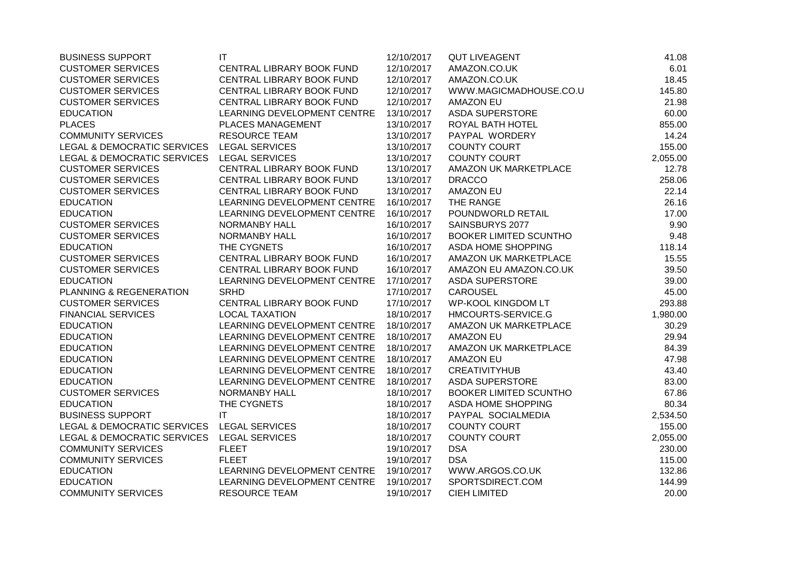| <b>BUSINESS SUPPORT</b>                | $\mathsf{I}\mathsf{T}$      | 12/10/2017 | <b>QUT LIVEAGENT</b>          | 41.08    |
|----------------------------------------|-----------------------------|------------|-------------------------------|----------|
| <b>CUSTOMER SERVICES</b>               | CENTRAL LIBRARY BOOK FUND   | 12/10/2017 | AMAZON.CO.UK                  | 6.01     |
| <b>CUSTOMER SERVICES</b>               | CENTRAL LIBRARY BOOK FUND   | 12/10/2017 | AMAZON.CO.UK                  | 18.45    |
| <b>CUSTOMER SERVICES</b>               | CENTRAL LIBRARY BOOK FUND   | 12/10/2017 | WWW.MAGICMADHOUSE.CO.U        | 145.80   |
| <b>CUSTOMER SERVICES</b>               | CENTRAL LIBRARY BOOK FUND   | 12/10/2017 | <b>AMAZON EU</b>              | 21.98    |
| <b>EDUCATION</b>                       | LEARNING DEVELOPMENT CENTRE | 13/10/2017 | <b>ASDA SUPERSTORE</b>        | 60.00    |
| <b>PLACES</b>                          | PLACES MANAGEMENT           | 13/10/2017 | ROYAL BATH HOTEL              | 855.00   |
| <b>COMMUNITY SERVICES</b>              | <b>RESOURCE TEAM</b>        | 13/10/2017 | PAYPAL WORDERY                | 14.24    |
| LEGAL & DEMOCRATIC SERVICES            | <b>LEGAL SERVICES</b>       | 13/10/2017 | <b>COUNTY COURT</b>           | 155.00   |
| LEGAL & DEMOCRATIC SERVICES            | <b>LEGAL SERVICES</b>       | 13/10/2017 | <b>COUNTY COURT</b>           | 2,055.00 |
| <b>CUSTOMER SERVICES</b>               | CENTRAL LIBRARY BOOK FUND   | 13/10/2017 | AMAZON UK MARKETPLACE         | 12.78    |
| <b>CUSTOMER SERVICES</b>               | CENTRAL LIBRARY BOOK FUND   | 13/10/2017 | <b>DRACCO</b>                 | 258.06   |
| <b>CUSTOMER SERVICES</b>               | CENTRAL LIBRARY BOOK FUND   | 13/10/2017 | <b>AMAZON EU</b>              | 22.14    |
| <b>EDUCATION</b>                       | LEARNING DEVELOPMENT CENTRE | 16/10/2017 | THE RANGE                     | 26.16    |
| <b>EDUCATION</b>                       | LEARNING DEVELOPMENT CENTRE | 16/10/2017 | POUNDWORLD RETAIL             | 17.00    |
| <b>CUSTOMER SERVICES</b>               | <b>NORMANBY HALL</b>        | 16/10/2017 | SAINSBURYS 2077               | 9.90     |
| <b>CUSTOMER SERVICES</b>               | NORMANBY HALL               | 16/10/2017 | <b>BOOKER LIMITED SCUNTHO</b> | 9.48     |
| <b>EDUCATION</b>                       | THE CYGNETS                 | 16/10/2017 | ASDA HOME SHOPPING            | 118.14   |
| <b>CUSTOMER SERVICES</b>               | CENTRAL LIBRARY BOOK FUND   | 16/10/2017 | AMAZON UK MARKETPLACE         | 15.55    |
| <b>CUSTOMER SERVICES</b>               | CENTRAL LIBRARY BOOK FUND   | 16/10/2017 | AMAZON EU AMAZON.CO.UK        | 39.50    |
| <b>EDUCATION</b>                       | LEARNING DEVELOPMENT CENTRE | 17/10/2017 | <b>ASDA SUPERSTORE</b>        | 39.00    |
| PLANNING & REGENERATION                | <b>SRHD</b>                 | 17/10/2017 | CAROUSEL                      | 45.00    |
| <b>CUSTOMER SERVICES</b>               | CENTRAL LIBRARY BOOK FUND   | 17/10/2017 | <b>WP-KOOL KINGDOM LT</b>     | 293.88   |
| <b>FINANCIAL SERVICES</b>              | <b>LOCAL TAXATION</b>       | 18/10/2017 | HMCOURTS-SERVICE.G            | 1,980.00 |
| <b>EDUCATION</b>                       | LEARNING DEVELOPMENT CENTRE | 18/10/2017 | AMAZON UK MARKETPLACE         | 30.29    |
| <b>EDUCATION</b>                       | LEARNING DEVELOPMENT CENTRE | 18/10/2017 | <b>AMAZON EU</b>              | 29.94    |
| <b>EDUCATION</b>                       | LEARNING DEVELOPMENT CENTRE | 18/10/2017 | AMAZON UK MARKETPLACE         | 84.39    |
| <b>EDUCATION</b>                       | LEARNING DEVELOPMENT CENTRE | 18/10/2017 | <b>AMAZON EU</b>              | 47.98    |
| <b>EDUCATION</b>                       | LEARNING DEVELOPMENT CENTRE | 18/10/2017 | <b>CREATIVITYHUB</b>          | 43.40    |
| <b>EDUCATION</b>                       | LEARNING DEVELOPMENT CENTRE | 18/10/2017 | <b>ASDA SUPERSTORE</b>        | 83.00    |
| <b>CUSTOMER SERVICES</b>               | <b>NORMANBY HALL</b>        | 18/10/2017 | <b>BOOKER LIMITED SCUNTHO</b> | 67.86    |
| <b>EDUCATION</b>                       | THE CYGNETS                 | 18/10/2017 | ASDA HOME SHOPPING            | 80.34    |
| <b>BUSINESS SUPPORT</b>                | IT                          | 18/10/2017 | PAYPAL SOCIALMEDIA            | 2,534.50 |
| LEGAL & DEMOCRATIC SERVICES            | <b>LEGAL SERVICES</b>       | 18/10/2017 | <b>COUNTY COURT</b>           | 155.00   |
| <b>LEGAL &amp; DEMOCRATIC SERVICES</b> | <b>LEGAL SERVICES</b>       | 18/10/2017 | <b>COUNTY COURT</b>           | 2,055.00 |
| <b>COMMUNITY SERVICES</b>              | <b>FLEET</b>                | 19/10/2017 | <b>DSA</b>                    | 230.00   |
| <b>COMMUNITY SERVICES</b>              | <b>FLEET</b>                | 19/10/2017 | <b>DSA</b>                    | 115.00   |
| <b>EDUCATION</b>                       | LEARNING DEVELOPMENT CENTRE | 19/10/2017 | WWW.ARGOS.CO.UK               | 132.86   |
| <b>EDUCATION</b>                       | LEARNING DEVELOPMENT CENTRE | 19/10/2017 | SPORTSDIRECT.COM              | 144.99   |
| <b>COMMUNITY SERVICES</b>              | <b>RESOURCE TEAM</b>        | 19/10/2017 | <b>CIEH LIMITED</b>           | 20.00    |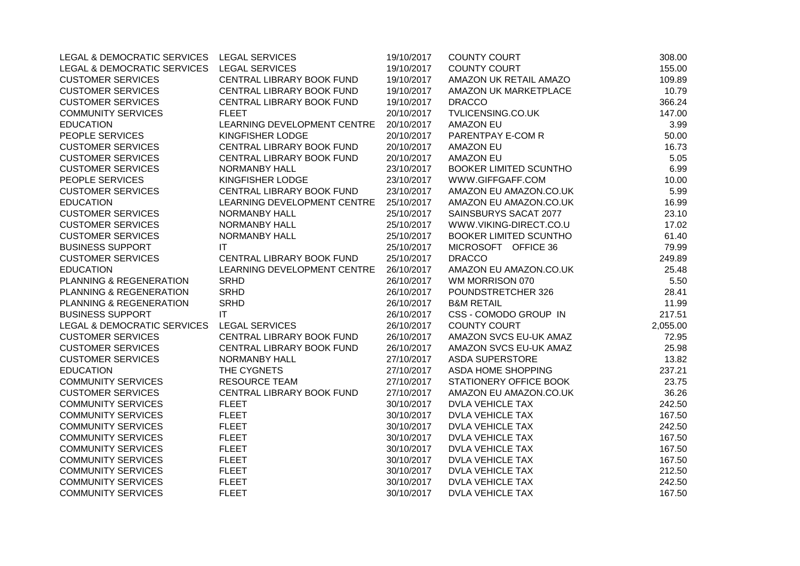| LEGAL & DEMOCRATIC SERVICES LEGAL SERVICES |                             | 19/10/2017 | <b>COUNTY COURT</b>           | 308.00   |
|--------------------------------------------|-----------------------------|------------|-------------------------------|----------|
| LEGAL & DEMOCRATIC SERVICES                | LEGAL SERVICES              | 19/10/2017 | <b>COUNTY COURT</b>           | 155.00   |
| <b>CUSTOMER SERVICES</b>                   | CENTRAL LIBRARY BOOK FUND   | 19/10/2017 | AMAZON UK RETAIL AMAZO        | 109.89   |
| <b>CUSTOMER SERVICES</b>                   | CENTRAL LIBRARY BOOK FUND   | 19/10/2017 | AMAZON UK MARKETPLACE         | 10.79    |
| <b>CUSTOMER SERVICES</b>                   | CENTRAL LIBRARY BOOK FUND   | 19/10/2017 | <b>DRACCO</b>                 | 366.24   |
| <b>COMMUNITY SERVICES</b>                  | <b>FLEET</b>                | 20/10/2017 | TVLICENSING.CO.UK             | 147.00   |
| <b>EDUCATION</b>                           | LEARNING DEVELOPMENT CENTRE | 20/10/2017 | <b>AMAZON EU</b>              | 3.99     |
| PEOPLE SERVICES                            | KINGFISHER LODGE            | 20/10/2017 | PARENTPAY E-COM R             | 50.00    |
| <b>CUSTOMER SERVICES</b>                   | CENTRAL LIBRARY BOOK FUND   | 20/10/2017 | <b>AMAZON EU</b>              | 16.73    |
| <b>CUSTOMER SERVICES</b>                   | CENTRAL LIBRARY BOOK FUND   | 20/10/2017 | <b>AMAZON EU</b>              | 5.05     |
| <b>CUSTOMER SERVICES</b>                   | NORMANBY HALL               | 23/10/2017 | <b>BOOKER LIMITED SCUNTHO</b> | 6.99     |
| PEOPLE SERVICES                            | KINGFISHER LODGE            | 23/10/2017 | WWW.GIFFGAFF.COM              | 10.00    |
| <b>CUSTOMER SERVICES</b>                   | CENTRAL LIBRARY BOOK FUND   | 23/10/2017 | AMAZON EU AMAZON.CO.UK        | 5.99     |
| <b>EDUCATION</b>                           | LEARNING DEVELOPMENT CENTRE | 25/10/2017 | AMAZON EU AMAZON.CO.UK        | 16.99    |
| <b>CUSTOMER SERVICES</b>                   | NORMANBY HALL               | 25/10/2017 | SAINSBURYS SACAT 2077         | 23.10    |
| <b>CUSTOMER SERVICES</b>                   | NORMANBY HALL               | 25/10/2017 | WWW.VIKING-DIRECT.CO.U        | 17.02    |
| <b>CUSTOMER SERVICES</b>                   | NORMANBY HALL               | 25/10/2017 | <b>BOOKER LIMITED SCUNTHO</b> | 61.40    |
| <b>BUSINESS SUPPORT</b>                    | ΙT                          | 25/10/2017 | MICROSOFT OFFICE 36           | 79.99    |
| <b>CUSTOMER SERVICES</b>                   | CENTRAL LIBRARY BOOK FUND   | 25/10/2017 | <b>DRACCO</b>                 | 249.89   |
| <b>EDUCATION</b>                           | LEARNING DEVELOPMENT CENTRE | 26/10/2017 | AMAZON EU AMAZON.CO.UK        | 25.48    |
| PLANNING & REGENERATION                    | <b>SRHD</b>                 | 26/10/2017 | WM MORRISON 070               | 5.50     |
| PLANNING & REGENERATION                    | <b>SRHD</b>                 | 26/10/2017 | POUNDSTRETCHER 326            | 28.41    |
| PLANNING & REGENERATION                    | <b>SRHD</b>                 | 26/10/2017 | <b>B&amp;M RETAIL</b>         | 11.99    |
| <b>BUSINESS SUPPORT</b>                    | IT                          | 26/10/2017 | CSS - COMODO GROUP IN         | 217.51   |
| LEGAL & DEMOCRATIC SERVICES                | <b>LEGAL SERVICES</b>       | 26/10/2017 | <b>COUNTY COURT</b>           | 2,055.00 |
| <b>CUSTOMER SERVICES</b>                   | CENTRAL LIBRARY BOOK FUND   | 26/10/2017 | AMAZON SVCS EU-UK AMAZ        | 72.95    |
| <b>CUSTOMER SERVICES</b>                   | CENTRAL LIBRARY BOOK FUND   | 26/10/2017 | AMAZON SVCS EU-UK AMAZ        | 25.98    |
| <b>CUSTOMER SERVICES</b>                   | NORMANBY HALL               | 27/10/2017 | <b>ASDA SUPERSTORE</b>        | 13.82    |
| <b>EDUCATION</b>                           | THE CYGNETS                 | 27/10/2017 | ASDA HOME SHOPPING            | 237.21   |
| <b>COMMUNITY SERVICES</b>                  | <b>RESOURCE TEAM</b>        | 27/10/2017 | STATIONERY OFFICE BOOK        | 23.75    |
| <b>CUSTOMER SERVICES</b>                   | CENTRAL LIBRARY BOOK FUND   | 27/10/2017 | AMAZON EU AMAZON.CO.UK        | 36.26    |
| <b>COMMUNITY SERVICES</b>                  | <b>FLEET</b>                | 30/10/2017 | <b>DVLA VEHICLE TAX</b>       | 242.50   |
| <b>COMMUNITY SERVICES</b>                  | <b>FLEET</b>                | 30/10/2017 | <b>DVLA VEHICLE TAX</b>       | 167.50   |
| <b>COMMUNITY SERVICES</b>                  | <b>FLEET</b>                | 30/10/2017 | <b>DVLA VEHICLE TAX</b>       | 242.50   |
| <b>COMMUNITY SERVICES</b>                  | <b>FLEET</b>                | 30/10/2017 | <b>DVLA VEHICLE TAX</b>       | 167.50   |
| <b>COMMUNITY SERVICES</b>                  | <b>FLEET</b>                | 30/10/2017 | <b>DVLA VEHICLE TAX</b>       | 167.50   |
| <b>COMMUNITY SERVICES</b>                  | <b>FLEET</b>                | 30/10/2017 | <b>DVLA VEHICLE TAX</b>       | 167.50   |
| <b>COMMUNITY SERVICES</b>                  | <b>FLEET</b>                | 30/10/2017 | <b>DVLA VEHICLE TAX</b>       | 212.50   |
| <b>COMMUNITY SERVICES</b>                  | <b>FLEET</b>                | 30/10/2017 | <b>DVLA VEHICLE TAX</b>       | 242.50   |
| <b>COMMUNITY SERVICES</b>                  | <b>FLEET</b>                | 30/10/2017 | <b>DVLA VEHICLE TAX</b>       | 167.50   |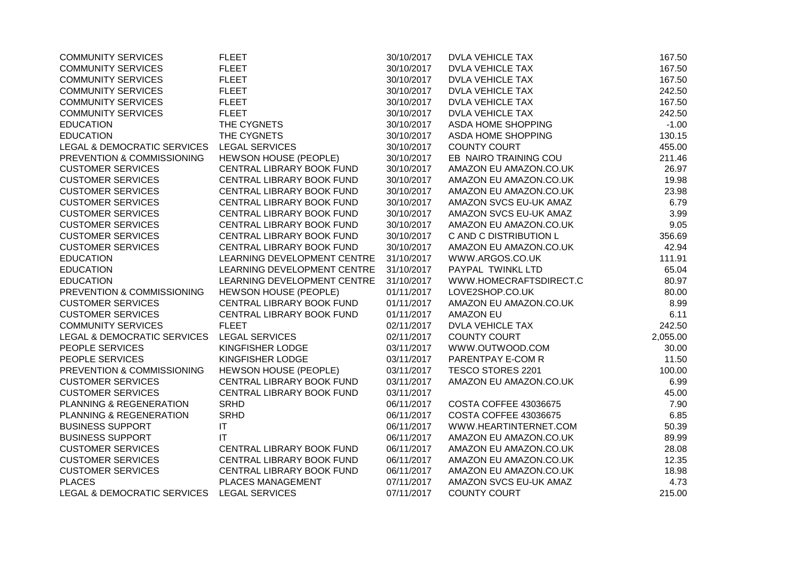| <b>COMMUNITY SERVICES</b>   | <b>FLEET</b>                 | 30/10/2017 | <b>DVLA VEHICLE TAX</b>   | 167.50   |
|-----------------------------|------------------------------|------------|---------------------------|----------|
| <b>COMMUNITY SERVICES</b>   | <b>FLEET</b>                 | 30/10/2017 | <b>DVLA VEHICLE TAX</b>   | 167.50   |
| <b>COMMUNITY SERVICES</b>   | <b>FLEET</b>                 | 30/10/2017 | <b>DVLA VEHICLE TAX</b>   | 167.50   |
| <b>COMMUNITY SERVICES</b>   | <b>FLEET</b>                 | 30/10/2017 | <b>DVLA VEHICLE TAX</b>   | 242.50   |
| <b>COMMUNITY SERVICES</b>   | <b>FLEET</b>                 | 30/10/2017 | <b>DVLA VEHICLE TAX</b>   | 167.50   |
| <b>COMMUNITY SERVICES</b>   | <b>FLEET</b>                 | 30/10/2017 | <b>DVLA VEHICLE TAX</b>   | 242.50   |
| <b>EDUCATION</b>            | THE CYGNETS                  | 30/10/2017 | ASDA HOME SHOPPING        | $-1.00$  |
| <b>EDUCATION</b>            | THE CYGNETS                  | 30/10/2017 | <b>ASDA HOME SHOPPING</b> | 130.15   |
| LEGAL & DEMOCRATIC SERVICES | <b>LEGAL SERVICES</b>        | 30/10/2017 | <b>COUNTY COURT</b>       | 455.00   |
| PREVENTION & COMMISSIONING  | <b>HEWSON HOUSE (PEOPLE)</b> | 30/10/2017 | EB NAIRO TRAINING COU     | 211.46   |
| <b>CUSTOMER SERVICES</b>    | CENTRAL LIBRARY BOOK FUND    | 30/10/2017 | AMAZON EU AMAZON.CO.UK    | 26.97    |
| <b>CUSTOMER SERVICES</b>    | CENTRAL LIBRARY BOOK FUND    | 30/10/2017 | AMAZON EU AMAZON.CO.UK    | 19.98    |
| <b>CUSTOMER SERVICES</b>    | CENTRAL LIBRARY BOOK FUND    | 30/10/2017 | AMAZON EU AMAZON.CO.UK    | 23.98    |
| <b>CUSTOMER SERVICES</b>    | CENTRAL LIBRARY BOOK FUND    | 30/10/2017 | AMAZON SVCS EU-UK AMAZ    | 6.79     |
| <b>CUSTOMER SERVICES</b>    | CENTRAL LIBRARY BOOK FUND    | 30/10/2017 | AMAZON SVCS EU-UK AMAZ    | 3.99     |
| <b>CUSTOMER SERVICES</b>    | CENTRAL LIBRARY BOOK FUND    | 30/10/2017 | AMAZON EU AMAZON.CO.UK    | 9.05     |
| <b>CUSTOMER SERVICES</b>    | CENTRAL LIBRARY BOOK FUND    | 30/10/2017 | C AND C DISTRIBUTION L    | 356.69   |
| <b>CUSTOMER SERVICES</b>    | CENTRAL LIBRARY BOOK FUND    | 30/10/2017 | AMAZON EU AMAZON.CO.UK    | 42.94    |
| <b>EDUCATION</b>            | LEARNING DEVELOPMENT CENTRE  | 31/10/2017 | WWW.ARGOS.CO.UK           | 111.91   |
| <b>EDUCATION</b>            | LEARNING DEVELOPMENT CENTRE  | 31/10/2017 | PAYPAL TWINKL LTD         | 65.04    |
| <b>EDUCATION</b>            | LEARNING DEVELOPMENT CENTRE  | 31/10/2017 | WWW.HOMECRAFTSDIRECT.C    | 80.97    |
| PREVENTION & COMMISSIONING  | HEWSON HOUSE (PEOPLE)        | 01/11/2017 | LOVE2SHOP.CO.UK           | 80.00    |
| <b>CUSTOMER SERVICES</b>    | CENTRAL LIBRARY BOOK FUND    | 01/11/2017 | AMAZON EU AMAZON.CO.UK    | 8.99     |
| <b>CUSTOMER SERVICES</b>    | CENTRAL LIBRARY BOOK FUND    | 01/11/2017 | <b>AMAZON EU</b>          | 6.11     |
| <b>COMMUNITY SERVICES</b>   | <b>FLEET</b>                 | 02/11/2017 | <b>DVLA VEHICLE TAX</b>   | 242.50   |
| LEGAL & DEMOCRATIC SERVICES | <b>LEGAL SERVICES</b>        | 02/11/2017 | <b>COUNTY COURT</b>       | 2,055.00 |
| PEOPLE SERVICES             | KINGFISHER LODGE             | 03/11/2017 | WWW.OUTWOOD.COM           | 30.00    |
| PEOPLE SERVICES             | KINGFISHER LODGE             | 03/11/2017 | PARENTPAY E-COM R         | 11.50    |
| PREVENTION & COMMISSIONING  | <b>HEWSON HOUSE (PEOPLE)</b> | 03/11/2017 | TESCO STORES 2201         | 100.00   |
| <b>CUSTOMER SERVICES</b>    | CENTRAL LIBRARY BOOK FUND    | 03/11/2017 | AMAZON EU AMAZON.CO.UK    | 6.99     |
| <b>CUSTOMER SERVICES</b>    | CENTRAL LIBRARY BOOK FUND    | 03/11/2017 |                           | 45.00    |
| PLANNING & REGENERATION     | <b>SRHD</b>                  | 06/11/2017 | COSTA COFFEE 43036675     | 7.90     |
| PLANNING & REGENERATION     | <b>SRHD</b>                  | 06/11/2017 | COSTA COFFEE 43036675     | 6.85     |
| <b>BUSINESS SUPPORT</b>     | IT                           | 06/11/2017 | WWW.HEARTINTERNET.COM     | 50.39    |
| <b>BUSINESS SUPPORT</b>     | IT                           | 06/11/2017 | AMAZON EU AMAZON.CO.UK    | 89.99    |
| <b>CUSTOMER SERVICES</b>    | CENTRAL LIBRARY BOOK FUND    | 06/11/2017 | AMAZON EU AMAZON.CO.UK    | 28.08    |
| <b>CUSTOMER SERVICES</b>    | CENTRAL LIBRARY BOOK FUND    | 06/11/2017 | AMAZON EU AMAZON.CO.UK    | 12.35    |
| <b>CUSTOMER SERVICES</b>    | CENTRAL LIBRARY BOOK FUND    | 06/11/2017 | AMAZON EU AMAZON.CO.UK    | 18.98    |
| <b>PLACES</b>               | PLACES MANAGEMENT            | 07/11/2017 | AMAZON SVCS EU-UK AMAZ    | 4.73     |
| LEGAL & DEMOCRATIC SERVICES | <b>LEGAL SERVICES</b>        | 07/11/2017 | <b>COUNTY COURT</b>       | 215.00   |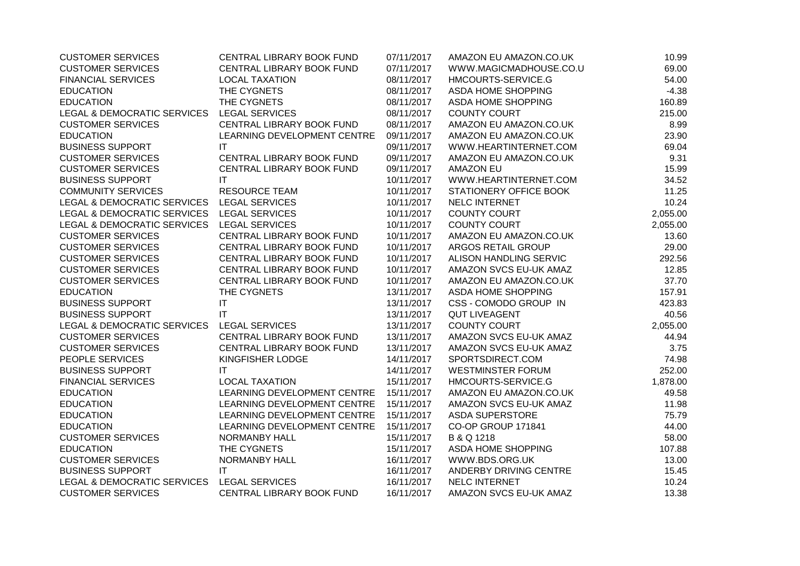| <b>CUSTOMER SERVICES</b>                   | CENTRAL LIBRARY BOOK FUND   | 07/11/2017 | AMAZON EU AMAZON.CO.UK   | 10.99    |
|--------------------------------------------|-----------------------------|------------|--------------------------|----------|
| <b>CUSTOMER SERVICES</b>                   | CENTRAL LIBRARY BOOK FUND   | 07/11/2017 | WWW.MAGICMADHOUSE.CO.U   | 69.00    |
| <b>FINANCIAL SERVICES</b>                  | <b>LOCAL TAXATION</b>       | 08/11/2017 | HMCOURTS-SERVICE.G       | 54.00    |
| <b>EDUCATION</b>                           | THE CYGNETS                 | 08/11/2017 | ASDA HOME SHOPPING       | $-4.38$  |
| <b>EDUCATION</b>                           | THE CYGNETS                 | 08/11/2017 | ASDA HOME SHOPPING       | 160.89   |
| LEGAL & DEMOCRATIC SERVICES                | <b>LEGAL SERVICES</b>       | 08/11/2017 | <b>COUNTY COURT</b>      | 215.00   |
| <b>CUSTOMER SERVICES</b>                   | CENTRAL LIBRARY BOOK FUND   | 08/11/2017 | AMAZON EU AMAZON.CO.UK   | 8.99     |
| <b>EDUCATION</b>                           | LEARNING DEVELOPMENT CENTRE | 09/11/2017 | AMAZON EU AMAZON.CO.UK   | 23.90    |
| <b>BUSINESS SUPPORT</b>                    | <b>IT</b>                   | 09/11/2017 | WWW.HEARTINTERNET.COM    | 69.04    |
| <b>CUSTOMER SERVICES</b>                   | CENTRAL LIBRARY BOOK FUND   | 09/11/2017 | AMAZON EU AMAZON.CO.UK   | 9.31     |
| <b>CUSTOMER SERVICES</b>                   | CENTRAL LIBRARY BOOK FUND   | 09/11/2017 | <b>AMAZON EU</b>         | 15.99    |
| <b>BUSINESS SUPPORT</b>                    | IT                          | 10/11/2017 | WWW.HEARTINTERNET.COM    | 34.52    |
| <b>COMMUNITY SERVICES</b>                  | <b>RESOURCE TEAM</b>        | 10/11/2017 | STATIONERY OFFICE BOOK   | 11.25    |
| LEGAL & DEMOCRATIC SERVICES                | <b>LEGAL SERVICES</b>       | 10/11/2017 | NELC INTERNET            | 10.24    |
| LEGAL & DEMOCRATIC SERVICES LEGAL SERVICES |                             | 10/11/2017 | <b>COUNTY COURT</b>      | 2,055.00 |
| LEGAL & DEMOCRATIC SERVICES                | <b>LEGAL SERVICES</b>       | 10/11/2017 | <b>COUNTY COURT</b>      | 2,055.00 |
| <b>CUSTOMER SERVICES</b>                   | CENTRAL LIBRARY BOOK FUND   | 10/11/2017 | AMAZON EU AMAZON.CO.UK   | 13.60    |
| <b>CUSTOMER SERVICES</b>                   | CENTRAL LIBRARY BOOK FUND   | 10/11/2017 | ARGOS RETAIL GROUP       | 29.00    |
| <b>CUSTOMER SERVICES</b>                   | CENTRAL LIBRARY BOOK FUND   | 10/11/2017 | ALISON HANDLING SERVIC   | 292.56   |
| <b>CUSTOMER SERVICES</b>                   | CENTRAL LIBRARY BOOK FUND   | 10/11/2017 | AMAZON SVCS EU-UK AMAZ   | 12.85    |
| <b>CUSTOMER SERVICES</b>                   | CENTRAL LIBRARY BOOK FUND   | 10/11/2017 | AMAZON EU AMAZON.CO.UK   | 37.70    |
| <b>EDUCATION</b>                           | THE CYGNETS                 | 13/11/2017 | ASDA HOME SHOPPING       | 157.91   |
| <b>BUSINESS SUPPORT</b>                    | $\mathsf{I}\mathsf{T}$      | 13/11/2017 | CSS - COMODO GROUP IN    | 423.83   |
| <b>BUSINESS SUPPORT</b>                    | $\mathsf{I}\mathsf{T}$      | 13/11/2017 | <b>QUT LIVEAGENT</b>     | 40.56    |
| LEGAL & DEMOCRATIC SERVICES                | <b>LEGAL SERVICES</b>       | 13/11/2017 | <b>COUNTY COURT</b>      | 2,055.00 |
| <b>CUSTOMER SERVICES</b>                   | CENTRAL LIBRARY BOOK FUND   | 13/11/2017 | AMAZON SVCS EU-UK AMAZ   | 44.94    |
| <b>CUSTOMER SERVICES</b>                   | CENTRAL LIBRARY BOOK FUND   | 13/11/2017 | AMAZON SVCS EU-UK AMAZ   | 3.75     |
| PEOPLE SERVICES                            | KINGFISHER LODGE            | 14/11/2017 | SPORTSDIRECT.COM         | 74.98    |
| <b>BUSINESS SUPPORT</b>                    | IT                          | 14/11/2017 | <b>WESTMINSTER FORUM</b> | 252.00   |
| <b>FINANCIAL SERVICES</b>                  | <b>LOCAL TAXATION</b>       | 15/11/2017 | HMCOURTS-SERVICE.G       | 1,878.00 |
| <b>EDUCATION</b>                           | LEARNING DEVELOPMENT CENTRE | 15/11/2017 | AMAZON EU AMAZON.CO.UK   | 49.58    |
| <b>EDUCATION</b>                           | LEARNING DEVELOPMENT CENTRE | 15/11/2017 | AMAZON SVCS EU-UK AMAZ   | 11.98    |
| <b>EDUCATION</b>                           | LEARNING DEVELOPMENT CENTRE | 15/11/2017 | <b>ASDA SUPERSTORE</b>   | 75.79    |
| <b>EDUCATION</b>                           | LEARNING DEVELOPMENT CENTRE | 15/11/2017 | CO-OP GROUP 171841       | 44.00    |
| <b>CUSTOMER SERVICES</b>                   | NORMANBY HALL               | 15/11/2017 | B & Q 1218               | 58.00    |
| <b>EDUCATION</b>                           | THE CYGNETS                 | 15/11/2017 | ASDA HOME SHOPPING       | 107.88   |
| <b>CUSTOMER SERVICES</b>                   | NORMANBY HALL               | 16/11/2017 | WWW.BDS.ORG.UK           | 13.00    |
| <b>BUSINESS SUPPORT</b>                    | IT                          | 16/11/2017 | ANDERBY DRIVING CENTRE   | 15.45    |
| LEGAL & DEMOCRATIC SERVICES                | <b>LEGAL SERVICES</b>       | 16/11/2017 | NELC INTERNET            | 10.24    |
| <b>CUSTOMER SERVICES</b>                   | CENTRAL LIBRARY BOOK FUND   | 16/11/2017 | AMAZON SVCS EU-UK AMAZ   | 13.38    |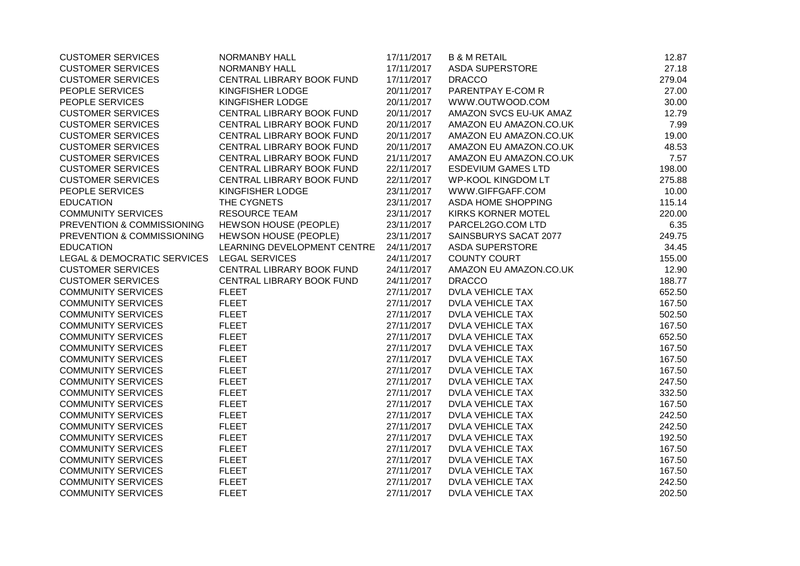| <b>CUSTOMER SERVICES</b>               | NORMANBY HALL                | 17/11/2017 | <b>B &amp; M RETAIL</b>   | 12.87  |
|----------------------------------------|------------------------------|------------|---------------------------|--------|
| <b>CUSTOMER SERVICES</b>               | NORMANBY HALL                | 17/11/2017 | <b>ASDA SUPERSTORE</b>    | 27.18  |
| <b>CUSTOMER SERVICES</b>               | CENTRAL LIBRARY BOOK FUND    | 17/11/2017 | <b>DRACCO</b>             | 279.04 |
| PEOPLE SERVICES                        | KINGFISHER LODGE             | 20/11/2017 | PARENTPAY E-COM R         | 27.00  |
| PEOPLE SERVICES                        | KINGFISHER LODGE             | 20/11/2017 | WWW.OUTWOOD.COM           | 30.00  |
| <b>CUSTOMER SERVICES</b>               | CENTRAL LIBRARY BOOK FUND    | 20/11/2017 | AMAZON SVCS EU-UK AMAZ    | 12.79  |
| <b>CUSTOMER SERVICES</b>               | CENTRAL LIBRARY BOOK FUND    | 20/11/2017 | AMAZON EU AMAZON.CO.UK    | 7.99   |
| <b>CUSTOMER SERVICES</b>               | CENTRAL LIBRARY BOOK FUND    | 20/11/2017 | AMAZON EU AMAZON.CO.UK    | 19.00  |
| <b>CUSTOMER SERVICES</b>               | CENTRAL LIBRARY BOOK FUND    | 20/11/2017 | AMAZON EU AMAZON.CO.UK    | 48.53  |
| <b>CUSTOMER SERVICES</b>               | CENTRAL LIBRARY BOOK FUND    | 21/11/2017 | AMAZON EU AMAZON.CO.UK    | 7.57   |
| <b>CUSTOMER SERVICES</b>               | CENTRAL LIBRARY BOOK FUND    | 22/11/2017 | <b>ESDEVIUM GAMES LTD</b> | 198.00 |
| <b>CUSTOMER SERVICES</b>               | CENTRAL LIBRARY BOOK FUND    | 22/11/2017 | <b>WP-KOOL KINGDOM LT</b> | 275.88 |
| PEOPLE SERVICES                        | KINGFISHER LODGE             | 23/11/2017 | WWW.GIFFGAFF.COM          | 10.00  |
| <b>EDUCATION</b>                       | THE CYGNETS                  | 23/11/2017 | ASDA HOME SHOPPING        | 115.14 |
| <b>COMMUNITY SERVICES</b>              | <b>RESOURCE TEAM</b>         | 23/11/2017 | <b>KIRKS KORNER MOTEL</b> | 220.00 |
| PREVENTION & COMMISSIONING             | <b>HEWSON HOUSE (PEOPLE)</b> | 23/11/2017 | PARCEL2GO.COM LTD         | 6.35   |
| PREVENTION & COMMISSIONING             | <b>HEWSON HOUSE (PEOPLE)</b> | 23/11/2017 | SAINSBURYS SACAT 2077     | 249.75 |
| <b>EDUCATION</b>                       | LEARNING DEVELOPMENT CENTRE  | 24/11/2017 | <b>ASDA SUPERSTORE</b>    | 34.45  |
| <b>LEGAL &amp; DEMOCRATIC SERVICES</b> | <b>LEGAL SERVICES</b>        | 24/11/2017 | <b>COUNTY COURT</b>       | 155.00 |
| <b>CUSTOMER SERVICES</b>               | CENTRAL LIBRARY BOOK FUND    | 24/11/2017 | AMAZON EU AMAZON.CO.UK    | 12.90  |
| <b>CUSTOMER SERVICES</b>               | CENTRAL LIBRARY BOOK FUND    | 24/11/2017 | <b>DRACCO</b>             | 188.77 |
| <b>COMMUNITY SERVICES</b>              | <b>FLEET</b>                 | 27/11/2017 | <b>DVLA VEHICLE TAX</b>   | 652.50 |
| <b>COMMUNITY SERVICES</b>              | <b>FLEET</b>                 | 27/11/2017 | <b>DVLA VEHICLE TAX</b>   | 167.50 |
| <b>COMMUNITY SERVICES</b>              | <b>FLEET</b>                 | 27/11/2017 | <b>DVLA VEHICLE TAX</b>   | 502.50 |
| <b>COMMUNITY SERVICES</b>              | <b>FLEET</b>                 | 27/11/2017 | <b>DVLA VEHICLE TAX</b>   | 167.50 |
| <b>COMMUNITY SERVICES</b>              | <b>FLEET</b>                 | 27/11/2017 | <b>DVLA VEHICLE TAX</b>   | 652.50 |
| <b>COMMUNITY SERVICES</b>              | <b>FLEET</b>                 | 27/11/2017 | <b>DVLA VEHICLE TAX</b>   | 167.50 |
| <b>COMMUNITY SERVICES</b>              | <b>FLEET</b>                 | 27/11/2017 | <b>DVLA VEHICLE TAX</b>   | 167.50 |
| <b>COMMUNITY SERVICES</b>              | <b>FLEET</b>                 | 27/11/2017 | <b>DVLA VEHICLE TAX</b>   | 167.50 |
| <b>COMMUNITY SERVICES</b>              | <b>FLEET</b>                 | 27/11/2017 | <b>DVLA VEHICLE TAX</b>   | 247.50 |
| <b>COMMUNITY SERVICES</b>              | <b>FLEET</b>                 | 27/11/2017 | <b>DVLA VEHICLE TAX</b>   | 332.50 |
| <b>COMMUNITY SERVICES</b>              | <b>FLEET</b>                 | 27/11/2017 | <b>DVLA VEHICLE TAX</b>   | 167.50 |
| <b>COMMUNITY SERVICES</b>              | <b>FLEET</b>                 | 27/11/2017 | <b>DVLA VEHICLE TAX</b>   | 242.50 |
| <b>COMMUNITY SERVICES</b>              | <b>FLEET</b>                 | 27/11/2017 | <b>DVLA VEHICLE TAX</b>   | 242.50 |
| <b>COMMUNITY SERVICES</b>              | <b>FLEET</b>                 | 27/11/2017 | <b>DVLA VEHICLE TAX</b>   | 192.50 |
| <b>COMMUNITY SERVICES</b>              | <b>FLEET</b>                 | 27/11/2017 | <b>DVLA VEHICLE TAX</b>   | 167.50 |
| <b>COMMUNITY SERVICES</b>              | <b>FLEET</b>                 | 27/11/2017 | <b>DVLA VEHICLE TAX</b>   | 167.50 |
| <b>COMMUNITY SERVICES</b>              | <b>FLEET</b>                 | 27/11/2017 | <b>DVLA VEHICLE TAX</b>   | 167.50 |
| <b>COMMUNITY SERVICES</b>              | <b>FLEET</b>                 | 27/11/2017 | <b>DVLA VEHICLE TAX</b>   | 242.50 |
| <b>COMMUNITY SERVICES</b>              | <b>FLEET</b>                 | 27/11/2017 | <b>DVLA VEHICLE TAX</b>   | 202.50 |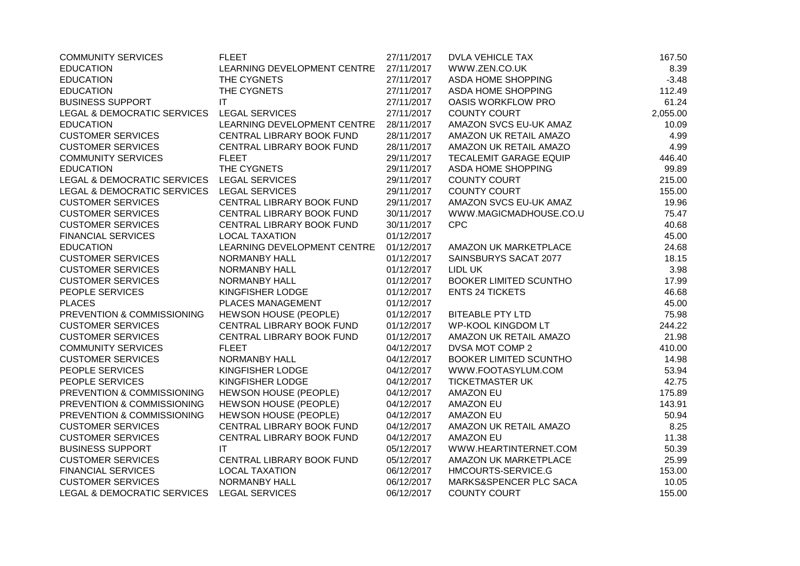| <b>COMMUNITY SERVICES</b>                  | <b>FLEET</b>                 | 27/11/2017 | <b>DVLA VEHICLE TAX</b>       | 167.50   |
|--------------------------------------------|------------------------------|------------|-------------------------------|----------|
| <b>EDUCATION</b>                           | LEARNING DEVELOPMENT CENTRE  | 27/11/2017 | WWW.ZEN.CO.UK                 | 8.39     |
| <b>EDUCATION</b>                           | THE CYGNETS                  | 27/11/2017 | ASDA HOME SHOPPING            | $-3.48$  |
| <b>EDUCATION</b>                           | THE CYGNETS                  | 27/11/2017 | ASDA HOME SHOPPING            | 112.49   |
| <b>BUSINESS SUPPORT</b>                    | IT                           | 27/11/2017 | <b>OASIS WORKFLOW PRO</b>     | 61.24    |
| <b>LEGAL &amp; DEMOCRATIC SERVICES</b>     | <b>LEGAL SERVICES</b>        | 27/11/2017 | <b>COUNTY COURT</b>           | 2,055.00 |
| <b>EDUCATION</b>                           | LEARNING DEVELOPMENT CENTRE  | 28/11/2017 | AMAZON SVCS EU-UK AMAZ        | 10.09    |
| <b>CUSTOMER SERVICES</b>                   | CENTRAL LIBRARY BOOK FUND    | 28/11/2017 | AMAZON UK RETAIL AMAZO        | 4.99     |
| <b>CUSTOMER SERVICES</b>                   | CENTRAL LIBRARY BOOK FUND    | 28/11/2017 | AMAZON UK RETAIL AMAZO        | 4.99     |
| <b>COMMUNITY SERVICES</b>                  | <b>FLEET</b>                 | 29/11/2017 | <b>TECALEMIT GARAGE EQUIP</b> | 446.40   |
| <b>EDUCATION</b>                           | THE CYGNETS                  | 29/11/2017 | ASDA HOME SHOPPING            | 99.89    |
| LEGAL & DEMOCRATIC SERVICES LEGAL SERVICES |                              | 29/11/2017 | <b>COUNTY COURT</b>           | 215.00   |
| LEGAL & DEMOCRATIC SERVICES                | <b>LEGAL SERVICES</b>        | 29/11/2017 | <b>COUNTY COURT</b>           | 155.00   |
| <b>CUSTOMER SERVICES</b>                   | CENTRAL LIBRARY BOOK FUND    | 29/11/2017 | AMAZON SVCS EU-UK AMAZ        | 19.96    |
| <b>CUSTOMER SERVICES</b>                   | CENTRAL LIBRARY BOOK FUND    | 30/11/2017 | WWW.MAGICMADHOUSE.CO.U        | 75.47    |
| <b>CUSTOMER SERVICES</b>                   | CENTRAL LIBRARY BOOK FUND    | 30/11/2017 | <b>CPC</b>                    | 40.68    |
| <b>FINANCIAL SERVICES</b>                  | <b>LOCAL TAXATION</b>        | 01/12/2017 |                               | 45.00    |
| <b>EDUCATION</b>                           | LEARNING DEVELOPMENT CENTRE  | 01/12/2017 | AMAZON UK MARKETPLACE         | 24.68    |
| <b>CUSTOMER SERVICES</b>                   | <b>NORMANBY HALL</b>         | 01/12/2017 | SAINSBURYS SACAT 2077         | 18.15    |
| <b>CUSTOMER SERVICES</b>                   | NORMANBY HALL                | 01/12/2017 | LIDL UK                       | 3.98     |
| <b>CUSTOMER SERVICES</b>                   | NORMANBY HALL                | 01/12/2017 | <b>BOOKER LIMITED SCUNTHO</b> | 17.99    |
| PEOPLE SERVICES                            | KINGFISHER LODGE             | 01/12/2017 | <b>ENTS 24 TICKETS</b>        | 46.68    |
| <b>PLACES</b>                              | PLACES MANAGEMENT            | 01/12/2017 |                               | 45.00    |
| PREVENTION & COMMISSIONING                 | <b>HEWSON HOUSE (PEOPLE)</b> | 01/12/2017 | <b>BITEABLE PTY LTD</b>       | 75.98    |
| <b>CUSTOMER SERVICES</b>                   | CENTRAL LIBRARY BOOK FUND    | 01/12/2017 | <b>WP-KOOL KINGDOM LT</b>     | 244.22   |
| <b>CUSTOMER SERVICES</b>                   | CENTRAL LIBRARY BOOK FUND    | 01/12/2017 | AMAZON UK RETAIL AMAZO        | 21.98    |
| <b>COMMUNITY SERVICES</b>                  | <b>FLEET</b>                 | 04/12/2017 | DVSA MOT COMP 2               | 410.00   |
| <b>CUSTOMER SERVICES</b>                   | <b>NORMANBY HALL</b>         | 04/12/2017 | <b>BOOKER LIMITED SCUNTHO</b> | 14.98    |
| PEOPLE SERVICES                            | KINGFISHER LODGE             | 04/12/2017 | WWW.FOOTASYLUM.COM            | 53.94    |
| PEOPLE SERVICES                            | KINGFISHER LODGE             | 04/12/2017 | <b>TICKETMASTER UK</b>        | 42.75    |
| PREVENTION & COMMISSIONING                 | <b>HEWSON HOUSE (PEOPLE)</b> | 04/12/2017 | <b>AMAZON EU</b>              | 175.89   |
| PREVENTION & COMMISSIONING                 | <b>HEWSON HOUSE (PEOPLE)</b> | 04/12/2017 | <b>AMAZON EU</b>              | 143.91   |
| PREVENTION & COMMISSIONING                 | <b>HEWSON HOUSE (PEOPLE)</b> | 04/12/2017 | <b>AMAZON EU</b>              | 50.94    |
| <b>CUSTOMER SERVICES</b>                   | CENTRAL LIBRARY BOOK FUND    | 04/12/2017 | AMAZON UK RETAIL AMAZO        | 8.25     |
| <b>CUSTOMER SERVICES</b>                   | CENTRAL LIBRARY BOOK FUND    | 04/12/2017 | <b>AMAZON EU</b>              | 11.38    |
| <b>BUSINESS SUPPORT</b>                    | IT                           | 05/12/2017 | WWW.HEARTINTERNET.COM         | 50.39    |
| <b>CUSTOMER SERVICES</b>                   | CENTRAL LIBRARY BOOK FUND    | 05/12/2017 | AMAZON UK MARKETPLACE         | 25.99    |
| <b>FINANCIAL SERVICES</b>                  | <b>LOCAL TAXATION</b>        | 06/12/2017 | HMCOURTS-SERVICE.G            | 153.00   |
| <b>CUSTOMER SERVICES</b>                   | NORMANBY HALL                | 06/12/2017 | MARKS&SPENCER PLC SACA        | 10.05    |
| <b>LEGAL &amp; DEMOCRATIC SERVICES</b>     | <b>LEGAL SERVICES</b>        | 06/12/2017 | <b>COUNTY COURT</b>           | 155.00   |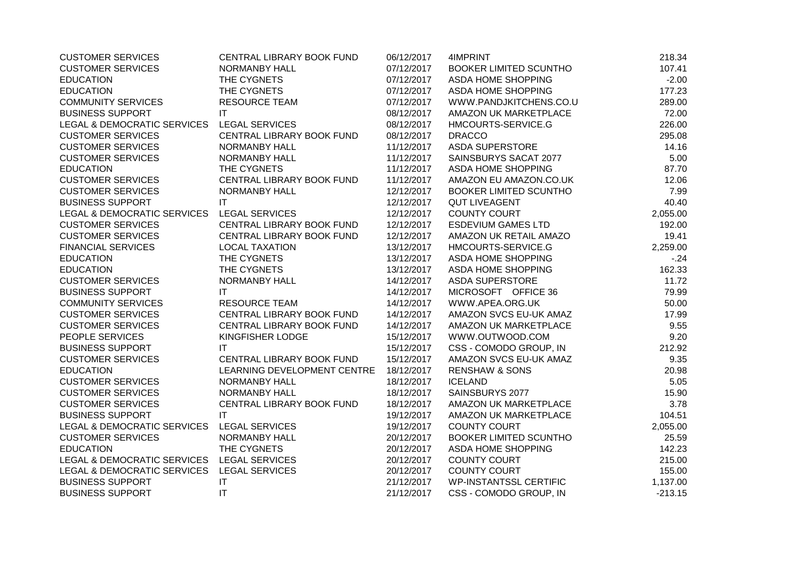| <b>CUSTOMER SERVICES</b>    | CENTRAL LIBRARY BOOK FUND   | 06/12/2017 | 4IMPRINT                      | 218.34    |
|-----------------------------|-----------------------------|------------|-------------------------------|-----------|
| <b>CUSTOMER SERVICES</b>    | NORMANBY HALL               | 07/12/2017 | <b>BOOKER LIMITED SCUNTHO</b> | 107.41    |
| <b>EDUCATION</b>            | THE CYGNETS                 | 07/12/2017 | ASDA HOME SHOPPING            | $-2.00$   |
| <b>EDUCATION</b>            | THE CYGNETS                 | 07/12/2017 | ASDA HOME SHOPPING            | 177.23    |
| <b>COMMUNITY SERVICES</b>   | <b>RESOURCE TEAM</b>        | 07/12/2017 | WWW.PANDJKITCHENS.CO.U        | 289.00    |
| <b>BUSINESS SUPPORT</b>     | IT                          | 08/12/2017 | AMAZON UK MARKETPLACE         | 72.00     |
| LEGAL & DEMOCRATIC SERVICES | <b>LEGAL SERVICES</b>       | 08/12/2017 | HMCOURTS-SERVICE.G            | 226.00    |
| <b>CUSTOMER SERVICES</b>    | CENTRAL LIBRARY BOOK FUND   | 08/12/2017 | <b>DRACCO</b>                 | 295.08    |
| <b>CUSTOMER SERVICES</b>    | NORMANBY HALL               | 11/12/2017 | <b>ASDA SUPERSTORE</b>        | 14.16     |
| <b>CUSTOMER SERVICES</b>    | NORMANBY HALL               | 11/12/2017 | SAINSBURYS SACAT 2077         | 5.00      |
| <b>EDUCATION</b>            | THE CYGNETS                 | 11/12/2017 | ASDA HOME SHOPPING            | 87.70     |
| <b>CUSTOMER SERVICES</b>    | CENTRAL LIBRARY BOOK FUND   | 11/12/2017 | AMAZON EU AMAZON.CO.UK        | 12.06     |
| <b>CUSTOMER SERVICES</b>    | NORMANBY HALL               | 12/12/2017 | <b>BOOKER LIMITED SCUNTHO</b> | 7.99      |
| <b>BUSINESS SUPPORT</b>     | IT                          | 12/12/2017 | <b>QUT LIVEAGENT</b>          | 40.40     |
| LEGAL & DEMOCRATIC SERVICES | <b>LEGAL SERVICES</b>       | 12/12/2017 | <b>COUNTY COURT</b>           | 2,055.00  |
| <b>CUSTOMER SERVICES</b>    | CENTRAL LIBRARY BOOK FUND   | 12/12/2017 | <b>ESDEVIUM GAMES LTD</b>     | 192.00    |
| <b>CUSTOMER SERVICES</b>    | CENTRAL LIBRARY BOOK FUND   | 12/12/2017 | AMAZON UK RETAIL AMAZO        | 19.41     |
| <b>FINANCIAL SERVICES</b>   | <b>LOCAL TAXATION</b>       | 13/12/2017 | HMCOURTS-SERVICE.G            | 2,259.00  |
| <b>EDUCATION</b>            | THE CYGNETS                 | 13/12/2017 | ASDA HOME SHOPPING            | $-24$     |
| <b>EDUCATION</b>            | THE CYGNETS                 | 13/12/2017 | ASDA HOME SHOPPING            | 162.33    |
| <b>CUSTOMER SERVICES</b>    | NORMANBY HALL               | 14/12/2017 | <b>ASDA SUPERSTORE</b>        | 11.72     |
| <b>BUSINESS SUPPORT</b>     | IT                          | 14/12/2017 | MICROSOFT OFFICE 36           | 79.99     |
| <b>COMMUNITY SERVICES</b>   | <b>RESOURCE TEAM</b>        | 14/12/2017 | WWW.APEA.ORG.UK               | 50.00     |
| <b>CUSTOMER SERVICES</b>    | CENTRAL LIBRARY BOOK FUND   | 14/12/2017 | AMAZON SVCS EU-UK AMAZ        | 17.99     |
| <b>CUSTOMER SERVICES</b>    | CENTRAL LIBRARY BOOK FUND   | 14/12/2017 | AMAZON UK MARKETPLACE         | 9.55      |
| PEOPLE SERVICES             | KINGFISHER LODGE            | 15/12/2017 | WWW.OUTWOOD.COM               | 9.20      |
| <b>BUSINESS SUPPORT</b>     | IT                          | 15/12/2017 | CSS - COMODO GROUP, IN        | 212.92    |
| <b>CUSTOMER SERVICES</b>    | CENTRAL LIBRARY BOOK FUND   | 15/12/2017 | AMAZON SVCS EU-UK AMAZ        | 9.35      |
| <b>EDUCATION</b>            | LEARNING DEVELOPMENT CENTRE | 18/12/2017 | <b>RENSHAW &amp; SONS</b>     | 20.98     |
| <b>CUSTOMER SERVICES</b>    | NORMANBY HALL               | 18/12/2017 | <b>ICELAND</b>                | 5.05      |
| <b>CUSTOMER SERVICES</b>    | NORMANBY HALL               | 18/12/2017 | SAINSBURYS 2077               | 15.90     |
| <b>CUSTOMER SERVICES</b>    | CENTRAL LIBRARY BOOK FUND   | 18/12/2017 | AMAZON UK MARKETPLACE         | 3.78      |
| <b>BUSINESS SUPPORT</b>     | <b>IT</b>                   | 19/12/2017 | AMAZON UK MARKETPLACE         | 104.51    |
| LEGAL & DEMOCRATIC SERVICES | <b>LEGAL SERVICES</b>       | 19/12/2017 | <b>COUNTY COURT</b>           | 2,055.00  |
| <b>CUSTOMER SERVICES</b>    | NORMANBY HALL               | 20/12/2017 | <b>BOOKER LIMITED SCUNTHO</b> | 25.59     |
| <b>EDUCATION</b>            | THE CYGNETS                 | 20/12/2017 | ASDA HOME SHOPPING            | 142.23    |
| LEGAL & DEMOCRATIC SERVICES | <b>LEGAL SERVICES</b>       | 20/12/2017 | <b>COUNTY COURT</b>           | 215.00    |
| LEGAL & DEMOCRATIC SERVICES | <b>LEGAL SERVICES</b>       | 20/12/2017 | <b>COUNTY COURT</b>           | 155.00    |
| <b>BUSINESS SUPPORT</b>     | IT                          | 21/12/2017 | <b>WP-INSTANTSSL CERTIFIC</b> | 1,137.00  |
| <b>BUSINESS SUPPORT</b>     | $\mathsf{I}\mathsf{T}$      | 21/12/2017 | CSS - COMODO GROUP, IN        | $-213.15$ |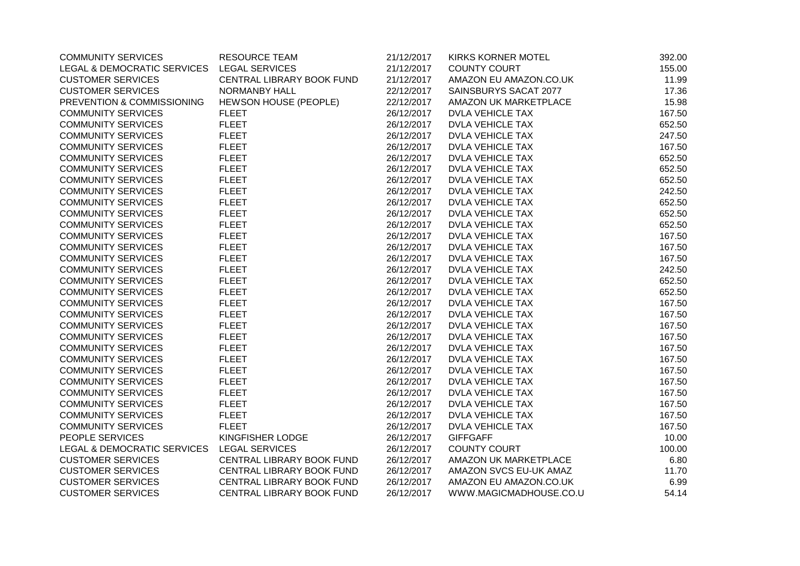| <b>COMMUNITY SERVICES</b>                  | <b>RESOURCE TEAM</b>      | 21/12/2017 | <b>KIRKS KORNER MOTEL</b> | 392.00 |
|--------------------------------------------|---------------------------|------------|---------------------------|--------|
| LEGAL & DEMOCRATIC SERVICES                | LEGAL SERVICES            | 21/12/2017 | <b>COUNTY COURT</b>       | 155.00 |
| <b>CUSTOMER SERVICES</b>                   | CENTRAL LIBRARY BOOK FUND | 21/12/2017 | AMAZON EU AMAZON.CO.UK    | 11.99  |
| <b>CUSTOMER SERVICES</b>                   | <b>NORMANBY HALL</b>      | 22/12/2017 | SAINSBURYS SACAT 2077     | 17.36  |
| PREVENTION & COMMISSIONING                 | HEWSON HOUSE (PEOPLE)     | 22/12/2017 | AMAZON UK MARKETPLACE     | 15.98  |
| <b>COMMUNITY SERVICES</b>                  | <b>FLEET</b>              | 26/12/2017 | <b>DVLA VEHICLE TAX</b>   | 167.50 |
| <b>COMMUNITY SERVICES</b>                  | <b>FLEET</b>              | 26/12/2017 | <b>DVLA VEHICLE TAX</b>   | 652.50 |
| <b>COMMUNITY SERVICES</b>                  | <b>FLEET</b>              | 26/12/2017 | <b>DVLA VEHICLE TAX</b>   | 247.50 |
| <b>COMMUNITY SERVICES</b>                  | <b>FLEET</b>              | 26/12/2017 | <b>DVLA VEHICLE TAX</b>   | 167.50 |
| <b>COMMUNITY SERVICES</b>                  | <b>FLEET</b>              | 26/12/2017 | <b>DVLA VEHICLE TAX</b>   | 652.50 |
| <b>COMMUNITY SERVICES</b>                  | <b>FLEET</b>              | 26/12/2017 | <b>DVLA VEHICLE TAX</b>   | 652.50 |
| <b>COMMUNITY SERVICES</b>                  | <b>FLEET</b>              | 26/12/2017 | <b>DVLA VEHICLE TAX</b>   | 652.50 |
| <b>COMMUNITY SERVICES</b>                  | <b>FLEET</b>              | 26/12/2017 | <b>DVLA VEHICLE TAX</b>   | 242.50 |
| <b>COMMUNITY SERVICES</b>                  | <b>FLEET</b>              | 26/12/2017 | <b>DVLA VEHICLE TAX</b>   | 652.50 |
| <b>COMMUNITY SERVICES</b>                  | <b>FLEET</b>              | 26/12/2017 | <b>DVLA VEHICLE TAX</b>   | 652.50 |
| <b>COMMUNITY SERVICES</b>                  | <b>FLEET</b>              | 26/12/2017 | <b>DVLA VEHICLE TAX</b>   | 652.50 |
| <b>COMMUNITY SERVICES</b>                  | <b>FLEET</b>              | 26/12/2017 | <b>DVLA VEHICLE TAX</b>   | 167.50 |
| <b>COMMUNITY SERVICES</b>                  | <b>FLEET</b>              | 26/12/2017 | DVLA VEHICLE TAX          | 167.50 |
| <b>COMMUNITY SERVICES</b>                  | <b>FLEET</b>              | 26/12/2017 | <b>DVLA VEHICLE TAX</b>   | 167.50 |
| <b>COMMUNITY SERVICES</b>                  | <b>FLEET</b>              | 26/12/2017 | <b>DVLA VEHICLE TAX</b>   | 242.50 |
| <b>COMMUNITY SERVICES</b>                  | <b>FLEET</b>              | 26/12/2017 | <b>DVLA VEHICLE TAX</b>   | 652.50 |
| <b>COMMUNITY SERVICES</b>                  | <b>FLEET</b>              | 26/12/2017 | <b>DVLA VEHICLE TAX</b>   | 652.50 |
| <b>COMMUNITY SERVICES</b>                  | <b>FLEET</b>              | 26/12/2017 | <b>DVLA VEHICLE TAX</b>   | 167.50 |
| <b>COMMUNITY SERVICES</b>                  | <b>FLEET</b>              | 26/12/2017 | <b>DVLA VEHICLE TAX</b>   | 167.50 |
| <b>COMMUNITY SERVICES</b>                  | <b>FLEET</b>              | 26/12/2017 | <b>DVLA VEHICLE TAX</b>   | 167.50 |
| <b>COMMUNITY SERVICES</b>                  | <b>FLEET</b>              | 26/12/2017 | <b>DVLA VEHICLE TAX</b>   | 167.50 |
| <b>COMMUNITY SERVICES</b>                  | <b>FLEET</b>              | 26/12/2017 | <b>DVLA VEHICLE TAX</b>   | 167.50 |
| <b>COMMUNITY SERVICES</b>                  | <b>FLEET</b>              | 26/12/2017 | <b>DVLA VEHICLE TAX</b>   | 167.50 |
| <b>COMMUNITY SERVICES</b>                  | <b>FLEET</b>              | 26/12/2017 | <b>DVLA VEHICLE TAX</b>   | 167.50 |
| <b>COMMUNITY SERVICES</b>                  | <b>FLEET</b>              | 26/12/2017 | <b>DVLA VEHICLE TAX</b>   | 167.50 |
| <b>COMMUNITY SERVICES</b>                  | <b>FLEET</b>              | 26/12/2017 | <b>DVLA VEHICLE TAX</b>   | 167.50 |
| <b>COMMUNITY SERVICES</b>                  | <b>FLEET</b>              | 26/12/2017 | <b>DVLA VEHICLE TAX</b>   | 167.50 |
| <b>COMMUNITY SERVICES</b>                  | <b>FLEET</b>              | 26/12/2017 | <b>DVLA VEHICLE TAX</b>   | 167.50 |
| <b>COMMUNITY SERVICES</b>                  | <b>FLEET</b>              | 26/12/2017 | <b>DVLA VEHICLE TAX</b>   | 167.50 |
| PEOPLE SERVICES                            | KINGFISHER LODGE          | 26/12/2017 | <b>GIFFGAFF</b>           | 10.00  |
| LEGAL & DEMOCRATIC SERVICES LEGAL SERVICES |                           | 26/12/2017 | <b>COUNTY COURT</b>       | 100.00 |
| <b>CUSTOMER SERVICES</b>                   | CENTRAL LIBRARY BOOK FUND | 26/12/2017 | AMAZON UK MARKETPLACE     | 6.80   |
| <b>CUSTOMER SERVICES</b>                   | CENTRAL LIBRARY BOOK FUND | 26/12/2017 | AMAZON SVCS EU-UK AMAZ    | 11.70  |
| <b>CUSTOMER SERVICES</b>                   | CENTRAL LIBRARY BOOK FUND | 26/12/2017 | AMAZON EU AMAZON.CO.UK    | 6.99   |
| <b>CUSTOMER SERVICES</b>                   | CENTRAL LIBRARY BOOK FUND | 26/12/2017 | WWW.MAGICMADHOUSE.CO.U    | 54.14  |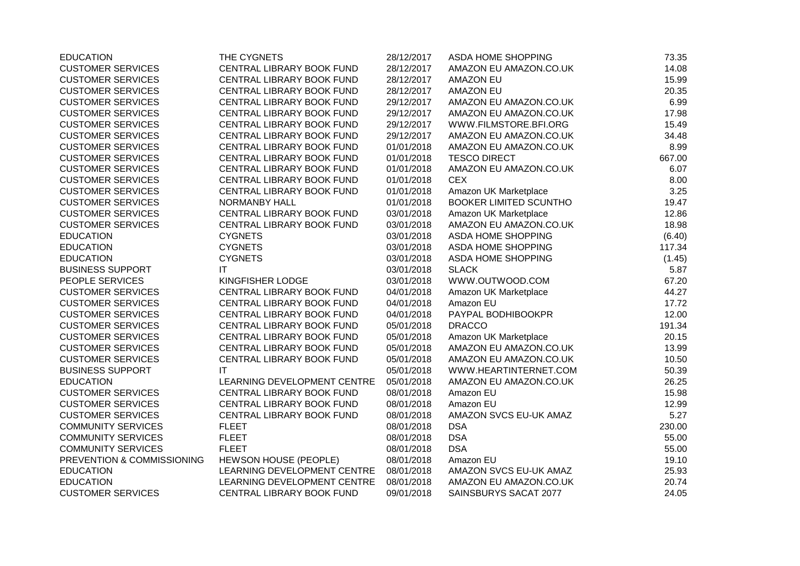| <b>EDUCATION</b>           | THE CYGNETS                  | 28/12/2017 | ASDA HOME SHOPPING     | 73.35  |
|----------------------------|------------------------------|------------|------------------------|--------|
| <b>CUSTOMER SERVICES</b>   | CENTRAL LIBRARY BOOK FUND    | 28/12/2017 | AMAZON EU AMAZON.CO.UK | 14.08  |
| <b>CUSTOMER SERVICES</b>   | CENTRAL LIBRARY BOOK FUND    | 28/12/2017 | <b>AMAZON EU</b>       | 15.99  |
| <b>CUSTOMER SERVICES</b>   | CENTRAL LIBRARY BOOK FUND    | 28/12/2017 | <b>AMAZON EU</b>       | 20.35  |
| <b>CUSTOMER SERVICES</b>   | CENTRAL LIBRARY BOOK FUND    | 29/12/2017 | AMAZON EU AMAZON.CO.UK | 6.99   |
| <b>CUSTOMER SERVICES</b>   | CENTRAL LIBRARY BOOK FUND    | 29/12/2017 | AMAZON EU AMAZON.CO.UK | 17.98  |
| <b>CUSTOMER SERVICES</b>   | CENTRAL LIBRARY BOOK FUND    | 29/12/2017 | WWW.FILMSTORE.BFI.ORG  | 15.49  |
| <b>CUSTOMER SERVICES</b>   | CENTRAL LIBRARY BOOK FUND    | 29/12/2017 | AMAZON EU AMAZON.CO.UK | 34.48  |
| <b>CUSTOMER SERVICES</b>   | CENTRAL LIBRARY BOOK FUND    | 01/01/2018 | AMAZON EU AMAZON.CO.UK | 8.99   |
| <b>CUSTOMER SERVICES</b>   | CENTRAL LIBRARY BOOK FUND    | 01/01/2018 | <b>TESCO DIRECT</b>    | 667.00 |
| <b>CUSTOMER SERVICES</b>   | CENTRAL LIBRARY BOOK FUND    | 01/01/2018 | AMAZON EU AMAZON.CO.UK | 6.07   |
| <b>CUSTOMER SERVICES</b>   | CENTRAL LIBRARY BOOK FUND    | 01/01/2018 | <b>CEX</b>             | 8.00   |
| <b>CUSTOMER SERVICES</b>   | CENTRAL LIBRARY BOOK FUND    | 01/01/2018 | Amazon UK Marketplace  | 3.25   |
| <b>CUSTOMER SERVICES</b>   | <b>NORMANBY HALL</b>         | 01/01/2018 | BOOKER LIMITED SCUNTHO | 19.47  |
| <b>CUSTOMER SERVICES</b>   | CENTRAL LIBRARY BOOK FUND    | 03/01/2018 | Amazon UK Marketplace  | 12.86  |
| <b>CUSTOMER SERVICES</b>   | CENTRAL LIBRARY BOOK FUND    | 03/01/2018 | AMAZON EU AMAZON.CO.UK | 18.98  |
| <b>EDUCATION</b>           | <b>CYGNETS</b>               | 03/01/2018 | ASDA HOME SHOPPING     | (6.40) |
| <b>EDUCATION</b>           | <b>CYGNETS</b>               | 03/01/2018 | ASDA HOME SHOPPING     | 117.34 |
| <b>EDUCATION</b>           | <b>CYGNETS</b>               | 03/01/2018 | ASDA HOME SHOPPING     | (1.45) |
| <b>BUSINESS SUPPORT</b>    | IT.                          | 03/01/2018 | <b>SLACK</b>           | 5.87   |
| PEOPLE SERVICES            | KINGFISHER LODGE             | 03/01/2018 | WWW.OUTWOOD.COM        | 67.20  |
| <b>CUSTOMER SERVICES</b>   | CENTRAL LIBRARY BOOK FUND    | 04/01/2018 | Amazon UK Marketplace  | 44.27  |
| <b>CUSTOMER SERVICES</b>   | CENTRAL LIBRARY BOOK FUND    | 04/01/2018 | Amazon EU              | 17.72  |
| <b>CUSTOMER SERVICES</b>   | CENTRAL LIBRARY BOOK FUND    | 04/01/2018 | PAYPAL BODHIBOOKPR     | 12.00  |
| <b>CUSTOMER SERVICES</b>   | CENTRAL LIBRARY BOOK FUND    | 05/01/2018 | <b>DRACCO</b>          | 191.34 |
| <b>CUSTOMER SERVICES</b>   | CENTRAL LIBRARY BOOK FUND    | 05/01/2018 | Amazon UK Marketplace  | 20.15  |
| <b>CUSTOMER SERVICES</b>   | CENTRAL LIBRARY BOOK FUND    | 05/01/2018 | AMAZON EU AMAZON.CO.UK | 13.99  |
| <b>CUSTOMER SERVICES</b>   | CENTRAL LIBRARY BOOK FUND    | 05/01/2018 | AMAZON EU AMAZON.CO.UK | 10.50  |
| <b>BUSINESS SUPPORT</b>    | IT.                          | 05/01/2018 | WWW.HEARTINTERNET.COM  | 50.39  |
| <b>EDUCATION</b>           | LEARNING DEVELOPMENT CENTRE  | 05/01/2018 | AMAZON EU AMAZON.CO.UK | 26.25  |
| <b>CUSTOMER SERVICES</b>   | CENTRAL LIBRARY BOOK FUND    | 08/01/2018 | Amazon EU              | 15.98  |
| <b>CUSTOMER SERVICES</b>   | CENTRAL LIBRARY BOOK FUND    | 08/01/2018 | Amazon EU              | 12.99  |
| <b>CUSTOMER SERVICES</b>   | CENTRAL LIBRARY BOOK FUND    | 08/01/2018 | AMAZON SVCS EU-UK AMAZ | 5.27   |
| <b>COMMUNITY SERVICES</b>  | <b>FLEET</b>                 | 08/01/2018 | <b>DSA</b>             | 230.00 |
| <b>COMMUNITY SERVICES</b>  | <b>FLEET</b>                 | 08/01/2018 | <b>DSA</b>             | 55.00  |
| <b>COMMUNITY SERVICES</b>  | <b>FLEET</b>                 | 08/01/2018 | <b>DSA</b>             | 55.00  |
| PREVENTION & COMMISSIONING | <b>HEWSON HOUSE (PEOPLE)</b> | 08/01/2018 | Amazon EU              | 19.10  |
| <b>EDUCATION</b>           | LEARNING DEVELOPMENT CENTRE  | 08/01/2018 | AMAZON SVCS EU-UK AMAZ | 25.93  |
| <b>EDUCATION</b>           | LEARNING DEVELOPMENT CENTRE  | 08/01/2018 | AMAZON EU AMAZON.CO.UK | 20.74  |
| <b>CUSTOMER SERVICES</b>   | CENTRAL LIBRARY BOOK FUND    | 09/01/2018 | SAINSBURYS SACAT 2077  | 24.05  |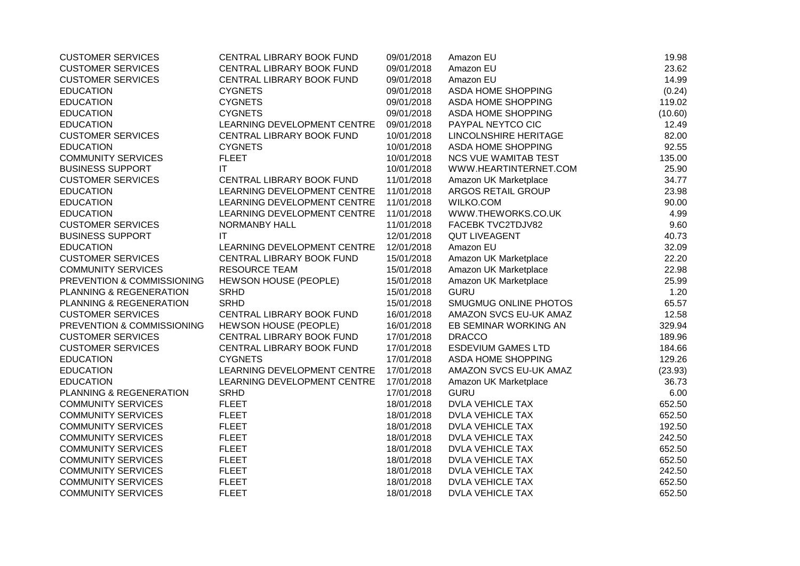| <b>CUSTOMER SERVICES</b>   | CENTRAL LIBRARY BOOK FUND   | 09/01/2018 | Amazon EU                   | 19.98   |
|----------------------------|-----------------------------|------------|-----------------------------|---------|
| <b>CUSTOMER SERVICES</b>   | CENTRAL LIBRARY BOOK FUND   | 09/01/2018 | Amazon EU                   | 23.62   |
| <b>CUSTOMER SERVICES</b>   | CENTRAL LIBRARY BOOK FUND   | 09/01/2018 | Amazon EU                   | 14.99   |
| <b>EDUCATION</b>           | <b>CYGNETS</b>              | 09/01/2018 | ASDA HOME SHOPPING          | (0.24)  |
| <b>EDUCATION</b>           | <b>CYGNETS</b>              | 09/01/2018 | ASDA HOME SHOPPING          | 119.02  |
| <b>EDUCATION</b>           | <b>CYGNETS</b>              | 09/01/2018 | ASDA HOME SHOPPING          | (10.60) |
| <b>EDUCATION</b>           | LEARNING DEVELOPMENT CENTRE | 09/01/2018 | PAYPAL NEYTCO CIC           | 12.49   |
| <b>CUSTOMER SERVICES</b>   | CENTRAL LIBRARY BOOK FUND   | 10/01/2018 | LINCOLNSHIRE HERITAGE       | 82.00   |
| <b>EDUCATION</b>           | <b>CYGNETS</b>              | 10/01/2018 | ASDA HOME SHOPPING          | 92.55   |
| <b>COMMUNITY SERVICES</b>  | <b>FLEET</b>                | 10/01/2018 | <b>NCS VUE WAMITAB TEST</b> | 135.00  |
| <b>BUSINESS SUPPORT</b>    | IT                          | 10/01/2018 | WWW.HEARTINTERNET.COM       | 25.90   |
| <b>CUSTOMER SERVICES</b>   | CENTRAL LIBRARY BOOK FUND   | 11/01/2018 | Amazon UK Marketplace       | 34.77   |
| <b>EDUCATION</b>           | LEARNING DEVELOPMENT CENTRE | 11/01/2018 | ARGOS RETAIL GROUP          | 23.98   |
| <b>EDUCATION</b>           | LEARNING DEVELOPMENT CENTRE | 11/01/2018 | WILKO.COM                   | 90.00   |
| <b>EDUCATION</b>           | LEARNING DEVELOPMENT CENTRE | 11/01/2018 | WWW.THEWORKS.CO.UK          | 4.99    |
| <b>CUSTOMER SERVICES</b>   | NORMANBY HALL               | 11/01/2018 | FACEBK TVC2TDJV82           | 9.60    |
| <b>BUSINESS SUPPORT</b>    | <b>IT</b>                   | 12/01/2018 | <b>QUT LIVEAGENT</b>        | 40.73   |
| <b>EDUCATION</b>           | LEARNING DEVELOPMENT CENTRE | 12/01/2018 | Amazon EU                   | 32.09   |
| <b>CUSTOMER SERVICES</b>   | CENTRAL LIBRARY BOOK FUND   | 15/01/2018 | Amazon UK Marketplace       | 22.20   |
| <b>COMMUNITY SERVICES</b>  | <b>RESOURCE TEAM</b>        | 15/01/2018 | Amazon UK Marketplace       | 22.98   |
| PREVENTION & COMMISSIONING | HEWSON HOUSE (PEOPLE)       | 15/01/2018 | Amazon UK Marketplace       | 25.99   |
| PLANNING & REGENERATION    | <b>SRHD</b>                 | 15/01/2018 | <b>GURU</b>                 | 1.20    |
| PLANNING & REGENERATION    | <b>SRHD</b>                 | 15/01/2018 | SMUGMUG ONLINE PHOTOS       | 65.57   |
| <b>CUSTOMER SERVICES</b>   | CENTRAL LIBRARY BOOK FUND   | 16/01/2018 | AMAZON SVCS EU-UK AMAZ      | 12.58   |
| PREVENTION & COMMISSIONING | HEWSON HOUSE (PEOPLE)       | 16/01/2018 | EB SEMINAR WORKING AN       | 329.94  |
| <b>CUSTOMER SERVICES</b>   | CENTRAL LIBRARY BOOK FUND   | 17/01/2018 | <b>DRACCO</b>               | 189.96  |
| <b>CUSTOMER SERVICES</b>   | CENTRAL LIBRARY BOOK FUND   | 17/01/2018 | <b>ESDEVIUM GAMES LTD</b>   | 184.66  |
| <b>EDUCATION</b>           | <b>CYGNETS</b>              | 17/01/2018 | ASDA HOME SHOPPING          | 129.26  |
| <b>EDUCATION</b>           | LEARNING DEVELOPMENT CENTRE | 17/01/2018 | AMAZON SVCS EU-UK AMAZ      | (23.93) |
| <b>EDUCATION</b>           | LEARNING DEVELOPMENT CENTRE | 17/01/2018 | Amazon UK Marketplace       | 36.73   |
| PLANNING & REGENERATION    | <b>SRHD</b>                 | 17/01/2018 | <b>GURU</b>                 | 6.00    |
| <b>COMMUNITY SERVICES</b>  | <b>FLEET</b>                | 18/01/2018 | <b>DVLA VEHICLE TAX</b>     | 652.50  |
| <b>COMMUNITY SERVICES</b>  | <b>FLEET</b>                | 18/01/2018 | <b>DVLA VEHICLE TAX</b>     | 652.50  |
| <b>COMMUNITY SERVICES</b>  | <b>FLEET</b>                | 18/01/2018 | <b>DVLA VEHICLE TAX</b>     | 192.50  |
| <b>COMMUNITY SERVICES</b>  | <b>FLEET</b>                | 18/01/2018 | <b>DVLA VEHICLE TAX</b>     | 242.50  |
| <b>COMMUNITY SERVICES</b>  | <b>FLEET</b>                | 18/01/2018 | <b>DVLA VEHICLE TAX</b>     | 652.50  |
| <b>COMMUNITY SERVICES</b>  | <b>FLEET</b>                | 18/01/2018 | <b>DVLA VEHICLE TAX</b>     | 652.50  |
| <b>COMMUNITY SERVICES</b>  | <b>FLEET</b>                | 18/01/2018 | <b>DVLA VEHICLE TAX</b>     | 242.50  |
| <b>COMMUNITY SERVICES</b>  | <b>FLEET</b>                | 18/01/2018 | <b>DVLA VEHICLE TAX</b>     | 652.50  |
| <b>COMMUNITY SERVICES</b>  | <b>FLEET</b>                | 18/01/2018 | <b>DVLA VEHICLE TAX</b>     | 652.50  |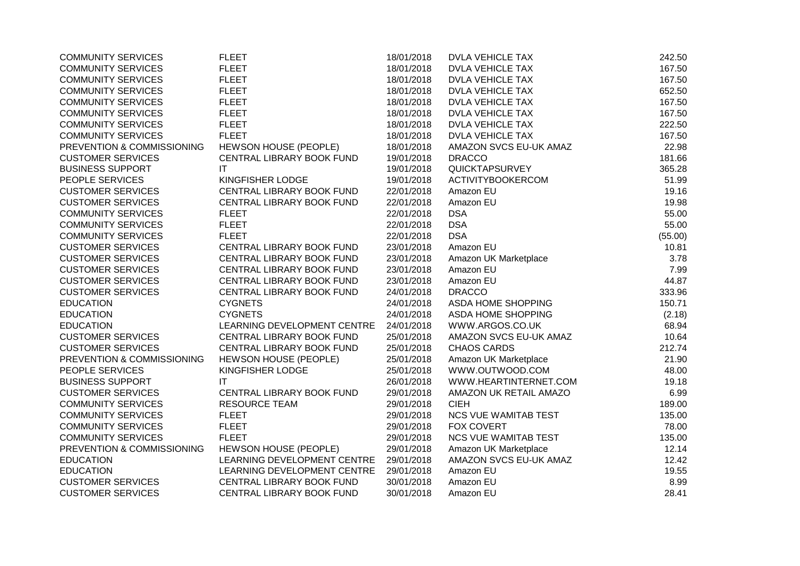| <b>COMMUNITY SERVICES</b>  | <b>FLEET</b>                | 18/01/2018 | <b>DVLA VEHICLE TAX</b>     | 242.50  |
|----------------------------|-----------------------------|------------|-----------------------------|---------|
| <b>COMMUNITY SERVICES</b>  | <b>FLEET</b>                | 18/01/2018 | <b>DVLA VEHICLE TAX</b>     | 167.50  |
| <b>COMMUNITY SERVICES</b>  | <b>FLEET</b>                | 18/01/2018 | DVLA VEHICLE TAX            | 167.50  |
| <b>COMMUNITY SERVICES</b>  | <b>FLEET</b>                | 18/01/2018 | <b>DVLA VEHICLE TAX</b>     | 652.50  |
| <b>COMMUNITY SERVICES</b>  | <b>FLEET</b>                | 18/01/2018 | DVLA VEHICLE TAX            | 167.50  |
| <b>COMMUNITY SERVICES</b>  | <b>FLEET</b>                | 18/01/2018 | <b>DVLA VEHICLE TAX</b>     | 167.50  |
| <b>COMMUNITY SERVICES</b>  | <b>FLEET</b>                | 18/01/2018 | <b>DVLA VEHICLE TAX</b>     | 222.50  |
| <b>COMMUNITY SERVICES</b>  | <b>FLEET</b>                | 18/01/2018 | <b>DVLA VEHICLE TAX</b>     | 167.50  |
| PREVENTION & COMMISSIONING | HEWSON HOUSE (PEOPLE)       | 18/01/2018 | AMAZON SVCS EU-UK AMAZ      | 22.98   |
| <b>CUSTOMER SERVICES</b>   | CENTRAL LIBRARY BOOK FUND   | 19/01/2018 | <b>DRACCO</b>               | 181.66  |
| <b>BUSINESS SUPPORT</b>    | <b>IT</b>                   | 19/01/2018 | QUICKTAPSURVEY              | 365.28  |
| PEOPLE SERVICES            | KINGFISHER LODGE            | 19/01/2018 | <b>ACTIVITYBOOKERCOM</b>    | 51.99   |
| <b>CUSTOMER SERVICES</b>   | CENTRAL LIBRARY BOOK FUND   | 22/01/2018 | Amazon EU                   | 19.16   |
| <b>CUSTOMER SERVICES</b>   | CENTRAL LIBRARY BOOK FUND   | 22/01/2018 | Amazon EU                   | 19.98   |
| <b>COMMUNITY SERVICES</b>  | <b>FLEET</b>                | 22/01/2018 | <b>DSA</b>                  | 55.00   |
| <b>COMMUNITY SERVICES</b>  | <b>FLEET</b>                | 22/01/2018 | <b>DSA</b>                  | 55.00   |
| <b>COMMUNITY SERVICES</b>  | <b>FLEET</b>                | 22/01/2018 | <b>DSA</b>                  | (55.00) |
| <b>CUSTOMER SERVICES</b>   | CENTRAL LIBRARY BOOK FUND   | 23/01/2018 | Amazon EU                   | 10.81   |
| <b>CUSTOMER SERVICES</b>   | CENTRAL LIBRARY BOOK FUND   | 23/01/2018 | Amazon UK Marketplace       | 3.78    |
| <b>CUSTOMER SERVICES</b>   | CENTRAL LIBRARY BOOK FUND   | 23/01/2018 | Amazon EU                   | 7.99    |
| <b>CUSTOMER SERVICES</b>   | CENTRAL LIBRARY BOOK FUND   | 23/01/2018 | Amazon EU                   | 44.87   |
| <b>CUSTOMER SERVICES</b>   | CENTRAL LIBRARY BOOK FUND   | 24/01/2018 | <b>DRACCO</b>               | 333.96  |
| <b>EDUCATION</b>           | <b>CYGNETS</b>              | 24/01/2018 | ASDA HOME SHOPPING          | 150.71  |
| <b>EDUCATION</b>           | <b>CYGNETS</b>              | 24/01/2018 | ASDA HOME SHOPPING          | (2.18)  |
| <b>EDUCATION</b>           | LEARNING DEVELOPMENT CENTRE | 24/01/2018 | WWW.ARGOS.CO.UK             | 68.94   |
| <b>CUSTOMER SERVICES</b>   | CENTRAL LIBRARY BOOK FUND   | 25/01/2018 | AMAZON SVCS EU-UK AMAZ      | 10.64   |
| <b>CUSTOMER SERVICES</b>   | CENTRAL LIBRARY BOOK FUND   | 25/01/2018 | <b>CHAOS CARDS</b>          | 212.74  |
| PREVENTION & COMMISSIONING | HEWSON HOUSE (PEOPLE)       | 25/01/2018 | Amazon UK Marketplace       | 21.90   |
| PEOPLE SERVICES            | KINGFISHER LODGE            | 25/01/2018 | WWW.OUTWOOD.COM             | 48.00   |
| <b>BUSINESS SUPPORT</b>    | IT                          | 26/01/2018 | WWW.HEARTINTERNET.COM       | 19.18   |
| <b>CUSTOMER SERVICES</b>   | CENTRAL LIBRARY BOOK FUND   | 29/01/2018 | AMAZON UK RETAIL AMAZO      | 6.99    |
| <b>COMMUNITY SERVICES</b>  | <b>RESOURCE TEAM</b>        | 29/01/2018 | <b>CIEH</b>                 | 189.00  |
| <b>COMMUNITY SERVICES</b>  | <b>FLEET</b>                | 29/01/2018 | NCS VUE WAMITAB TEST        | 135.00  |
| <b>COMMUNITY SERVICES</b>  | <b>FLEET</b>                | 29/01/2018 | <b>FOX COVERT</b>           | 78.00   |
| <b>COMMUNITY SERVICES</b>  | <b>FLEET</b>                | 29/01/2018 | <b>NCS VUE WAMITAB TEST</b> | 135.00  |
| PREVENTION & COMMISSIONING | HEWSON HOUSE (PEOPLE)       | 29/01/2018 | Amazon UK Marketplace       | 12.14   |
| <b>EDUCATION</b>           | LEARNING DEVELOPMENT CENTRE | 29/01/2018 | AMAZON SVCS EU-UK AMAZ      | 12.42   |
| <b>EDUCATION</b>           | LEARNING DEVELOPMENT CENTRE | 29/01/2018 | Amazon EU                   | 19.55   |
| <b>CUSTOMER SERVICES</b>   | CENTRAL LIBRARY BOOK FUND   | 30/01/2018 | Amazon EU                   | 8.99    |
| <b>CUSTOMER SERVICES</b>   | CENTRAL LIBRARY BOOK FUND   | 30/01/2018 | Amazon EU                   | 28.41   |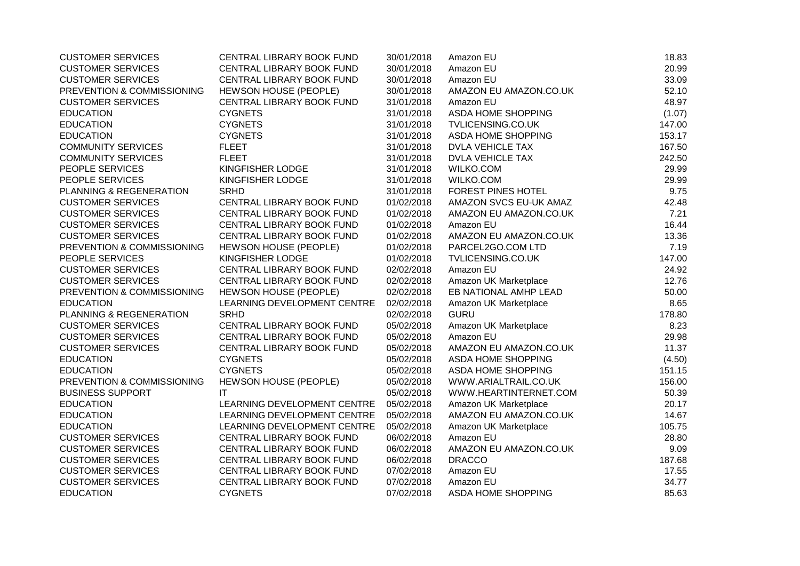| <b>CUSTOMER SERVICES</b>   | CENTRAL LIBRARY BOOK FUND    | 30/01/2018 | Amazon EU                 | 18.83  |
|----------------------------|------------------------------|------------|---------------------------|--------|
| <b>CUSTOMER SERVICES</b>   | CENTRAL LIBRARY BOOK FUND    | 30/01/2018 | Amazon EU                 | 20.99  |
| <b>CUSTOMER SERVICES</b>   | CENTRAL LIBRARY BOOK FUND    | 30/01/2018 | Amazon EU                 | 33.09  |
| PREVENTION & COMMISSIONING | HEWSON HOUSE (PEOPLE)        | 30/01/2018 | AMAZON EU AMAZON.CO.UK    | 52.10  |
| <b>CUSTOMER SERVICES</b>   | CENTRAL LIBRARY BOOK FUND    | 31/01/2018 | Amazon EU                 | 48.97  |
| <b>EDUCATION</b>           | <b>CYGNETS</b>               | 31/01/2018 | ASDA HOME SHOPPING        | (1.07) |
| <b>EDUCATION</b>           | <b>CYGNETS</b>               | 31/01/2018 | TVLICENSING.CO.UK         | 147.00 |
| <b>EDUCATION</b>           | <b>CYGNETS</b>               | 31/01/2018 | ASDA HOME SHOPPING        | 153.17 |
| <b>COMMUNITY SERVICES</b>  | <b>FLEET</b>                 | 31/01/2018 | <b>DVLA VEHICLE TAX</b>   | 167.50 |
| <b>COMMUNITY SERVICES</b>  | <b>FLEET</b>                 | 31/01/2018 | <b>DVLA VEHICLE TAX</b>   | 242.50 |
| PEOPLE SERVICES            | KINGFISHER LODGE             | 31/01/2018 | <b>WILKO.COM</b>          | 29.99  |
| PEOPLE SERVICES            | KINGFISHER LODGE             | 31/01/2018 | WILKO.COM                 | 29.99  |
| PLANNING & REGENERATION    | <b>SRHD</b>                  | 31/01/2018 | <b>FOREST PINES HOTEL</b> | 9.75   |
| <b>CUSTOMER SERVICES</b>   | CENTRAL LIBRARY BOOK FUND    | 01/02/2018 | AMAZON SVCS EU-UK AMAZ    | 42.48  |
| <b>CUSTOMER SERVICES</b>   | CENTRAL LIBRARY BOOK FUND    | 01/02/2018 | AMAZON EU AMAZON.CO.UK    | 7.21   |
| <b>CUSTOMER SERVICES</b>   | CENTRAL LIBRARY BOOK FUND    | 01/02/2018 | Amazon EU                 | 16.44  |
| <b>CUSTOMER SERVICES</b>   | CENTRAL LIBRARY BOOK FUND    | 01/02/2018 | AMAZON EU AMAZON.CO.UK    | 13.36  |
| PREVENTION & COMMISSIONING | <b>HEWSON HOUSE (PEOPLE)</b> | 01/02/2018 | PARCEL2GO.COM LTD         | 7.19   |
| PEOPLE SERVICES            | KINGFISHER LODGE             | 01/02/2018 | TVLICENSING.CO.UK         | 147.00 |
| <b>CUSTOMER SERVICES</b>   | CENTRAL LIBRARY BOOK FUND    | 02/02/2018 | Amazon EU                 | 24.92  |
| <b>CUSTOMER SERVICES</b>   | CENTRAL LIBRARY BOOK FUND    | 02/02/2018 | Amazon UK Marketplace     | 12.76  |
| PREVENTION & COMMISSIONING | <b>HEWSON HOUSE (PEOPLE)</b> | 02/02/2018 | EB NATIONAL AMHP LEAD     | 50.00  |
| <b>EDUCATION</b>           | LEARNING DEVELOPMENT CENTRE  | 02/02/2018 | Amazon UK Marketplace     | 8.65   |
| PLANNING & REGENERATION    | <b>SRHD</b>                  | 02/02/2018 | <b>GURU</b>               | 178.80 |
| <b>CUSTOMER SERVICES</b>   | CENTRAL LIBRARY BOOK FUND    | 05/02/2018 | Amazon UK Marketplace     | 8.23   |
| <b>CUSTOMER SERVICES</b>   | CENTRAL LIBRARY BOOK FUND    | 05/02/2018 | Amazon EU                 | 29.98  |
| <b>CUSTOMER SERVICES</b>   | CENTRAL LIBRARY BOOK FUND    | 05/02/2018 | AMAZON EU AMAZON.CO.UK    | 11.37  |
| <b>EDUCATION</b>           | <b>CYGNETS</b>               | 05/02/2018 | <b>ASDA HOME SHOPPING</b> | (4.50) |
| <b>EDUCATION</b>           | <b>CYGNETS</b>               | 05/02/2018 | ASDA HOME SHOPPING        | 151.15 |
| PREVENTION & COMMISSIONING | HEWSON HOUSE (PEOPLE)        | 05/02/2018 | WWW.ARIALTRAIL.CO.UK      | 156.00 |
| <b>BUSINESS SUPPORT</b>    | $\mathsf{I}\mathsf{T}$       | 05/02/2018 | WWW.HEARTINTERNET.COM     | 50.39  |
| <b>EDUCATION</b>           | LEARNING DEVELOPMENT CENTRE  | 05/02/2018 | Amazon UK Marketplace     | 20.17  |
| <b>EDUCATION</b>           | LEARNING DEVELOPMENT CENTRE  | 05/02/2018 | AMAZON EU AMAZON.CO.UK    | 14.67  |
| <b>EDUCATION</b>           | LEARNING DEVELOPMENT CENTRE  | 05/02/2018 | Amazon UK Marketplace     | 105.75 |
| <b>CUSTOMER SERVICES</b>   | CENTRAL LIBRARY BOOK FUND    | 06/02/2018 | Amazon EU                 | 28.80  |
| <b>CUSTOMER SERVICES</b>   | CENTRAL LIBRARY BOOK FUND    | 06/02/2018 | AMAZON EU AMAZON.CO.UK    | 9.09   |
| <b>CUSTOMER SERVICES</b>   | CENTRAL LIBRARY BOOK FUND    | 06/02/2018 | <b>DRACCO</b>             | 187.68 |
| <b>CUSTOMER SERVICES</b>   | CENTRAL LIBRARY BOOK FUND    | 07/02/2018 | Amazon EU                 | 17.55  |
| <b>CUSTOMER SERVICES</b>   | CENTRAL LIBRARY BOOK FUND    | 07/02/2018 | Amazon EU                 | 34.77  |
| <b>EDUCATION</b>           | <b>CYGNETS</b>               | 07/02/2018 | ASDA HOME SHOPPING        | 85.63  |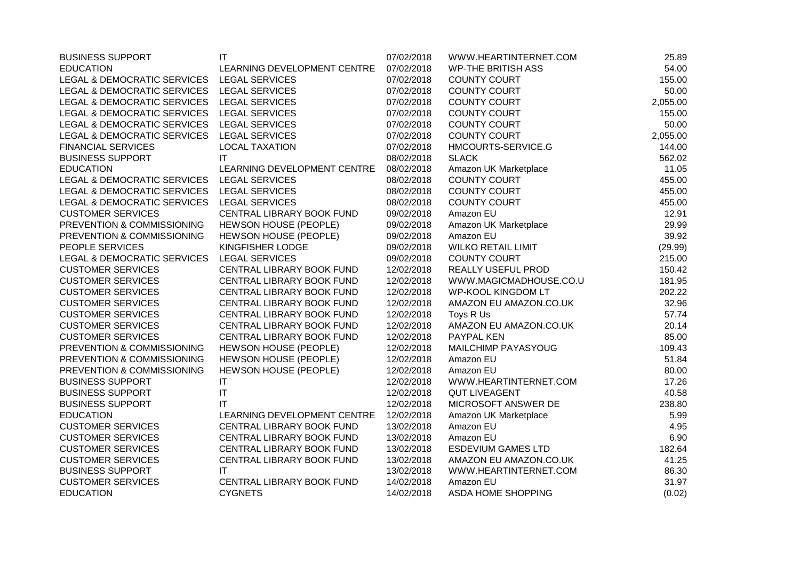| <b>BUSINESS SUPPORT</b>                    | $\mathsf{I}\mathsf{T}$      | 07/02/2018 | WWW.HEARTINTERNET.COM     | 25.89    |
|--------------------------------------------|-----------------------------|------------|---------------------------|----------|
| <b>EDUCATION</b>                           | LEARNING DEVELOPMENT CENTRE | 07/02/2018 | <b>WP-THE BRITISH ASS</b> | 54.00    |
| LEGAL & DEMOCRATIC SERVICES                | <b>LEGAL SERVICES</b>       | 07/02/2018 | <b>COUNTY COURT</b>       | 155.00   |
| LEGAL & DEMOCRATIC SERVICES LEGAL SERVICES |                             | 07/02/2018 | COUNTY COURT              | 50.00    |
| LEGAL & DEMOCRATIC SERVICES                | <b>LEGAL SERVICES</b>       | 07/02/2018 | COUNTY COURT              | 2,055.00 |
| LEGAL & DEMOCRATIC SERVICES                | <b>LEGAL SERVICES</b>       | 07/02/2018 | <b>COUNTY COURT</b>       | 155.00   |
| LEGAL & DEMOCRATIC SERVICES                | <b>LEGAL SERVICES</b>       | 07/02/2018 | <b>COUNTY COURT</b>       | 50.00    |
| LEGAL & DEMOCRATIC SERVICES                | <b>LEGAL SERVICES</b>       | 07/02/2018 | COUNTY COURT              | 2,055.00 |
| <b>FINANCIAL SERVICES</b>                  | <b>LOCAL TAXATION</b>       | 07/02/2018 | HMCOURTS-SERVICE.G        | 144.00   |
| <b>BUSINESS SUPPORT</b>                    | IT                          | 08/02/2018 | <b>SLACK</b>              | 562.02   |
| <b>EDUCATION</b>                           | LEARNING DEVELOPMENT CENTRE | 08/02/2018 | Amazon UK Marketplace     | 11.05    |
| LEGAL & DEMOCRATIC SERVICES                | <b>LEGAL SERVICES</b>       | 08/02/2018 | <b>COUNTY COURT</b>       | 455.00   |
| <b>LEGAL &amp; DEMOCRATIC SERVICES</b>     | <b>LEGAL SERVICES</b>       | 08/02/2018 | <b>COUNTY COURT</b>       | 455.00   |
| LEGAL & DEMOCRATIC SERVICES                | <b>LEGAL SERVICES</b>       | 08/02/2018 | <b>COUNTY COURT</b>       | 455.00   |
| <b>CUSTOMER SERVICES</b>                   | CENTRAL LIBRARY BOOK FUND   | 09/02/2018 | Amazon EU                 | 12.91    |
| PREVENTION & COMMISSIONING                 | HEWSON HOUSE (PEOPLE)       | 09/02/2018 | Amazon UK Marketplace     | 29.99    |
| PREVENTION & COMMISSIONING                 | HEWSON HOUSE (PEOPLE)       | 09/02/2018 | Amazon EU                 | 39.92    |
| PEOPLE SERVICES                            | KINGFISHER LODGE            | 09/02/2018 | <b>WILKO RETAIL LIMIT</b> | (29.99)  |
| LEGAL & DEMOCRATIC SERVICES                | <b>LEGAL SERVICES</b>       | 09/02/2018 | <b>COUNTY COURT</b>       | 215.00   |
| <b>CUSTOMER SERVICES</b>                   | CENTRAL LIBRARY BOOK FUND   | 12/02/2018 | REALLY USEFUL PROD        | 150.42   |
| <b>CUSTOMER SERVICES</b>                   | CENTRAL LIBRARY BOOK FUND   | 12/02/2018 | WWW.MAGICMADHOUSE.CO.U    | 181.95   |
| <b>CUSTOMER SERVICES</b>                   | CENTRAL LIBRARY BOOK FUND   | 12/02/2018 | <b>WP-KOOL KINGDOM LT</b> | 202.22   |
| <b>CUSTOMER SERVICES</b>                   | CENTRAL LIBRARY BOOK FUND   | 12/02/2018 | AMAZON EU AMAZON.CO.UK    | 32.96    |
| <b>CUSTOMER SERVICES</b>                   | CENTRAL LIBRARY BOOK FUND   | 12/02/2018 | Toys R Us                 | 57.74    |
| <b>CUSTOMER SERVICES</b>                   | CENTRAL LIBRARY BOOK FUND   | 12/02/2018 | AMAZON EU AMAZON.CO.UK    | 20.14    |
| <b>CUSTOMER SERVICES</b>                   | CENTRAL LIBRARY BOOK FUND   | 12/02/2018 | PAYPAL KEN                | 85.00    |
| PREVENTION & COMMISSIONING                 | HEWSON HOUSE (PEOPLE)       | 12/02/2018 | MAILCHIMP PAYASYOUG       | 109.43   |
| PREVENTION & COMMISSIONING                 | HEWSON HOUSE (PEOPLE)       | 12/02/2018 | Amazon EU                 | 51.84    |
| PREVENTION & COMMISSIONING                 | HEWSON HOUSE (PEOPLE)       | 12/02/2018 | Amazon EU                 | 80.00    |
| <b>BUSINESS SUPPORT</b>                    | IT                          | 12/02/2018 | WWW.HEARTINTERNET.COM     | 17.26    |
| <b>BUSINESS SUPPORT</b>                    | IT                          | 12/02/2018 | <b>QUT LIVEAGENT</b>      | 40.58    |
| <b>BUSINESS SUPPORT</b>                    | IT                          | 12/02/2018 | MICROSOFT ANSWER DE       | 238.80   |
| <b>EDUCATION</b>                           | LEARNING DEVELOPMENT CENTRE | 12/02/2018 | Amazon UK Marketplace     | 5.99     |
| <b>CUSTOMER SERVICES</b>                   | CENTRAL LIBRARY BOOK FUND   | 13/02/2018 | Amazon EU                 | 4.95     |
| <b>CUSTOMER SERVICES</b>                   | CENTRAL LIBRARY BOOK FUND   | 13/02/2018 | Amazon EU                 | 6.90     |
| <b>CUSTOMER SERVICES</b>                   | CENTRAL LIBRARY BOOK FUND   | 13/02/2018 | <b>ESDEVIUM GAMES LTD</b> | 182.64   |
| <b>CUSTOMER SERVICES</b>                   | CENTRAL LIBRARY BOOK FUND   | 13/02/2018 | AMAZON EU AMAZON.CO.UK    | 41.25    |
| <b>BUSINESS SUPPORT</b>                    | IT                          | 13/02/2018 | WWW.HEARTINTERNET.COM     | 86.30    |
| <b>CUSTOMER SERVICES</b>                   | CENTRAL LIBRARY BOOK FUND   | 14/02/2018 | Amazon EU                 | 31.97    |
| <b>EDUCATION</b>                           | <b>CYGNETS</b>              | 14/02/2018 | <b>ASDA HOME SHOPPING</b> | (0.02)   |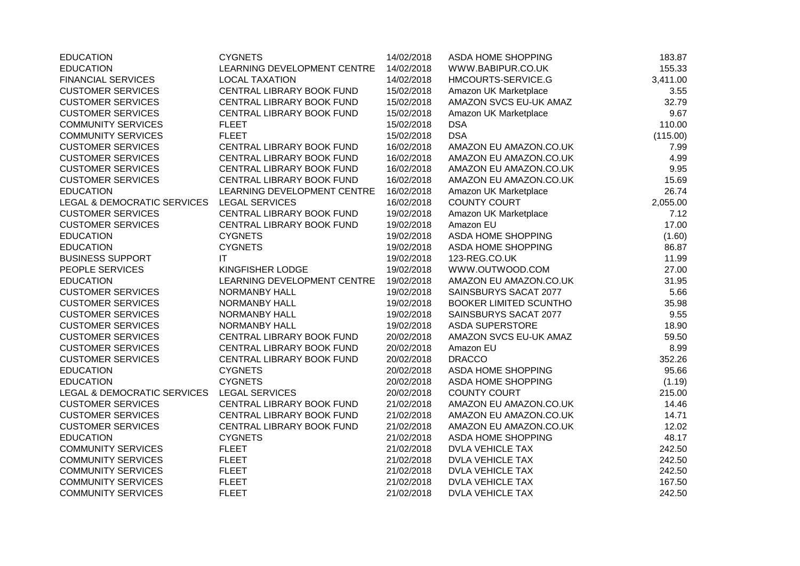| <b>EDUCATION</b>                       | <b>CYGNETS</b>              | 14/02/2018 | ASDA HOME SHOPPING            | 183.87   |
|----------------------------------------|-----------------------------|------------|-------------------------------|----------|
| <b>EDUCATION</b>                       | LEARNING DEVELOPMENT CENTRE | 14/02/2018 | WWW.BABIPUR.CO.UK             | 155.33   |
| <b>FINANCIAL SERVICES</b>              | <b>LOCAL TAXATION</b>       | 14/02/2018 | HMCOURTS-SERVICE.G            | 3,411.00 |
| <b>CUSTOMER SERVICES</b>               | CENTRAL LIBRARY BOOK FUND   | 15/02/2018 | Amazon UK Marketplace         | 3.55     |
| <b>CUSTOMER SERVICES</b>               | CENTRAL LIBRARY BOOK FUND   | 15/02/2018 | AMAZON SVCS EU-UK AMAZ        | 32.79    |
| <b>CUSTOMER SERVICES</b>               | CENTRAL LIBRARY BOOK FUND   | 15/02/2018 | Amazon UK Marketplace         | 9.67     |
| <b>COMMUNITY SERVICES</b>              | <b>FLEET</b>                | 15/02/2018 | <b>DSA</b>                    | 110.00   |
| <b>COMMUNITY SERVICES</b>              | <b>FLEET</b>                | 15/02/2018 | <b>DSA</b>                    | (115.00) |
| <b>CUSTOMER SERVICES</b>               | CENTRAL LIBRARY BOOK FUND   | 16/02/2018 | AMAZON EU AMAZON.CO.UK        | 7.99     |
| <b>CUSTOMER SERVICES</b>               | CENTRAL LIBRARY BOOK FUND   | 16/02/2018 | AMAZON EU AMAZON.CO.UK        | 4.99     |
| <b>CUSTOMER SERVICES</b>               | CENTRAL LIBRARY BOOK FUND   | 16/02/2018 | AMAZON EU AMAZON.CO.UK        | 9.95     |
| <b>CUSTOMER SERVICES</b>               | CENTRAL LIBRARY BOOK FUND   | 16/02/2018 | AMAZON EU AMAZON.CO.UK        | 15.69    |
| <b>EDUCATION</b>                       | LEARNING DEVELOPMENT CENTRE | 16/02/2018 | Amazon UK Marketplace         | 26.74    |
| <b>LEGAL &amp; DEMOCRATIC SERVICES</b> | <b>LEGAL SERVICES</b>       | 16/02/2018 | <b>COUNTY COURT</b>           | 2,055.00 |
| <b>CUSTOMER SERVICES</b>               | CENTRAL LIBRARY BOOK FUND   | 19/02/2018 | Amazon UK Marketplace         | 7.12     |
| <b>CUSTOMER SERVICES</b>               | CENTRAL LIBRARY BOOK FUND   | 19/02/2018 | Amazon EU                     | 17.00    |
| <b>EDUCATION</b>                       | <b>CYGNETS</b>              | 19/02/2018 | ASDA HOME SHOPPING            | (1.60)   |
| <b>EDUCATION</b>                       | <b>CYGNETS</b>              | 19/02/2018 | ASDA HOME SHOPPING            | 86.87    |
| <b>BUSINESS SUPPORT</b>                | IT                          | 19/02/2018 | 123-REG.CO.UK                 | 11.99    |
| PEOPLE SERVICES                        | KINGFISHER LODGE            | 19/02/2018 | WWW.OUTWOOD.COM               | 27.00    |
| <b>EDUCATION</b>                       | LEARNING DEVELOPMENT CENTRE | 19/02/2018 | AMAZON EU AMAZON.CO.UK        | 31.95    |
| <b>CUSTOMER SERVICES</b>               | NORMANBY HALL               | 19/02/2018 | SAINSBURYS SACAT 2077         | 5.66     |
| <b>CUSTOMER SERVICES</b>               | NORMANBY HALL               | 19/02/2018 | <b>BOOKER LIMITED SCUNTHO</b> | 35.98    |
| <b>CUSTOMER SERVICES</b>               | <b>NORMANBY HALL</b>        | 19/02/2018 | SAINSBURYS SACAT 2077         | 9.55     |
| <b>CUSTOMER SERVICES</b>               | <b>NORMANBY HALL</b>        | 19/02/2018 | <b>ASDA SUPERSTORE</b>        | 18.90    |
| <b>CUSTOMER SERVICES</b>               | CENTRAL LIBRARY BOOK FUND   | 20/02/2018 | AMAZON SVCS EU-UK AMAZ        | 59.50    |
| <b>CUSTOMER SERVICES</b>               | CENTRAL LIBRARY BOOK FUND   | 20/02/2018 | Amazon EU                     | 8.99     |
| <b>CUSTOMER SERVICES</b>               | CENTRAL LIBRARY BOOK FUND   | 20/02/2018 | <b>DRACCO</b>                 | 352.26   |
| <b>EDUCATION</b>                       | <b>CYGNETS</b>              | 20/02/2018 | ASDA HOME SHOPPING            | 95.66    |
| <b>EDUCATION</b>                       | <b>CYGNETS</b>              | 20/02/2018 | ASDA HOME SHOPPING            | (1.19)   |
| LEGAL & DEMOCRATIC SERVICES            | <b>LEGAL SERVICES</b>       | 20/02/2018 | <b>COUNTY COURT</b>           | 215.00   |
| <b>CUSTOMER SERVICES</b>               | CENTRAL LIBRARY BOOK FUND   | 21/02/2018 | AMAZON EU AMAZON.CO.UK        | 14.46    |
| <b>CUSTOMER SERVICES</b>               | CENTRAL LIBRARY BOOK FUND   | 21/02/2018 | AMAZON EU AMAZON.CO.UK        | 14.71    |
| <b>CUSTOMER SERVICES</b>               | CENTRAL LIBRARY BOOK FUND   | 21/02/2018 | AMAZON EU AMAZON.CO.UK        | 12.02    |
| <b>EDUCATION</b>                       | <b>CYGNETS</b>              | 21/02/2018 | ASDA HOME SHOPPING            | 48.17    |
| <b>COMMUNITY SERVICES</b>              | <b>FLEET</b>                | 21/02/2018 | <b>DVLA VEHICLE TAX</b>       | 242.50   |
| <b>COMMUNITY SERVICES</b>              | <b>FLEET</b>                | 21/02/2018 | <b>DVLA VEHICLE TAX</b>       | 242.50   |
| <b>COMMUNITY SERVICES</b>              | <b>FLEET</b>                | 21/02/2018 | <b>DVLA VEHICLE TAX</b>       | 242.50   |
| <b>COMMUNITY SERVICES</b>              | <b>FLEET</b>                | 21/02/2018 | <b>DVLA VEHICLE TAX</b>       | 167.50   |
| <b>COMMUNITY SERVICES</b>              | <b>FLEET</b>                | 21/02/2018 | <b>DVLA VEHICLE TAX</b>       | 242.50   |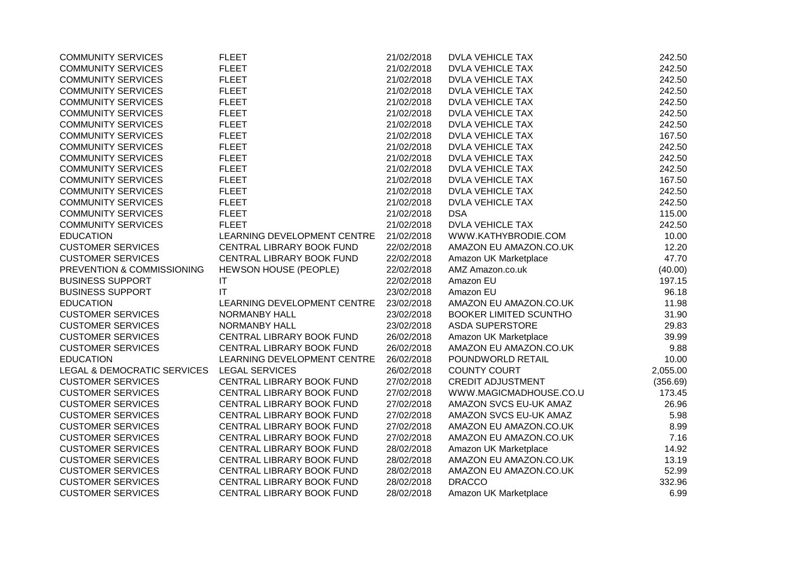| <b>COMMUNITY SERVICES</b>   | <b>FLEET</b>                 | 21/02/2018 | <b>DVLA VEHICLE TAX</b>       | 242.50   |
|-----------------------------|------------------------------|------------|-------------------------------|----------|
| <b>COMMUNITY SERVICES</b>   | <b>FLEET</b>                 | 21/02/2018 | <b>DVLA VEHICLE TAX</b>       | 242.50   |
| <b>COMMUNITY SERVICES</b>   | <b>FLEET</b>                 | 21/02/2018 | <b>DVLA VEHICLE TAX</b>       | 242.50   |
| <b>COMMUNITY SERVICES</b>   | <b>FLEET</b>                 | 21/02/2018 | <b>DVLA VEHICLE TAX</b>       | 242.50   |
| <b>COMMUNITY SERVICES</b>   | <b>FLEET</b>                 | 21/02/2018 | DVLA VEHICLE TAX              | 242.50   |
| <b>COMMUNITY SERVICES</b>   | <b>FLEET</b>                 | 21/02/2018 | <b>DVLA VEHICLE TAX</b>       | 242.50   |
| <b>COMMUNITY SERVICES</b>   | <b>FLEET</b>                 | 21/02/2018 | <b>DVLA VEHICLE TAX</b>       | 242.50   |
| <b>COMMUNITY SERVICES</b>   | <b>FLEET</b>                 | 21/02/2018 | <b>DVLA VEHICLE TAX</b>       | 167.50   |
| <b>COMMUNITY SERVICES</b>   | <b>FLEET</b>                 | 21/02/2018 | <b>DVLA VEHICLE TAX</b>       | 242.50   |
| <b>COMMUNITY SERVICES</b>   | <b>FLEET</b>                 | 21/02/2018 | <b>DVLA VEHICLE TAX</b>       | 242.50   |
| <b>COMMUNITY SERVICES</b>   | <b>FLEET</b>                 | 21/02/2018 | <b>DVLA VEHICLE TAX</b>       | 242.50   |
| <b>COMMUNITY SERVICES</b>   | <b>FLEET</b>                 | 21/02/2018 | <b>DVLA VEHICLE TAX</b>       | 167.50   |
| <b>COMMUNITY SERVICES</b>   | <b>FLEET</b>                 | 21/02/2018 | <b>DVLA VEHICLE TAX</b>       | 242.50   |
| <b>COMMUNITY SERVICES</b>   | <b>FLEET</b>                 | 21/02/2018 | <b>DVLA VEHICLE TAX</b>       | 242.50   |
| <b>COMMUNITY SERVICES</b>   | <b>FLEET</b>                 | 21/02/2018 | <b>DSA</b>                    | 115.00   |
| <b>COMMUNITY SERVICES</b>   | <b>FLEET</b>                 | 21/02/2018 | <b>DVLA VEHICLE TAX</b>       | 242.50   |
| <b>EDUCATION</b>            | LEARNING DEVELOPMENT CENTRE  | 21/02/2018 | WWW.KATHYBRODIE.COM           | 10.00    |
| <b>CUSTOMER SERVICES</b>    | CENTRAL LIBRARY BOOK FUND    | 22/02/2018 | AMAZON EU AMAZON.CO.UK        | 12.20    |
| <b>CUSTOMER SERVICES</b>    | CENTRAL LIBRARY BOOK FUND    | 22/02/2018 | Amazon UK Marketplace         | 47.70    |
| PREVENTION & COMMISSIONING  | <b>HEWSON HOUSE (PEOPLE)</b> | 22/02/2018 | AMZ Amazon.co.uk              | (40.00)  |
| <b>BUSINESS SUPPORT</b>     | IT                           | 22/02/2018 | Amazon EU                     | 197.15   |
| <b>BUSINESS SUPPORT</b>     | IT                           | 23/02/2018 | Amazon EU                     | 96.18    |
| <b>EDUCATION</b>            | LEARNING DEVELOPMENT CENTRE  | 23/02/2018 | AMAZON EU AMAZON.CO.UK        | 11.98    |
| <b>CUSTOMER SERVICES</b>    | NORMANBY HALL                | 23/02/2018 | <b>BOOKER LIMITED SCUNTHO</b> | 31.90    |
| <b>CUSTOMER SERVICES</b>    | <b>NORMANBY HALL</b>         | 23/02/2018 | <b>ASDA SUPERSTORE</b>        | 29.83    |
| <b>CUSTOMER SERVICES</b>    | CENTRAL LIBRARY BOOK FUND    | 26/02/2018 | Amazon UK Marketplace         | 39.99    |
| <b>CUSTOMER SERVICES</b>    | CENTRAL LIBRARY BOOK FUND    | 26/02/2018 | AMAZON EU AMAZON.CO.UK        | 9.88     |
| <b>EDUCATION</b>            | LEARNING DEVELOPMENT CENTRE  | 26/02/2018 | POUNDWORLD RETAIL             | 10.00    |
| LEGAL & DEMOCRATIC SERVICES | <b>LEGAL SERVICES</b>        | 26/02/2018 | <b>COUNTY COURT</b>           | 2,055.00 |
| <b>CUSTOMER SERVICES</b>    | CENTRAL LIBRARY BOOK FUND    | 27/02/2018 | <b>CREDIT ADJUSTMENT</b>      | (356.69) |
| <b>CUSTOMER SERVICES</b>    | CENTRAL LIBRARY BOOK FUND    | 27/02/2018 | WWW.MAGICMADHOUSE.CO.U        | 173.45   |
| <b>CUSTOMER SERVICES</b>    | CENTRAL LIBRARY BOOK FUND    | 27/02/2018 | AMAZON SVCS EU-UK AMAZ        | 26.96    |
| <b>CUSTOMER SERVICES</b>    | CENTRAL LIBRARY BOOK FUND    | 27/02/2018 | AMAZON SVCS EU-UK AMAZ        | 5.98     |
| <b>CUSTOMER SERVICES</b>    | CENTRAL LIBRARY BOOK FUND    | 27/02/2018 | AMAZON EU AMAZON.CO.UK        | 8.99     |
| <b>CUSTOMER SERVICES</b>    | CENTRAL LIBRARY BOOK FUND    | 27/02/2018 | AMAZON EU AMAZON.CO.UK        | 7.16     |
| <b>CUSTOMER SERVICES</b>    | CENTRAL LIBRARY BOOK FUND    | 28/02/2018 | Amazon UK Marketplace         | 14.92    |
| <b>CUSTOMER SERVICES</b>    | CENTRAL LIBRARY BOOK FUND    | 28/02/2018 | AMAZON EU AMAZON.CO.UK        | 13.19    |
| <b>CUSTOMER SERVICES</b>    | CENTRAL LIBRARY BOOK FUND    | 28/02/2018 | AMAZON EU AMAZON.CO.UK        | 52.99    |
| <b>CUSTOMER SERVICES</b>    | CENTRAL LIBRARY BOOK FUND    | 28/02/2018 | <b>DRACCO</b>                 | 332.96   |
| <b>CUSTOMER SERVICES</b>    | CENTRAL LIBRARY BOOK FUND    | 28/02/2018 | Amazon UK Marketplace         | 6.99     |
|                             |                              |            |                               |          |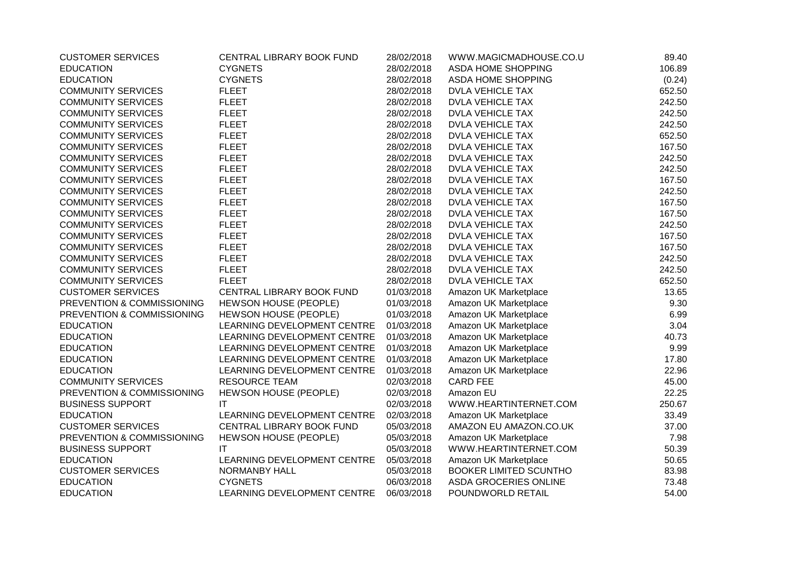| <b>CUSTOMER SERVICES</b>   | CENTRAL LIBRARY BOOK FUND    | 28/02/2018 | WWW.MAGICMADHOUSE.CO.U        | 89.40  |
|----------------------------|------------------------------|------------|-------------------------------|--------|
| <b>EDUCATION</b>           | <b>CYGNETS</b>               | 28/02/2018 | ASDA HOME SHOPPING            | 106.89 |
| <b>EDUCATION</b>           | <b>CYGNETS</b>               | 28/02/2018 | ASDA HOME SHOPPING            | (0.24) |
| <b>COMMUNITY SERVICES</b>  | <b>FLEET</b>                 | 28/02/2018 | <b>DVLA VEHICLE TAX</b>       | 652.50 |
| <b>COMMUNITY SERVICES</b>  | <b>FLEET</b>                 | 28/02/2018 | <b>DVLA VEHICLE TAX</b>       | 242.50 |
| <b>COMMUNITY SERVICES</b>  | <b>FLEET</b>                 | 28/02/2018 | <b>DVLA VEHICLE TAX</b>       | 242.50 |
| <b>COMMUNITY SERVICES</b>  | <b>FLEET</b>                 | 28/02/2018 | <b>DVLA VEHICLE TAX</b>       | 242.50 |
| <b>COMMUNITY SERVICES</b>  | <b>FLEET</b>                 | 28/02/2018 | <b>DVLA VEHICLE TAX</b>       | 652.50 |
| <b>COMMUNITY SERVICES</b>  | <b>FLEET</b>                 | 28/02/2018 | <b>DVLA VEHICLE TAX</b>       | 167.50 |
| <b>COMMUNITY SERVICES</b>  | <b>FLEET</b>                 | 28/02/2018 | <b>DVLA VEHICLE TAX</b>       | 242.50 |
| <b>COMMUNITY SERVICES</b>  | <b>FLEET</b>                 | 28/02/2018 | <b>DVLA VEHICLE TAX</b>       | 242.50 |
| <b>COMMUNITY SERVICES</b>  | <b>FLEET</b>                 | 28/02/2018 | DVLA VEHICLE TAX              | 167.50 |
| <b>COMMUNITY SERVICES</b>  | <b>FLEET</b>                 | 28/02/2018 | <b>DVLA VEHICLE TAX</b>       | 242.50 |
| <b>COMMUNITY SERVICES</b>  | <b>FLEET</b>                 | 28/02/2018 | <b>DVLA VEHICLE TAX</b>       | 167.50 |
| <b>COMMUNITY SERVICES</b>  | <b>FLEET</b>                 | 28/02/2018 | <b>DVLA VEHICLE TAX</b>       | 167.50 |
| <b>COMMUNITY SERVICES</b>  | <b>FLEET</b>                 | 28/02/2018 | <b>DVLA VEHICLE TAX</b>       | 242.50 |
| <b>COMMUNITY SERVICES</b>  | <b>FLEET</b>                 | 28/02/2018 | <b>DVLA VEHICLE TAX</b>       | 167.50 |
| <b>COMMUNITY SERVICES</b>  | <b>FLEET</b>                 | 28/02/2018 | <b>DVLA VEHICLE TAX</b>       | 167.50 |
| <b>COMMUNITY SERVICES</b>  | <b>FLEET</b>                 | 28/02/2018 | <b>DVLA VEHICLE TAX</b>       | 242.50 |
| <b>COMMUNITY SERVICES</b>  | <b>FLEET</b>                 | 28/02/2018 | <b>DVLA VEHICLE TAX</b>       | 242.50 |
| <b>COMMUNITY SERVICES</b>  | <b>FLEET</b>                 | 28/02/2018 | <b>DVLA VEHICLE TAX</b>       | 652.50 |
| <b>CUSTOMER SERVICES</b>   | CENTRAL LIBRARY BOOK FUND    | 01/03/2018 | Amazon UK Marketplace         | 13.65  |
| PREVENTION & COMMISSIONING | HEWSON HOUSE (PEOPLE)        | 01/03/2018 | Amazon UK Marketplace         | 9.30   |
| PREVENTION & COMMISSIONING | <b>HEWSON HOUSE (PEOPLE)</b> | 01/03/2018 | Amazon UK Marketplace         | 6.99   |
| <b>EDUCATION</b>           | LEARNING DEVELOPMENT CENTRE  | 01/03/2018 | Amazon UK Marketplace         | 3.04   |
| <b>EDUCATION</b>           | LEARNING DEVELOPMENT CENTRE  | 01/03/2018 | Amazon UK Marketplace         | 40.73  |
| <b>EDUCATION</b>           | LEARNING DEVELOPMENT CENTRE  | 01/03/2018 | Amazon UK Marketplace         | 9.99   |
| <b>EDUCATION</b>           | LEARNING DEVELOPMENT CENTRE  | 01/03/2018 | Amazon UK Marketplace         | 17.80  |
| <b>EDUCATION</b>           | LEARNING DEVELOPMENT CENTRE  | 01/03/2018 | Amazon UK Marketplace         | 22.96  |
| <b>COMMUNITY SERVICES</b>  | <b>RESOURCE TEAM</b>         | 02/03/2018 | <b>CARD FEE</b>               | 45.00  |
| PREVENTION & COMMISSIONING | <b>HEWSON HOUSE (PEOPLE)</b> | 02/03/2018 | Amazon EU                     | 22.25  |
| <b>BUSINESS SUPPORT</b>    | IT                           | 02/03/2018 | WWW.HEARTINTERNET.COM         | 250.67 |
| <b>EDUCATION</b>           | LEARNING DEVELOPMENT CENTRE  | 02/03/2018 | Amazon UK Marketplace         | 33.49  |
| <b>CUSTOMER SERVICES</b>   | CENTRAL LIBRARY BOOK FUND    | 05/03/2018 | AMAZON EU AMAZON.CO.UK        | 37.00  |
| PREVENTION & COMMISSIONING | HEWSON HOUSE (PEOPLE)        | 05/03/2018 | Amazon UK Marketplace         | 7.98   |
| <b>BUSINESS SUPPORT</b>    | IT.                          | 05/03/2018 | WWW.HEARTINTERNET.COM         | 50.39  |
| <b>EDUCATION</b>           | LEARNING DEVELOPMENT CENTRE  | 05/03/2018 | Amazon UK Marketplace         | 50.65  |
| <b>CUSTOMER SERVICES</b>   | <b>NORMANBY HALL</b>         | 05/03/2018 | <b>BOOKER LIMITED SCUNTHO</b> | 83.98  |
| <b>EDUCATION</b>           | <b>CYGNETS</b>               | 06/03/2018 | ASDA GROCERIES ONLINE         | 73.48  |
| <b>EDUCATION</b>           | LEARNING DEVELOPMENT CENTRE  | 06/03/2018 | POUNDWORLD RETAIL             | 54.00  |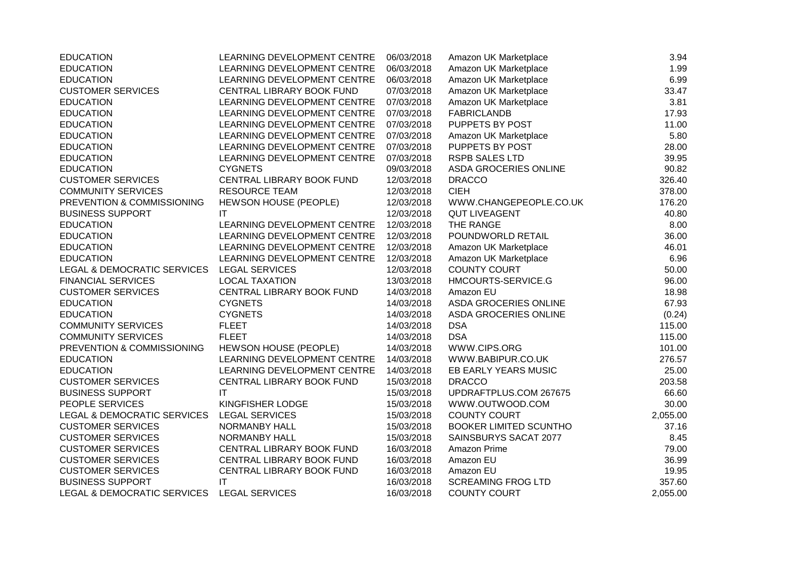| <b>EDUCATION</b>            | LEARNING DEVELOPMENT CENTRE  | 06/03/2018 | Amazon UK Marketplace         | 3.94     |
|-----------------------------|------------------------------|------------|-------------------------------|----------|
| <b>EDUCATION</b>            | LEARNING DEVELOPMENT CENTRE  | 06/03/2018 | Amazon UK Marketplace         | 1.99     |
| <b>EDUCATION</b>            | LEARNING DEVELOPMENT CENTRE  | 06/03/2018 | Amazon UK Marketplace         | 6.99     |
| <b>CUSTOMER SERVICES</b>    | CENTRAL LIBRARY BOOK FUND    | 07/03/2018 | Amazon UK Marketplace         | 33.47    |
| <b>EDUCATION</b>            | LEARNING DEVELOPMENT CENTRE  | 07/03/2018 | Amazon UK Marketplace         | 3.81     |
| <b>EDUCATION</b>            | LEARNING DEVELOPMENT CENTRE  | 07/03/2018 | <b>FABRICLANDB</b>            | 17.93    |
| <b>EDUCATION</b>            | LEARNING DEVELOPMENT CENTRE  | 07/03/2018 | PUPPETS BY POST               | 11.00    |
| <b>EDUCATION</b>            | LEARNING DEVELOPMENT CENTRE  | 07/03/2018 | Amazon UK Marketplace         | 5.80     |
| <b>EDUCATION</b>            | LEARNING DEVELOPMENT CENTRE  | 07/03/2018 | PUPPETS BY POST               | 28.00    |
| <b>EDUCATION</b>            | LEARNING DEVELOPMENT CENTRE  | 07/03/2018 | <b>RSPB SALES LTD</b>         | 39.95    |
| <b>EDUCATION</b>            | <b>CYGNETS</b>               | 09/03/2018 | ASDA GROCERIES ONLINE         | 90.82    |
| <b>CUSTOMER SERVICES</b>    | CENTRAL LIBRARY BOOK FUND    | 12/03/2018 | <b>DRACCO</b>                 | 326.40   |
| <b>COMMUNITY SERVICES</b>   | <b>RESOURCE TEAM</b>         | 12/03/2018 | <b>CIEH</b>                   | 378.00   |
| PREVENTION & COMMISSIONING  | <b>HEWSON HOUSE (PEOPLE)</b> | 12/03/2018 | WWW.CHANGEPEOPLE.CO.UK        | 176.20   |
| <b>BUSINESS SUPPORT</b>     | IT                           | 12/03/2018 | <b>QUT LIVEAGENT</b>          | 40.80    |
| <b>EDUCATION</b>            | LEARNING DEVELOPMENT CENTRE  | 12/03/2018 | THE RANGE                     | 8.00     |
| <b>EDUCATION</b>            | LEARNING DEVELOPMENT CENTRE  | 12/03/2018 | POUNDWORLD RETAIL             | 36.00    |
| <b>EDUCATION</b>            | LEARNING DEVELOPMENT CENTRE  | 12/03/2018 | Amazon UK Marketplace         | 46.01    |
| <b>EDUCATION</b>            | LEARNING DEVELOPMENT CENTRE  | 12/03/2018 | Amazon UK Marketplace         | 6.96     |
| LEGAL & DEMOCRATIC SERVICES | <b>LEGAL SERVICES</b>        | 12/03/2018 | <b>COUNTY COURT</b>           | 50.00    |
| <b>FINANCIAL SERVICES</b>   | <b>LOCAL TAXATION</b>        | 13/03/2018 | HMCOURTS-SERVICE.G            | 96.00    |
| <b>CUSTOMER SERVICES</b>    | CENTRAL LIBRARY BOOK FUND    | 14/03/2018 | Amazon EU                     | 18.98    |
| <b>EDUCATION</b>            | <b>CYGNETS</b>               | 14/03/2018 | ASDA GROCERIES ONLINE         | 67.93    |
| <b>EDUCATION</b>            | <b>CYGNETS</b>               | 14/03/2018 | ASDA GROCERIES ONLINE         | (0.24)   |
| <b>COMMUNITY SERVICES</b>   | <b>FLEET</b>                 | 14/03/2018 | <b>DSA</b>                    | 115.00   |
| <b>COMMUNITY SERVICES</b>   | <b>FLEET</b>                 | 14/03/2018 | <b>DSA</b>                    | 115.00   |
| PREVENTION & COMMISSIONING  | HEWSON HOUSE (PEOPLE)        | 14/03/2018 | WWW.CIPS.ORG                  | 101.00   |
| <b>EDUCATION</b>            | LEARNING DEVELOPMENT CENTRE  | 14/03/2018 | WWW.BABIPUR.CO.UK             | 276.57   |
| <b>EDUCATION</b>            | LEARNING DEVELOPMENT CENTRE  | 14/03/2018 | EB EARLY YEARS MUSIC          | 25.00    |
| <b>CUSTOMER SERVICES</b>    | CENTRAL LIBRARY BOOK FUND    | 15/03/2018 | <b>DRACCO</b>                 | 203.58   |
| <b>BUSINESS SUPPORT</b>     | IT                           | 15/03/2018 | UPDRAFTPLUS.COM 267675        | 66.60    |
| PEOPLE SERVICES             | KINGFISHER LODGE             | 15/03/2018 | WWW.OUTWOOD.COM               | 30.00    |
| LEGAL & DEMOCRATIC SERVICES | <b>LEGAL SERVICES</b>        | 15/03/2018 | <b>COUNTY COURT</b>           | 2,055.00 |
| <b>CUSTOMER SERVICES</b>    | NORMANBY HALL                | 15/03/2018 | <b>BOOKER LIMITED SCUNTHO</b> | 37.16    |
| <b>CUSTOMER SERVICES</b>    | NORMANBY HALL                | 15/03/2018 | SAINSBURYS SACAT 2077         | 8.45     |
| <b>CUSTOMER SERVICES</b>    | CENTRAL LIBRARY BOOK FUND    | 16/03/2018 | Amazon Prime                  | 79.00    |
| <b>CUSTOMER SERVICES</b>    | CENTRAL LIBRARY BOOK FUND    | 16/03/2018 | Amazon EU                     | 36.99    |
| <b>CUSTOMER SERVICES</b>    | CENTRAL LIBRARY BOOK FUND    | 16/03/2018 | Amazon EU                     | 19.95    |
| <b>BUSINESS SUPPORT</b>     | $\mathsf{I}\mathsf{T}$       | 16/03/2018 | <b>SCREAMING FROG LTD</b>     | 357.60   |
| LEGAL & DEMOCRATIC SERVICES | <b>LEGAL SERVICES</b>        | 16/03/2018 | <b>COUNTY COURT</b>           | 2,055.00 |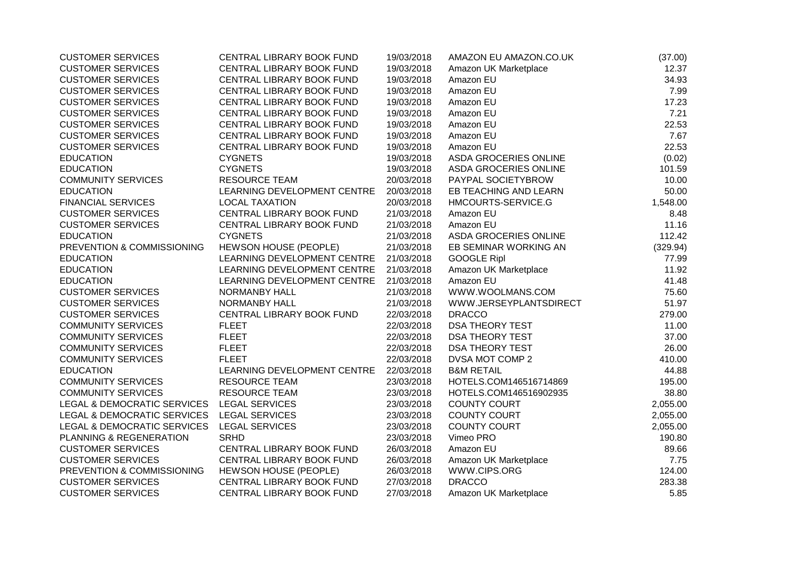| <b>CUSTOMER SERVICES</b>                   | CENTRAL LIBRARY BOOK FUND   | 19/03/2018 | AMAZON EU AMAZON.CO.UK       | (37.00)  |
|--------------------------------------------|-----------------------------|------------|------------------------------|----------|
| <b>CUSTOMER SERVICES</b>                   | CENTRAL LIBRARY BOOK FUND   | 19/03/2018 | Amazon UK Marketplace        | 12.37    |
| <b>CUSTOMER SERVICES</b>                   | CENTRAL LIBRARY BOOK FUND   | 19/03/2018 | Amazon EU                    | 34.93    |
| <b>CUSTOMER SERVICES</b>                   | CENTRAL LIBRARY BOOK FUND   | 19/03/2018 | Amazon EU                    | 7.99     |
| <b>CUSTOMER SERVICES</b>                   | CENTRAL LIBRARY BOOK FUND   | 19/03/2018 | Amazon EU                    | 17.23    |
| <b>CUSTOMER SERVICES</b>                   | CENTRAL LIBRARY BOOK FUND   | 19/03/2018 | Amazon EU                    | 7.21     |
| <b>CUSTOMER SERVICES</b>                   | CENTRAL LIBRARY BOOK FUND   | 19/03/2018 | Amazon EU                    | 22.53    |
| <b>CUSTOMER SERVICES</b>                   | CENTRAL LIBRARY BOOK FUND   | 19/03/2018 | Amazon EU                    | 7.67     |
| <b>CUSTOMER SERVICES</b>                   | CENTRAL LIBRARY BOOK FUND   | 19/03/2018 | Amazon EU                    | 22.53    |
| <b>EDUCATION</b>                           | <b>CYGNETS</b>              | 19/03/2018 | ASDA GROCERIES ONLINE        | (0.02)   |
| <b>EDUCATION</b>                           | <b>CYGNETS</b>              | 19/03/2018 | ASDA GROCERIES ONLINE        | 101.59   |
| <b>COMMUNITY SERVICES</b>                  | <b>RESOURCE TEAM</b>        | 20/03/2018 | PAYPAL SOCIETYBROW           | 10.00    |
| <b>EDUCATION</b>                           | LEARNING DEVELOPMENT CENTRE | 20/03/2018 | EB TEACHING AND LEARN        | 50.00    |
| <b>FINANCIAL SERVICES</b>                  | <b>LOCAL TAXATION</b>       | 20/03/2018 | HMCOURTS-SERVICE.G           | 1,548.00 |
| <b>CUSTOMER SERVICES</b>                   | CENTRAL LIBRARY BOOK FUND   | 21/03/2018 | Amazon EU                    | 8.48     |
| <b>CUSTOMER SERVICES</b>                   | CENTRAL LIBRARY BOOK FUND   | 21/03/2018 | Amazon EU                    | 11.16    |
| <b>EDUCATION</b>                           | <b>CYGNETS</b>              | 21/03/2018 | <b>ASDA GROCERIES ONLINE</b> | 112.42   |
| PREVENTION & COMMISSIONING                 | HEWSON HOUSE (PEOPLE)       | 21/03/2018 | EB SEMINAR WORKING AN        | (329.94) |
| <b>EDUCATION</b>                           | LEARNING DEVELOPMENT CENTRE | 21/03/2018 | <b>GOOGLE Ripl</b>           | 77.99    |
| <b>EDUCATION</b>                           | LEARNING DEVELOPMENT CENTRE | 21/03/2018 | Amazon UK Marketplace        | 11.92    |
| <b>EDUCATION</b>                           | LEARNING DEVELOPMENT CENTRE | 21/03/2018 | Amazon EU                    | 41.48    |
| <b>CUSTOMER SERVICES</b>                   | <b>NORMANBY HALL</b>        | 21/03/2018 | WWW.WOOLMANS.COM             | 75.60    |
| <b>CUSTOMER SERVICES</b>                   | NORMANBY HALL               | 21/03/2018 | WWW.JERSEYPLANTSDIRECT       | 51.97    |
| <b>CUSTOMER SERVICES</b>                   | CENTRAL LIBRARY BOOK FUND   | 22/03/2018 | <b>DRACCO</b>                | 279.00   |
| <b>COMMUNITY SERVICES</b>                  | <b>FLEET</b>                | 22/03/2018 | <b>DSA THEORY TEST</b>       | 11.00    |
| <b>COMMUNITY SERVICES</b>                  | <b>FLEET</b>                | 22/03/2018 | <b>DSA THEORY TEST</b>       | 37.00    |
| <b>COMMUNITY SERVICES</b>                  | <b>FLEET</b>                | 22/03/2018 | <b>DSA THEORY TEST</b>       | 26.00    |
| <b>COMMUNITY SERVICES</b>                  | <b>FLEET</b>                | 22/03/2018 | DVSA MOT COMP 2              | 410.00   |
| <b>EDUCATION</b>                           | LEARNING DEVELOPMENT CENTRE | 22/03/2018 | <b>B&amp;M RETAIL</b>        | 44.88    |
| <b>COMMUNITY SERVICES</b>                  | <b>RESOURCE TEAM</b>        | 23/03/2018 | HOTELS.COM146516714869       | 195.00   |
| <b>COMMUNITY SERVICES</b>                  | <b>RESOURCE TEAM</b>        | 23/03/2018 | HOTELS.COM146516902935       | 38.80    |
| LEGAL & DEMOCRATIC SERVICES LEGAL SERVICES |                             | 23/03/2018 | <b>COUNTY COURT</b>          | 2,055.00 |
| LEGAL & DEMOCRATIC SERVICES                | <b>LEGAL SERVICES</b>       | 23/03/2018 | <b>COUNTY COURT</b>          | 2,055.00 |
| LEGAL & DEMOCRATIC SERVICES                | <b>LEGAL SERVICES</b>       | 23/03/2018 | <b>COUNTY COURT</b>          | 2,055.00 |
| PLANNING & REGENERATION                    | <b>SRHD</b>                 | 23/03/2018 | Vimeo PRO                    | 190.80   |
| <b>CUSTOMER SERVICES</b>                   | CENTRAL LIBRARY BOOK FUND   | 26/03/2018 | Amazon EU                    | 89.66    |
| <b>CUSTOMER SERVICES</b>                   | CENTRAL LIBRARY BOOK FUND   | 26/03/2018 | Amazon UK Marketplace        | 7.75     |
| PREVENTION & COMMISSIONING                 | HEWSON HOUSE (PEOPLE)       | 26/03/2018 | WWW.CIPS.ORG                 | 124.00   |
| <b>CUSTOMER SERVICES</b>                   | CENTRAL LIBRARY BOOK FUND   | 27/03/2018 | <b>DRACCO</b>                | 283.38   |
| <b>CUSTOMER SERVICES</b>                   | CENTRAL LIBRARY BOOK FUND   | 27/03/2018 | Amazon UK Marketplace        | 5.85     |